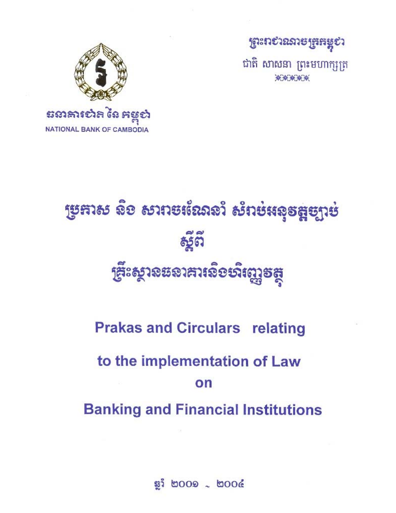



**ස**ශකාවෙත 6ෙ පසුවා **NATIONAL BANK OF CAMBODIA** 

# หูรสาธร ล๊อ ธรากธเห็ณวลา์ ธริกษ์เหลุธสูชกษ์ ชัติ **គ្រឹះស្ថាន**ឌីនាគារនិខ**សិរញ្ញ**ទត្ត

# **Prakas and Circulars relating**

# to the implementation of Law

# on

# **Banking and Financial Institutions**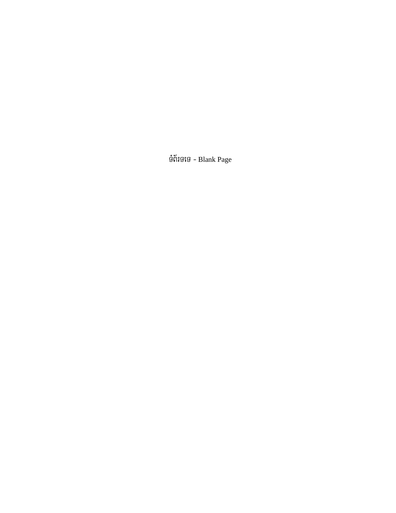$\mathring{\mathfrak{g}}\mathring{\mathfrak{m}}$ <br> 1919 - Blank Page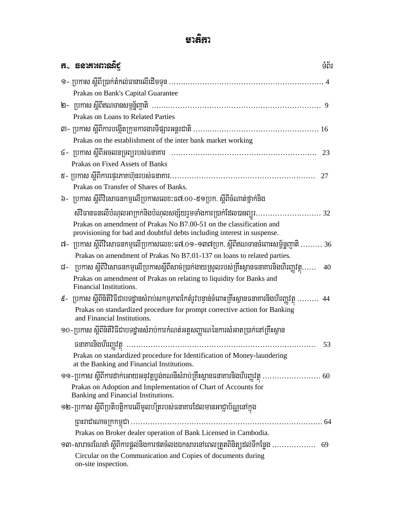# ซาลิสา

| $\,$ គ $\,$ ឌុខាគារពារសិស្                                                                               | ទំព័រ |
|----------------------------------------------------------------------------------------------------------|-------|
|                                                                                                          |       |
| Prakas on Bank's Capital Guarantee                                                                       |       |
|                                                                                                          | 9     |
| Prakas on Loans to Related Parties                                                                       |       |
|                                                                                                          |       |
| Prakas on the establishment of the inter bank market working                                             |       |
|                                                                                                          | 23    |
| Prakas on Fixed Assets of Banks                                                                          |       |
|                                                                                                          | 27    |
| Prakas on Transfer of Shares of Banks.                                                                   |       |
| ៦-   ប្រកាស ស្តីពីវិសោធនកម្មលើប្រកាសលេខ: ធ៧.០០-៥១ប្រក. ស្តីពីចំណាត់ថ្នាក់និង                             |       |
| សិវិធានធនលើបំណុលអាក្រក់និងបំណុលសង្ស័យរួមទាំងការប្រាក់ដែលបានព្យួរ.<br>32                                  |       |
| Prakas on amendment of Prakas No B7.00-51 on the classification and                                      |       |
| provisioning for bad and doubtful debts including interest in suspense.                                  |       |
| ៧–   ប្រកាស ស្តីពីវិសោធនកម្មលើប្រកាសលេខ: ធ៧.០១–១៣៧ប្រក. ស្តីពីឥណទានចំពោះសម្ព័ន្ធញាតិ  36                 |       |
| Prakas on amendment of Prakas No B7.01-137 on loans to related parties.                                  |       |
| ៨- ប្រកាស ស្តីពីវិសោធនកម្មលើប្រកាសស្តីពីសាច់ប្រាក់ងាយស្រួលរបស់គ្រឹះស្ថានធនាគារនិងហិរញ្ញវត្ថុ             | 40    |
| Prakas on amendment of Prakas on relating to liquidity for Banks and<br>Financial Institutions.          |       |
| ៩–   ប្រកាស ស្តីពីនិតិវិធីជាបទដ្ឋានសំរាប់សកម្មភាពកែតំរូវបន្ទាន់ចំពោះគ្រឹះស្ថានធនាគារនិងហិរញ្ញវត្ថុ       | 44    |
| Prakas on standardized procedure for prompt corrective action for Banking<br>and Financial Institutions. |       |
| ១០–ប្រកាស ស្តីពីនិតិវិធីជាបទដ្ឋានសំរាប់ការកំណត់អត្តសញ្ញាណនៃការសំអាតប្រាក់នៅគ្រឹះស្ថាន                    |       |
|                                                                                                          | 53    |
| Prakas on standardized procedure for Identification of Money-laundering                                  |       |
| at the Banking and Financial Institutions.                                                               |       |
| ១១-ប្រកាស ស្តីពីការដាក់អោយអនុវត្តប្លង់គណនីសំរាប់គ្រឹះស្ថានធនាគារនិងហិរញ្ហវត្ថុ  60                       |       |
| Prakas on Adoption and Implementation of Chart of Accounts for<br>Banking and Financial Institutions.    |       |
| ១២-ប្រកាស ស្តីពីប្រតិបត្តិការលើមូលប័ត្ររបស់ធនាគារដែលមានអាជ្ញាប័ណ្ណនៅក្នុង                                |       |
|                                                                                                          |       |
| Prakas on Broker dealer operation of Bank Licensed in Cambodia.                                          |       |
| ១៣-សារាចរណែនាំ ស្តីពីការផ្តល់និងការថតចំលងឯកសារនៅពេលត្រួតពិនិត្យដល់ទីកន្លែង                               | 69    |
| Circular on the Communication and Copies of documents during<br>on-site inspection.                      |       |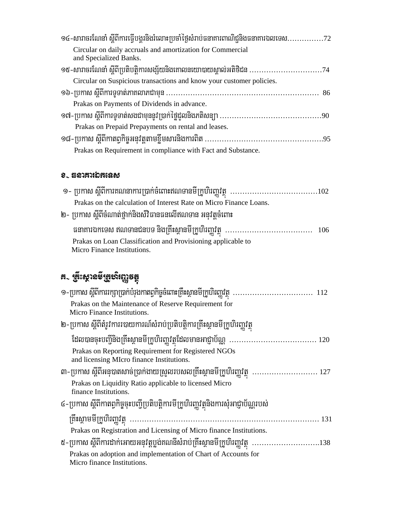| ១៤-សារាចរណែនាំ ស្តីពីការធ្វើបង្កូវនិងរំលោះប្រចាំថ្លៃសំរាប់ធនាគារពាណិជ្ជនិងធនាគារឯលទេស72 |
|-----------------------------------------------------------------------------------------|
| Circular on daily accruals and amortization for Commercial<br>and Specialized Banks.    |
| ១៥-សារាចរណែនាំ ស្តីពីប្រតិបត្តិការសង្ស័យនិងគោលនយោបាយស្គាល់អតិថិជន 74                    |
| Circular on Suspicious transactions and know your customer policies.                    |
|                                                                                         |
| Prakas on Payments of Dividends in advance.                                             |
|                                                                                         |
| Prakas on Prepaid Prepayments on rental and leases.                                     |
|                                                                                         |
| Prakas on Requirement in compliance with Fact and Substance.                            |

### $2$ - Erifikare $\epsilon$

| Prakas on the calculation of Interest Rate on Micro Finance Loans.                          |  |
|---------------------------------------------------------------------------------------------|--|
| ២- ប្រកាស ស្តីពីចំណាត់ថ្នាក់និងសិវិធានធនលើឥណទាន អនុវត្តចំពោះ                                |  |
|                                                                                             |  |
| Prakas on Loan Classification and Provisioning applicable to<br>Micro Finance Institutions. |  |

# គ $\sim$  គ្រឹះស្ថានម៏ត្រូវទ័រញ្ញូទត្ថុ

| ១-ប្រកាស ស្តីពីការរក្សាប្រាក់បំរុងកាតព្វកិច្ចចំពោះគ្រឹះស្ថានមីក្រូហិរញ្ញវត្ថុ  112               |
|--------------------------------------------------------------------------------------------------|
| Prakas on the Maintenance of Reserve Requirement for<br>Micro Finance Institutions.              |
| ២-ប្រកាស ស្តីពីតំរូវការរបាយការណ៍សំរាប់ប្រតិបត្តិការគ្រឹះស្ថានមីក្រូហិរញ្ញវត្ថ                    |
|                                                                                                  |
| Prakas on Reporting Requirement for Registered NGOs<br>and licensing MIcro finance Institutions. |
| ៣-ប្រកាស ស្តីពីអនុបាតសាច់ប្រាក់ងាយស្រួលរបសលក្រីះស្ថានមីក្រូហិរញ្ញវត្ថុ  127                      |
| Prakas on Liquidity Ratio applicable to licensed Micro<br>finance Institutions.                  |
| ៤-ប្រកាស ស្តីពីកាតព្វកិច្ចចុះបញ្ជីប្រតិបត្តិការមីក្រូហិរញ្ញវត្ថុនិងការសុំអាជ្ញាប័ណ្ណរបស់         |
|                                                                                                  |
| Prakas on Registration and Licensing of Micro finance Institutions.                              |
| ៥-ប្រកាស ស្តីពីការដាក់អោយអនុវត្តប្លង់គណនីសំរាប់គ្រឹះស្ថានមីក្រូហិរញ្ញវត្ថុ 138                   |
| Prakas on adoption and implementation of Chart of Accounts for<br>Micro finance Institutions.    |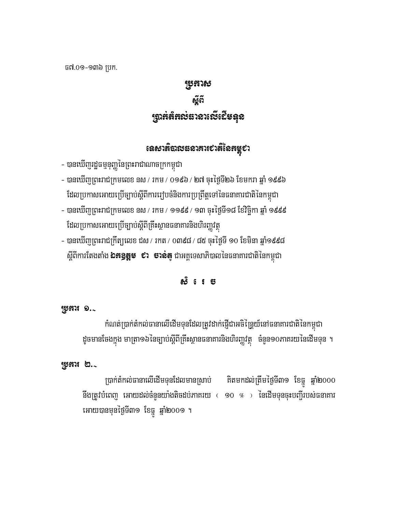ផ៧.០១-១៣៦ ប្រក.

# **ប្**នាស ธ์ดี <sub>1</sub>ถูกหลัหญ่ชาอาเญิเฉียอุจ

# <u> เฉสาส์ฉาชธอาสาเชาลิเอสะรูชา</u>

- បានឃើញរដ្ឋធម្មនុញ្ញនៃព្រះរាជាណាចក្រកម្ពុជា

- បានឃើញព្រះរាជក្រមលេខ នស / រកម / ០១៩៦ / ២៧ ចុះថ្ងៃទី២៦ ខែមករា ឆ្នាំ ១៩៩៦ ដែលប្រកាសអោយប្រើច្បាប់ស្តីពីការរៀបចំនិងការប្រព្រឹត្តទៅនៃធនាគារជាតិនៃកម្ពុជា
- បានឃើញព្រះរាជក្រមលេខ នស / រកម / ១១៩៩ / ១៣ ចុះថ្ងៃទី១៨ ខែវិច្ឆិកា ឆ្នាំ ១៩៩៩ ដែលប្រកាសអោយប្រើច្បាប់ស្តីពីគ្រឹះស្ថានធនាគារនិងហិរញ្ញវត្ថ
- បានឃើញព្រះរាជក្រឹត្យលេខ ជស / រកត / ០៣៩៨ / ៨៥ ចុះថ្ងៃទី ១០ ខែមិនា ឆ្នាំ១៩៩៨ ស្តីពីការតែងតាំង **៦ភ3្តត្តូម ៩រ មាន់តុ** ជាអគ្គទេសាភិបាលនៃធនាគារជាតិនៃកម្ពុជា

# <u>කී 6 1</u> ප

### $55311$  9. $\sim$

កំណត់ប្រាក់តំកល់ធានាលើដើមទុនដែលត្រូវដាក់ផ្ញើជាអចិន្ត្រៃយ៍នៅធនាគារជាតិនៃកម្ពុជា ដូចមានចែងក្នុង មាត្រា១៦នៃច្បាប់ស្តីពីគ្រឹះស្ថានធនាគារនិងហិរញ្ហវត្ថុ ចំនួន១០ភាគរយនៃដើមទុន ។

### $5531$   $\omega$ .

ប្រាក់តំកល់ធានាលើដើមទុនដែលមានស្រាប់ គិតមកដល់ត្រឹមថ្ងៃទី៣១ ខែធ្នូ ឆ្នាំ២០០០ អោយបានមុនថ្ងៃទី៣១ ខែធ្នូ ឆ្នាំ២០០១ ។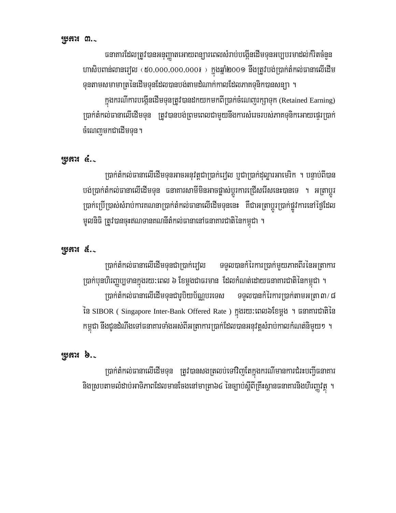ធនាគារដែលត្រូវបានអនុញ្ញាតអោយពន្យារពេលសំរាប់បង្កើនដើមទុនអប្បបរមាដល់ក៏រិតចំនួន ហាសិបពាន់លានរេ្យល (៥0,000,000,000 $\,$ ) ក្នុងឆ្នាំ២00១ នឹងត្រូវបង់ប្រាក់តំកល់ធានាលើដើម ទុនតាមសមាមាត្រនៃដើមទុនដែលបានបង់តាមដំណាក់កាលដែលភាគទុនិកបានសន្យា ។ ក្នុងករណីការបង្កើនដើមទុនត្រូវបានដកយកមកពីប្រាក់ចំណេញរក្សាទុក (Retained Earning)  $\,$ ប្រាក់តំកល់ធានាលើដើមទុន ត្រូវបានបង់ព្រមពេលជាមួយនឹងការសំរេចរបស់ភាគទុនិកអោយផ្ទេរប្រាក់ ចំណេញមកជាដើមទុន។

### $R$ หลาง  $\zeta_{\cdot}$

)បាក់តំកល់ធានាលើដើមទុនអាចអនុវត្តជាប្រាក់រេូល ឬជាប្រាក់ដុល្លារអាមេរិក ។ បន្ទាប់ពីបាន បង់ប្រាក់តំកល់ធានាលើដើមទុន ធនាគារសាមីមិនអាចផ្លាស់ប្តូរការប្រើសរើសនេះបានទេ ។ អត្រាប្តូរ  $\,$ ប្រាក់ប្រើប្រាស់សំរាប់ការគណនាប្រាក់តំកល់ធានាលើដើមទុននេះ គឺជាអត្រាប្ដូរប្រាក់ផ្លូវការនៅថ្ងៃដែល មូលនិធិ ត្រូវបានចុះឥណទានគណនីតំកល់ធានានៅធនាគារជាតិនៃកម្ពុជា ។

### $g_{\mathfrak{M}}$   $g_{\mathfrak{g},\mathfrak{g}}$

ប្រាក់តំកល់ធានាលើដើមទុនជាប្រាក់រៀល ទទួលបានកំរៃការប្រាក់មួយភាគពីរនៃអត្រាការ ប្រាក់បុនហិរញ្ញប្បទានក្នុងរយ:ពេល ៦ ខែម្តងជាធរមាន ដែលកំណត់ដោយធនាគារជាតិនៃកម្ពុជា ។  $\frac{1}{10}$ កតំកល់ធានាលើដើមទុនជារូបិយប័ណ្ណបរទេស ទទួលបានកំរៃការប្រាក់តាមអត្រា ៣/ ៨ នៃ SIBOR ( Singapore Inter-Bank Offered Rate ) ក្នុងរយ:ពេល៦ខែម្តង ។ ធនាគារជាតិនៃ កម្ពុជា នឹងជូនដំណឹងទៅធនាគារទាំងអស់ពីអត្រាការប្រាក់ដែលបានអនុវត្តសំរាប់កាលកំណត់និមួយ១ ។

# ប្រគារ  $\delta_{\cdot\text{-}}$

ប្រាក់តំកល់ធានាលើដើមទុន ត្រូវបានសងត្រលប់ទៅវិញតែក្នុងករណីមានការជំរះបញ្ជីធនាគារ និងស្របតាមលំដាប់អាទិភាពដែលមានចែងនៅមាត្រា៦៤ នៃច្បាប់ស្តីពីគ្រឹះស្ថានធនាគារនិងហិរញ្ញវត្ថុ ។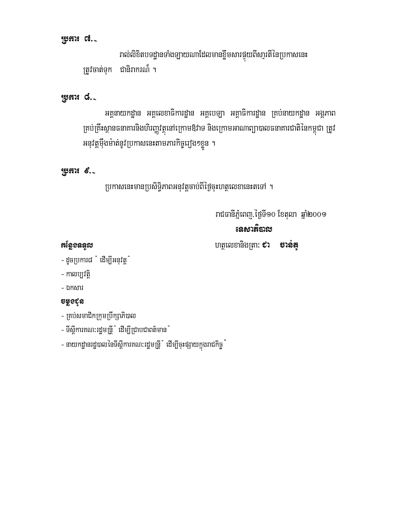$15$ ងារ ៧. $\sim$ 

រាល់លិខិតបទដ្ឋានទាំងឡាយណាដែលមានខ្លឹមសារផ្ទុយពីសា្មរតីនៃប្រកាសនេះ ត្រូវចាត់ទុក ជានិរាករណ៏ ។

## ប្រគារ  $d_{\cdot\sim}$

អគ្គនាយកដ្ឋាន អគ្គលេខាធិការដ្ឋាន អគ្គបេឡា អគ្គាធិការដ្ឋាន គ្រប់នាយកដ្ឋាន អង្គភាព គ្រប់គ្រឹះស្ថានធនាគារនិងហិរញ្ញវត្ថុនៅក្រោមឱ្យវាទ និងក្រោមអាណាព្យាបាលធនាគារជាតិនៃកម្ពុជា ត្រូវ អនុវត្តម៉ឹងម៉ាត់នូវប្រកាសនេះតាមភារកិច្ចរឿង១ខ្លួន ។

## $55316.$

ប្រកាសនេះមានប្រសិទ្ធិភាពអនុវត្តចាប់ពីថ្ងៃចុះហត្ថលេខានេះតទៅ ។

រាជធានីភ្នំពេញ,ថ្ងៃទី១០ ខែតុលា ឆ្នាំ២០០១

## នេសរត៌បារៈ

ហត្ថលេខានិងត្រា: ៩រ = មាន់ត្

# អន្ថែទទងនូវប

- ដូចប្រការ៨ " ដើម្បីអនុវត្ត"

- កាលប្បវត្តិ

- ឯកសារ

## **UYOÇR**

- គ្រប់សមាជិកក្រុមប្រឹក្សាភិបាល

- ទីស្តីការគណ:រដ្ឋមន្ត្រី ដើម្បីជ្រាបជាពតិមាន

- នាយកដ្ឋានរដ្ឋបាលនៃទីស្តីការគណៈរដ្ឋមន្ត្រី " ដើម្បីចុះផ្សាយក្នុងរាជកិច្ច "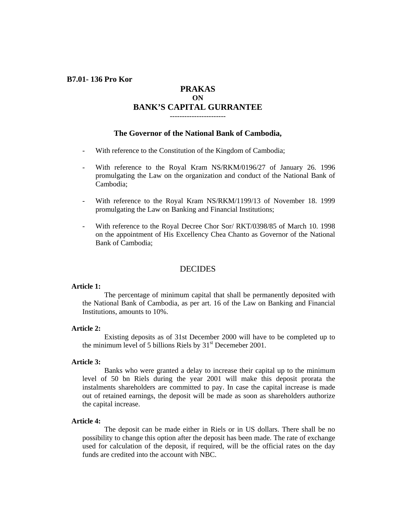#### **B7.01- 136 Pro Kor**

### **PRAKAS ON BANK'S CAPITAL GURRANTEE**

#### **The Governor of the National Bank of Cambodia,**

-----------------------

- With reference to the Constitution of the Kingdom of Cambodia;
- With reference to the Royal Kram NS/RKM/0196/27 of January 26. 1996 promulgating the Law on the organization and conduct of the National Bank of Cambodia;
- With reference to the Royal Kram NS/RKM/1199/13 of November 18. 1999 promulgating the Law on Banking and Financial Institutions;
- With reference to the Royal Decree Chor Sor/ RKT/0398/85 of March 10. 1998 on the appointment of His Excellency Chea Chanto as Governor of the National Bank of Cambodia;

#### **DECIDES**

#### **Article 1:**

The percentage of minimum capital that shall be permanently deposited with the National Bank of Cambodia, as per art. 16 of the Law on Banking and Financial Institutions, amounts to 10%.

#### **Article 2:**

Existing deposits as of 31st December 2000 will have to be completed up to the minimum level of 5 billions Riels by  $31<sup>st</sup>$  Decemeber 2001.

#### **Article 3:**

Banks who were granted a delay to increase their capital up to the minimum level of 50 bn Riels during the year 2001 will make this deposit prorata the instalments shareholders are committed to pay. In case the capital increase is made out of retained earnings, the deposit will be made as soon as shareholders authorize the capital increase.

#### **Article 4:**

The deposit can be made either in Riels or in US dollars. There shall be no possibility to change this option after the deposit has been made. The rate of exchange used for calculation of the deposit, if required, will be the official rates on the day funds are credited into the account with NBC.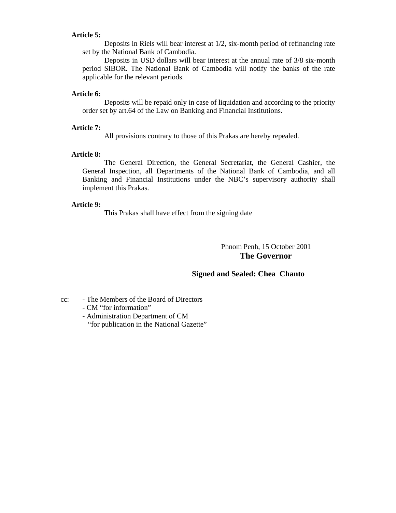#### **Article 5:**

Deposits in Riels will bear interest at 1/2, six-month period of refinancing rate set by the National Bank of Cambodia.

Deposits in USD dollars will bear interest at the annual rate of 3/8 six-month period SIBOR. The National Bank of Cambodia will notify the banks of the rate applicable for the relevant periods.

#### **Article 6:**

Deposits will be repaid only in case of liquidation and according to the priority order set by art.64 of the Law on Banking and Financial Institutions.

#### **Article 7:**

All provisions contrary to those of this Prakas are hereby repealed.

#### **Article 8:**

The General Direction, the General Secretariat, the General Cashier, the General Inspection, all Departments of the National Bank of Cambodia, and all Banking and Financial Institutions under the NBC's supervisory authority shall implement this Prakas.

#### **Article 9:**

This Prakas shall have effect from the signing date

#### Phnom Penh, 15 October 2001  **The Governor**

#### **Signed and Sealed: Chea Chanto**

- cc: The Members of the Board of Directors
	- CM "for information"
	- Administration Department of CM "for publication in the National Gazette"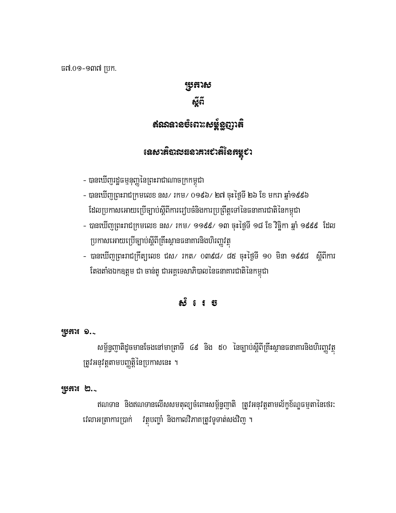ផ៧.០១-១៣៧ ប្រក.

# **ប្រុកាស ญัติ สณาละอะ**ตาะธรัฐอุญาติ

# <u> เฉสาส์ฉาชธอาสาเชาลิเอหะูชา</u>

- បានឃើញរដ្ឋធម្មនុញ្ញនៃព្រះរាជាណាចក្រកម្ពុជា
- បានឃើញព្រះរាជក្រមលេខ នស⁄ រកម/ ០១៩៦/ ២៧ ចុះថ្ងៃទី ២៦ ខែ មករា ឆ្នាំ១៩៩៦ ដែលប្រកាសអោយប្រើច្បាប់ស្តីពីការរៀបចំនិងការប្រព្រឹត្តទៅនៃធនាគារជាតិនៃកម្ពុជា
- បានឃើញព្រះរាជក្រមលេខ នស/ រកម/ ១១៩៩/ ១៣ ចុះថ្ងៃទី ១៨ ខែ វិច្ឆិកា ឆ្នាំ ១៩៩៩ ដែល ប្រកាសអោយប្រើច្បាប់ស្តីពីគ្រឹះស្ថានធនាគារនិងហិរញ្ញវត្ថ
- បានឃើញព្រះរាជក្រឹត្យលេខ ជស⁄ារកត⁄ ០៣៩៨⁄ ៨៥ ចុះថ្ងៃទី ១០ មិនា ១៩៩៨ ស្តីពីការ តែងតាំងឯកឧត្តម ជា ចាន់តូ ជាអគ្គទេសាភិបាលនៃធនាគារជាតិនៃកម្ពុជា

# **សំ** ៖ ៖ ម

### $I$ ชูราเ 9. $\sim$

សម្ព័ន្ធញាតិដូចមានថែងនៅមាត្រាទី ៤៩ និង ៥០ នៃច្បាប់ស្តីពីគ្រឹះស្ថានធនាគារនិងហិរញ្ហវត្ថុ ត្រូវអនុវត្តតាមបញ្ចត្តិនៃប្រកាសនេះ ។

### ថ្ងៃគារ  $\mathfrak{b}.$

ឥណទាន និងឥណទានលើសសមតុល្យចំពោះសម្ព័ន្ធញាតិ ត្រូវអនុវត្តតាមល័ក្ខខ័ណ្ឌធម្មតានៃថេរ: វត្ថបញ្ចាំ និងកាលវិភាគត្រូវទូទាត់សងវិញ ។ វេលាអត្រាការប្រាក់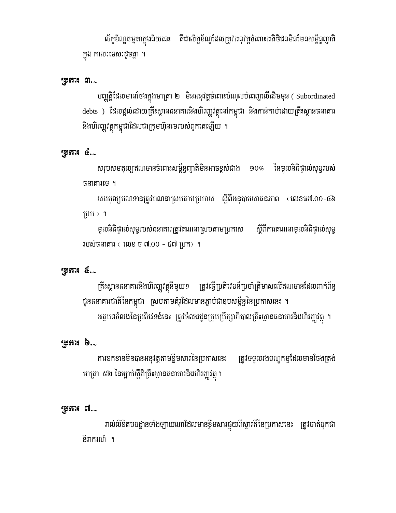ល័ក្តខ័ណ្ឌធម្មតាក្នុងន័យនេះ គឺជាល័ក្តខ័ណ្ឌដែលត្រូវអនុវត្តចំពោះអតិថិជនមិនមែនសម្ព័ន្ធញាតិ ក្នុង កាលៈទេសៈដូចគ្នា ។

### ថ្ងៃអារ ៣. $\sim$

បញ្ញត្តិដែលមានចែងក្នុងមាត្រា ២ មិនអនុវត្តចំពោះបំណុលបំពេញលើដើមទុន ( Subordinated debts ) ដែលផ្តល់ដោយគ្រឹះស្ថានធនាគារនិងហិរញ្ញវត្ថុនៅកម្ពុជា និងកាន់កាប់ដោយគ្រឹះស្ថានធនាគារ និងហិរញ្ញវត្ថុកម្ពុជាដែលជាក្រុមហ៊ុនមេរបស់ពួកគេឡើយ ។

### $55316...$

សរុបសមតុល្យឥណទានចំពោះសម្ព័ន្ធញាតិមិនអាចខ្ពស់ជាង ១០% នៃមូលនិធិផ្ទាល់សុទ្ធរបស់ ធនាគារទេ ។

សមតុល្យឥណទានត្រូវគណនាស្របតាមប្រកាស ស្តីពីអនុបាតសាធនភាព (លេខធ៧.០០-៤៦ ប្រក ) ។

មូលនិធិផ្ទាល់សុទ្ធរបស់ធនាគារត្រូវគណនាស្របតាមប្រកាស ស្តីពីការគណនាមូលនិធិផ្ទាល់សុទ្ធ របស់ធនាគារ ( លេខ ធ ៧.០០ - ៤៧ ប្រក) ។

### uni &...

គ្រឹះស្ថានធនាគារនិងហិរញ្ញវត្ថុនីមួយ១ ត្រូវធ្វើប្រតិវេទន៍ប្រចាំត្រីមាសលើឥណទានដែលពាក់ព័ន្ធ ជូនធនាគារជាតិនៃកម្ពុជា ស្របតាមកំរូដែលមានភ្ជាប់ជាឧបសម្ព័ន្ធនៃប្រកាសនេះ ។ អត្ថបទចំលងនៃប្រតិវេទន៍នេះ ត្រូវចំលងជូនក្រុមប្រឹក្សាភិបាលក្រឹះស្ថានធនាគារនិងហិរញ្ញវត្ថុ ។

### $55$  and  $9.1$

ការខកខានមិនបានអនុវត្តតាមខ្លឹមសារ នៃប្រកាសនេះ ត្រូវទទួលរងទណ្ឌកម្មដែលមានថែងត្រង់ មាត្រា ៥២ នៃច្បាប់ស្តីពីគ្រឹះស្ថានធនាគារនិងហិរញ្ញវត្ថុ។

### ថ្ងៃការ ៧. $\sim$

រាល់លិខិតបទដ្ឋានទាំងឡាយណាដែលមានខ្លឹមសារថ្វយពីស្មារតីនៃប្រកាសនេះ ត្រូវចាត់ទុកជា និរាករណ៍ ។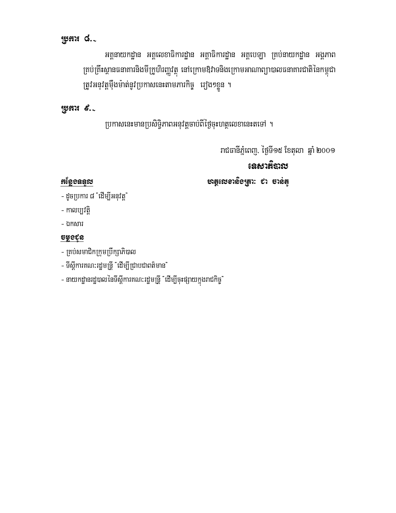## ชุรกะ  $d_{\cdot}$

អគ្គនាយកដ្ឋាន អគ្គលេខាធិការដ្ឋាន អគ្គាធិការដ្ឋាន អគ្គបេឡា គ្រប់នាយកដ្ឋាន អង្គភាព គ្រប់គ្រឹះស្ថានធនាគារនិងមីក្រូហិរញ្ហវត្ថុ នៅក្រោមឱវាទនិងក្រោមអាណាព្យាបាលធនាគារជាតិនៃកម្ពុជា ត្រូវអនុវត្តម៉ឹងម៉ាត់នូវប្រកាសនេះតាមភារកិច្ច រឿង១ខ្លួន ។

# ប្រុការ  $\delta.$

ប្រកាសនេះមានប្រសិទ្ធិភាពអនុវត្តចាប់ពីថ្ងៃចុះហត្ថលេខានេះតទៅ ។

រាជធានីភ្នំពេញ, ថ្ងៃទី១៥ ខែតុលា ឆ្នាំ ២០០១

# នេសរត៌បារប

# <u>កន្លែខឧន្ទរប</u>

หลุเนยาลิยฐา: ชา ยาลสุ

- ដូចប្រការ ៨ "ដើម្បីអនុវត្ត"
- កាលប្បវត្តិ
- ឯកសារ

# <u> UNOÇR</u>

- គ្រប់សមាជិកក្រុមប្រឹក្សាភិបាល
- ទីស្តីការគណៈរដ្ឋមន្ត្រី "ដើម្បីជ្រាបជាពតិមាន"
- នាយកដ្ឋានរដ្ឋបាលនៃទីស្តីការគណៈរដ្ឋមន្ត្រី "ដើម្បីចុះផ្សាយក្នុងរាជកិច្ច"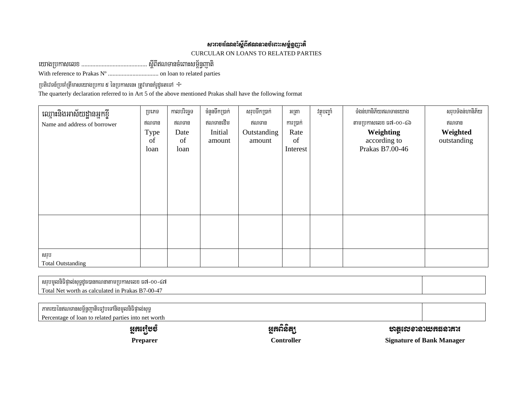### **សារាមប៉េណទាំស្តីពីឥណនានម័**ពោះសម្ព័ន្ធញុរា<del>ន</del>ិ

CURCULAR ON LOANS TO RELATED PARTIES

ប្រតិវេទន៍ប្រចាំត្រីមាសយោងប្រការ ៥ នៃប្រកាសនេះ ត្រូវមានគំរូដូចតទៅ ÷

The quarterly declaration referred to in Art 5 of the above mentioned Prakas shall have the following format

| ឈ្មោះនិងអាស័យដ្ឋានអ្នកខ្ចី   | ប្រភេទ | កាលបរិច្ឆេទ | ចំនួនទឹកប្រាក់ | សរុបទឹកប្រាក់ | អត្រា                 | វត្ថុបញ្ចាំ | ទំងន់ហានិភ័យឥណទានយោង            | សរុបទំងន់ហានិភ័យ |
|------------------------------|--------|-------------|----------------|---------------|-----------------------|-------------|---------------------------------|------------------|
| Name and address of borrower | ឥណទាន  | ឥណទាន       | ឥណទានដើម       | ឥណទាន         | ការប្រាក់             |             | តាមប្រកាសលេខ ផ៧-០០-៤៦           | ឥណទាន            |
|                              | Type   | Date        | Initial        | Outstanding   | Rate                  |             | Weighting                       | Weighted         |
|                              | of     | of          | amount         | amount        | of                    |             | according to<br>Prakas B7.00-46 | outstanding      |
|                              | loan   | loan        |                |               | Interest <sup>1</sup> |             |                                 |                  |
|                              |        |             |                |               |                       |             |                                 |                  |
|                              |        |             |                |               |                       |             |                                 |                  |
|                              |        |             |                |               |                       |             |                                 |                  |
|                              |        |             |                |               |                       |             |                                 |                  |
|                              |        |             |                |               |                       |             |                                 |                  |
|                              |        |             |                |               |                       |             |                                 |                  |
|                              |        |             |                |               |                       |             |                                 |                  |
|                              |        |             |                |               |                       |             |                                 |                  |
| សរុប                         |        |             |                |               |                       |             |                                 |                  |
| <b>Total Outstanding</b>     |        |             |                |               |                       |             |                                 |                  |

| . 99<br>តររាររ<br>00-៤ព<br>11611.III<br>រកាពេក<br>$1411 - 1$<br>.<br>າ ຜາ<br><b>SALE</b> |  |
|------------------------------------------------------------------------------------------|--|
| $\mathbf{r}$<br>7-00-4<br>calculated in<br>worti                                         |  |

ភាគរយនៃឥណទានសម្ព័ន្ធញាតិផ្សេបទៅនិងមូលនិធិផ្ទាល់សុទ្ធ Percentage of loan to related parties into net worth

> អ្លុគច្សុំប្រសំ Preparer

អួកព៌ន៌ត្យូ

**DEURERERIES** 

**Controller** 

**Signature of Bank Manager**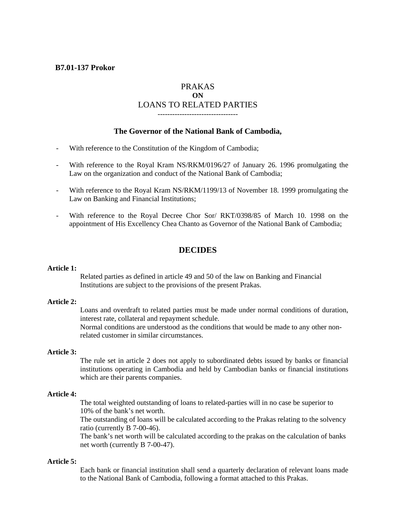#### **B7.01-137 Prokor**

### PRAKAS **ON**  LOANS TO RELATED PARTIES

---------------------------------

#### **The Governor of the National Bank of Cambodia,**

- With reference to the Constitution of the Kingdom of Cambodia;
- With reference to the Royal Kram NS/RKM/0196/27 of January 26. 1996 promulgating the Law on the organization and conduct of the National Bank of Cambodia;
- With reference to the Royal Kram NS/RKM/1199/13 of November 18. 1999 promulgating the Law on Banking and Financial Institutions;
- With reference to the Royal Decree Chor Sor/ RKT/0398/85 of March 10. 1998 on the appointment of His Excellency Chea Chanto as Governor of the National Bank of Cambodia;

### **DECIDES**

#### **Article 1:**

Related parties as defined in article 49 and 50 of the law on Banking and Financial Institutions are subject to the provisions of the present Prakas.

#### **Article 2:**

Loans and overdraft to related parties must be made under normal conditions of duration, interest rate, collateral and repayment schedule.

Normal conditions are understood as the conditions that would be made to any other nonrelated customer in similar circumstances.

#### **Article 3:**

The rule set in article 2 does not apply to subordinated debts issued by banks or financial institutions operating in Cambodia and held by Cambodian banks or financial institutions which are their parents companies.

#### **Article 4:**

The total weighted outstanding of loans to related-parties will in no case be superior to 10% of the bank's net worth.

The outstanding of loans will be calculated according to the Prakas relating to the solvency ratio (currently B 7-00-46).

The bank's net worth will be calculated according to the prakas on the calculation of banks net worth (currently B 7-00-47).

#### **Article 5:**

Each bank or financial institution shall send a quarterly declaration of relevant loans made to the National Bank of Cambodia, following a format attached to this Prakas.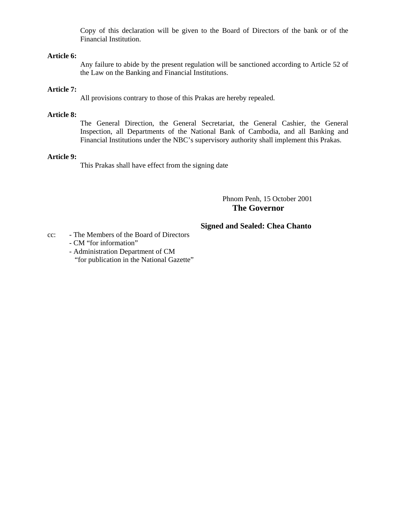Copy of this declaration will be given to the Board of Directors of the bank or of the Financial Institution.

#### **Article 6:**

Any failure to abide by the present regulation will be sanctioned according to Article 52 of the Law on the Banking and Financial Institutions.

#### **Article 7:**

All provisions contrary to those of this Prakas are hereby repealed.

#### **Article 8:**

The General Direction, the General Secretariat, the General Cashier, the General Inspection, all Departments of the National Bank of Cambodia, and all Banking and Financial Institutions under the NBC's supervisory authority shall implement this Prakas.

#### **Article 9:**

This Prakas shall have effect from the signing date

### Phnom Penh, 15 October 2001  **The Governor**

### **Signed and Sealed: Chea Chanto**

cc: - The Members of the Board of Directors

- CM "for information"
- Administration Department of CM

"for publication in the National Gazette"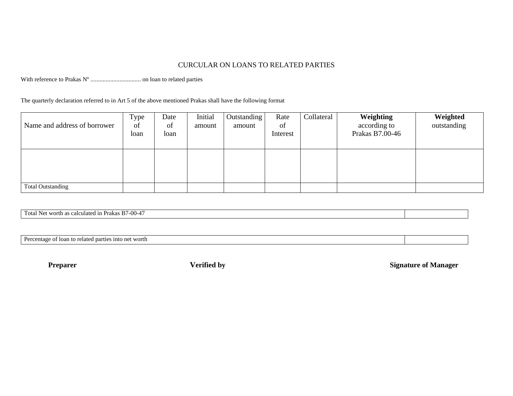#### CURCULAR ON LOANS TO RELATED PARTIES

With reference to Prakas Nº ................................. on loan to related parties

The quarterly declaration referred to in Art 5 of the above mentioned Prakas shall have the following format

| Name and address of borrower | Type<br>of<br>loan | Date<br>of<br>loan | Initial<br>amount | <b>Outstanding</b><br>amount | Rate<br>of<br>Interest | Collateral | Weighting<br>according to<br>Prakas B7.00-46 | Weighted<br>outstanding |
|------------------------------|--------------------|--------------------|-------------------|------------------------------|------------------------|------------|----------------------------------------------|-------------------------|
|                              |                    |                    |                   |                              |                        |            |                                              |                         |
| <b>Total Outstanding</b>     |                    |                    |                   |                              |                        |            |                                              |                         |

| $\overline{\phantom{a}}$<br>1 M<br>Prakas<br>.<br>Tota.<br>eulated<br>$\mathbf{V}$ $\mathbf{\Omega}$ 1<br>worth as<br>-w<br>,,,,,,,<br>. .<br> |  |
|------------------------------------------------------------------------------------------------------------------------------------------------|--|

| Percentage of loan to related parties into net worth |  |  |  |
|------------------------------------------------------|--|--|--|
|                                                      |  |  |  |

**Preparer Signature of Manager Verified by Signature of Manager**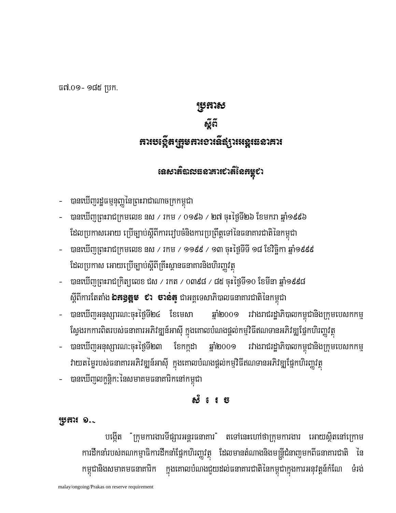ชรา  $9.1$ 

បង្កើត "ក្រុមការងារទីផ្សារអន្តរធនាគារ" តទៅនេះហៅថាក្រុមការងារ អោយស្ថិតនៅក្រោម ការដឹកនាំរបស់គណកម្មាធិការដឹកនាំផ្នែកហិរញ្ញវត្ថុ ដែលមានតំណាងនិងមន្ត្រីជំនាញមកពីធនាគារជាតិ នៃ កម្ពុជានិងសមាគមធនាគារិក ក្នុងគោលបំណងជួយដល់ធនាគារជាតិនៃកម្ពុជាក្នុងការអនុវត្តន៍កំណែ ទំរង់

# <u>ක් 15 ජ</u>

- បានឃើញលក្ខន្តិក: នៃសមាគមធនាគារិកនៅកម្ពុជា
- វាយតម្លៃរបស់ធនាគារអភិវឌ្ឍន៍អាស៊ី ក្នុងគោលបំណងផ្តល់កម្មវិធីឥណទានអភិវឌ្ឍផ្នែកហិរញ្ហវត្ថ
- ស្វែងរកការពិតរបស់ធនាគារអភិវឌ្ឍន៍អាស៊ី ក្នុងគោលបំណងផ្តល់កម្មវិធីឥណទានអភិវឌ្ឃផ្នែកហិរញ្ញវត្ថ - បានឃើញអនុស្សារណៈចុះថ្ងៃទី២៣ ខែកក្កដា ឆ្នាំ២០០១ រវាងរាជរដ្ឋាភិបាលកម្ពុជានិងក្រុមបេសកកម្ម
- ស្តីពីការតែតាំង **៦ភ3្ទត្តូម ៩រ មាន់ត្** ជាអគ្គទេសាភិបាលធនាគារជាតិនៃកម្ពុជា - បានឃើញអនុស្សារណ:ចុះថ្ងៃទី២៤ ខែមេសា ឆ្នាំ២០០១ រវាងរាជរដ្ឋាភិបាលកម្ពុជានិងក្រុមបេសកកម្ម
- ដែលប្រកាស អោយប្រើច្បាប់ស្តីពីគ្រឹះស្ថានធនាគារនិងហិរញ្ញវត្ថុ – បានឃើញព្រះរាជក្រិត្យលេខ ជស / រកត / ០៣៩៨ / ៨៥ ចុះថ្ងៃទី១០ ខែមីនា ឆ្នាំ១៩៩៨
- ដែលប្រកាសអោយ ប្រើច្បាប់ស្តីពីការរៀបចំនិងការប្រព្រឹត្តទៅនៃធនាគារជាតិនៃកម្ពុជា បានឃើញព្រះរាជក្រមលេខ នស / រកម / ១១៩៩ / ១៣ ចុះថ្ងៃទីទី ១៨ ខែវិច្ឆិកា ឆ្នាំ១៩៩៩
- បានឃើញព្រះរាជក្រមលេខ នស / រកម / ០១៩៦ / ២៧ ចុះថ្ងៃទី២៦ ខែមករា ឆ្នាំ១៩៩៦
- បានឃើញរដ្ឋធម្មនុញ្ញនៃព្រះរាជាណាចក្រកម្ពុជា

# <u>នេសាតិបាលជលគារសាតិលៃគម្ពសា</u>

# **JUFIIES** ธุ์ถึ **ការប**ខ្ចើត<sub>រ</sub>ត្តមការទារនឹងព្រះអន្ថរបសគារ

ធ៧.០១- ១៨៥ ប្រក.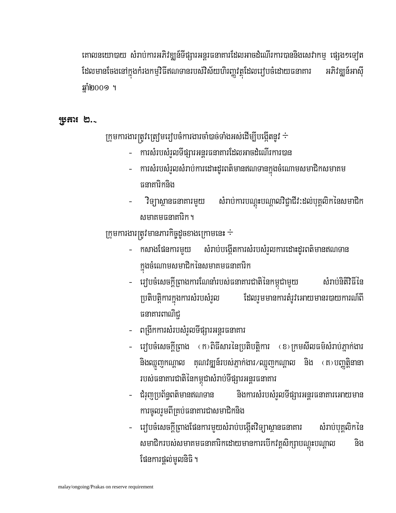គោលនយោបាយ សំរាប់ការអភិវឌ្យន៍ទីផ្សារអន្តរធនាគារដែលអាចដំណើរការបាននិងសេវាកម្ម ផ្សេង១ទ្បេត ដែលមានចែងនៅក្នុងកំរងកម្មវិធីឥណទានរបស់វិស័យហិរញ្ញវត្ថុដែលរៀបចំដោយធនាគារ អភិវឌ្ឍន៍អាស៊ី ឆ្នាំ២០០១ ។

### $5531$   $\omega_{\sim}$

ក្រុមការងារត្រូវត្រ្យៀមរៀបចំការងារចាំបាច់ទាំងអស់ដើម្បីបង្កើតនូវ ÷

- ការសំរបសំរុលទីផ្សារអន្តរធនាគារដែលអាចដំណើរការបាន
- ការសំរបសំរួលសំរាប់ការដោះដូរពត៌មានឥណទានក្នុងចំណោមសមាជិកសមាគម កនាការិកនិង
- វិទ្យាស្ថានធនាគារមួយ សំរាប់ការបណ្តុះបណ្តាលវិជ្ជាជីវ:ដល់បុគ្គលិកនៃសមាជិក សមាគមធនាគារិក។

ក្រុមការងារត្រូវមានភារកិច្ចដូចខាងក្រោមនេះ  $\div$ 

- កសាងផែនការមួយ សំរាប់បង្កើតការសំរបសំរួលការដោះដូរពត៌មានឥណទាន ក្នុងចំណោមសមាជិកនៃសមាគមធនាគារិក
- រេវ្យបចំសេចក្តីព្រាងការណែនាំរបស់ធនាគារជាតិនៃកម្ពុជាមួយ សំរាប់ទីតិវិធីនៃ ប្រតិបត្តិការក្នុងការសំរបសំរួល ដែលរួមមានការតំរូវអោយមានរបាយការណ៍ពី ធនាគារពាណិជ
- ពង្រីកការសំរបសំរួលទីផ្សារអន្តរធនាគារ
- រៅបចំសេចក្តីព្រាង (ក)ពិធីសារនៃប្រតិបត្តិការ (ខ)ក្រមសីលធម៌សំរាប់ភ្នាក់ងារ និងឈ្នួញុកណ្តាល គុណវិឌ្ឍន៍របស់ភ្នាក់ងារ/ឈ្នួញុកណ្តាល និង (គ)បញ្ញត្តិនានា របស់ធនាគារជាតិនៃកម្ពុជាសំរាប់ទីផ្សារអន្តរធនាគារ
- និងការសំរបសំរួលទីផ្សារអន្តរធនាគារអោយមាន – ជំរុញប្រព័ន្ធពតិមានឥណទាន ការចូលរួមពីក្រប់ធនាគារជាសមាជិកនិង
- រៅបចំសេចក្តីព្រាងផែនការមួយសំរាប់បង្កើតវិទ្យាស្ថានធនាគារ សំរាប់បុគ្គលិកនៃ សមាជិករបស់សមាគមធនាគារិកដោយមានការបើកវគ្គសិក្សាបណ្តុះបណ្តាល និង ដែនការផ្តល់មូលនិធិ ។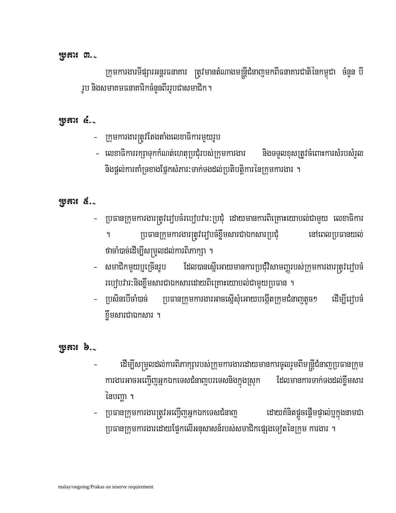$\mathfrak{P}$ รรา  $\mathfrak{m}_{\sim}$ 

ក្រុមការងារទីផ្សារអន្តរធនាគារ ត្រូវមានតំណាងមន្ត្រីជំនាញមកពីធនាគារជាតិនៃកម្ពុជា ចំនួន បី ្បូប និងសមាគមធនាគារិកចំនួនពីររូបជាសមាជិក ។

# $\mathfrak{g}$ mi  $d_{\cdot\sim}$

- ក្រុមការងារត្រូវតែងតាំងលេខាធិការមួយរូប
- លេខាធិការរក្សាទុកកំណត់ហេតុប្រជុំរបស់ក្រុមការងារ និងទទួលខុសត្រូវចំពោះការសំរបសំរល និងផ្តល់ការគាំទ្រខាងផ្នែកសំភារ:ទាក់ទងដល់ប្រតិបត្តិការនៃក្រុមការងារ ។

# $m$   $\alpha$

- ប្រធានក្រុមការងារត្រូវរៀបចំរបៀបវារ:ប្រជុំ ដោយមានការពិគ្រោះយោបល់ជាមួយ លេខាធិការ
	- . RbFanRkumkargar®tUverobcMxøwmsarCaÉksarRbCMu enAeBlRbFanyl; ថាចាំបាច់ដើម្បីសម្រួលដល់ការពិភាក្សា ។
- សមាជិកមួយឬច្រើនរូប ដែលបានស្នើអោយមានការប្រជុំវិសាមញ្ញរបស់ក្រុមការងារត្រូវរៀបចំ របៀបវារ:និងខ្លឹមសារជាឯកសារដោយពិគ្រោះយោបល់ជាមួយប្រធាន ។
- ប្រសិនបើចាំបាច់ ប្រធានក្រុមការងារអាចស្ទើសំអោយបង្កើតក្រុមជំនា៣តូច១ ជើម្បីរេវបចំ ខឹមសារជាឯកសារ ។

# $g$

- ាដើម្បីសម្រួលដល់ការពិភាក្សារបស់ក្រុមការងារដោយមានការចូលរួមពីមន្ត្រីជំនាញប្រធានក្រុម ការងារអាចអញ្ជើញអ្នកឯកទេសជំនាញបរទេសនិងក្នុងស្រុក ដែលមានការទាក់ទងដល់ខ្លឹមសារ ៍នៃបញ្ជា ។
- ប្រធានក្រុមការងារត្រូវអញ្ជើញអ្នកឯកទេសជំនាញ រងាយគំនិតផ្តួចផ្តើមផ្ទាល់ប្ញុក្នុងនាមជា យធានក្រុមការងារដោយផ្អែកលើអនុសាសន៍របស់សមាជិកផ្សេងទ្យេិតនៃក្រុម ការងារ ។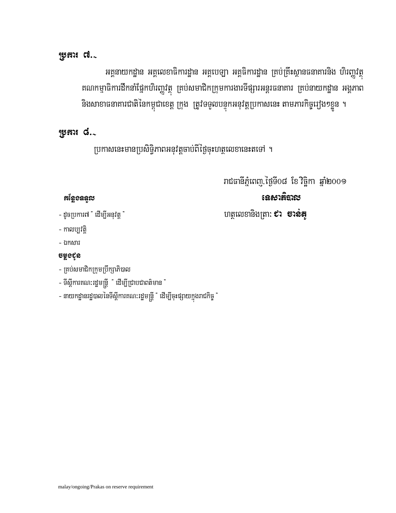$5531$   $\alpha$ .

អគ្គនាយកដ្ឋាន អគ្គលេខាធិការដ្ឋាន អគ្គបេឡា អគ្គធិការដ្ឋាន គ្រប់គ្រឹះស្ថានធនាគារនិង ហិរញ្ញវត្ថុ គណកម្មាធិការដឹកនាំផ្នែកហិរញ្ញវត្ថុ គ្រប់សមាជិកក្រុមការងារទីផ្សារអន្តរធនាគារ គ្រប់នាយកដ្ឋាន អង្គភាព និងសាខាធនាគារជាតិនៃកម្ពុជាខេត្ត ក្រុង ត្រូវទទួលបន្ទុកអនុវត្តប្រកាសនេះ តាមភារកិច្ចរៀង១ខ្លួន ។

# ថ្ងៃគារ  $\mathbf{d}_{\cdot\mathbf{v}}$

ប្រកាសនេះមានប្រសិទ្ធិភាពអនុវត្តចាប់ពីថ្ងៃចុះហត្ថលេខានេះតទៅ ។

រាជធានីភ្នំពេញ,ថ្ងៃទី០៨ ខែវិច្ឆិកា ឆ្នាំ២០០១

នេសរត៌បាល

# អន្ថែទទទួល

# ហត្ថលេខានិងត្រា**: ៩រ ខាន់ត្**

- ដូចប្រការ៧ " ដើម្បីអនុវត្ត "
- កាលប្បវត្តិ
- ឯកសារ

# **ugoca**

- គ្រប់សមាជិកក្រុមប្រឹក្សាភិបាល
- ទីស្តីការគណ:រដ្ឋមន្ត្រី ឺ ដើម្បីជ្រាបជាពត៌មាន ឺ
- នាយកដ្ឋានរដ្ឋបាលនៃទីស្តីការគណ:រដ្ឋមន្ត្រី " ដើម្បីចុះផ្សាយក្នុងរាជកិច្ច "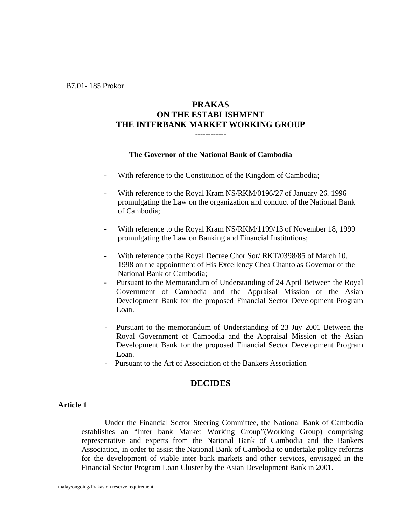B7.01- 185 Prokor

#### **PRAKAS ON THE ESTABLISHMENT THE INTERBANK MARKET WORKING GROUP**  ------------

#### **The Governor of the National Bank of Cambodia**

- With reference to the Constitution of the Kingdom of Cambodia;
- With reference to the Royal Kram NS/RKM/0196/27 of January 26. 1996 promulgating the Law on the organization and conduct of the National Bank of Cambodia;
- With reference to the Royal Kram NS/RKM/1199/13 of November 18, 1999 promulgating the Law on Banking and Financial Institutions;
- With reference to the Royal Decree Chor Sor/ RKT/0398/85 of March 10. 1998 on the appointment of His Excellency Chea Chanto as Governor of the National Bank of Cambodia;
- Pursuant to the Memorandum of Understanding of 24 April Between the Royal Government of Cambodia and the Appraisal Mission of the Asian Development Bank for the proposed Financial Sector Development Program Loan.
- Pursuant to the memorandum of Understanding of 23 Juy 2001 Between the Royal Government of Cambodia and the Appraisal Mission of the Asian Development Bank for the proposed Financial Sector Development Program Loan.
- Pursuant to the Art of Association of the Bankers Association

#### **DECIDES**

#### **Article 1**

Under the Financial Sector Steering Committee, the National Bank of Cambodia establishes an "Inter bank Market Working Group"(Working Group) comprising representative and experts from the National Bank of Cambodia and the Bankers Association, in order to assist the National Bank of Cambodia to undertake policy reforms for the development of viable inter bank markets and other services, envisaged in the Financial Sector Program Loan Cluster by the Asian Development Bank in 2001.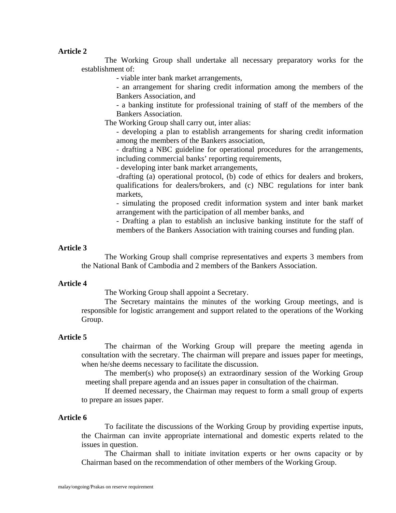#### **Article 2**

The Working Group shall undertake all necessary preparatory works for the establishment of:

- viable inter bank market arrangements,

- an arrangement for sharing credit information among the members of the Bankers Association, and

- a banking institute for professional training of staff of the members of the Bankers Association.

The Working Group shall carry out, inter alias:

- developing a plan to establish arrangements for sharing credit information among the members of the Bankers association,

- drafting a NBC guideline for operational procedures for the arrangements, including commercial banks' reporting requirements,

- developing inter bank market arrangements,

-drafting (a) operational protocol, (b) code of ethics for dealers and brokers, qualifications for dealers/brokers, and (c) NBC regulations for inter bank markets,

- simulating the proposed credit information system and inter bank market arrangement with the participation of all member banks, and

- Drafting a plan to establish an inclusive banking institute for the staff of members of the Bankers Association with training courses and funding plan.

#### **Article 3**

The Working Group shall comprise representatives and experts 3 members from the National Bank of Cambodia and 2 members of the Bankers Association.

#### **Article 4**

The Working Group shall appoint a Secretary.

The Secretary maintains the minutes of the working Group meetings, and is responsible for logistic arrangement and support related to the operations of the Working Group.

#### **Article 5**

The chairman of the Working Group will prepare the meeting agenda in consultation with the secretary. The chairman will prepare and issues paper for meetings, when he/she deems necessary to facilitate the discussion.

The member(s) who propose(s) an extraordinary session of the Working Group meeting shall prepare agenda and an issues paper in consultation of the chairman.

If deemed necessary, the Chairman may request to form a small group of experts to prepare an issues paper.

#### **Article 6**

To facilitate the discussions of the Working Group by providing expertise inputs, the Chairman can invite appropriate international and domestic experts related to the issues in question.

The Chairman shall to initiate invitation experts or her owns capacity or by Chairman based on the recommendation of other members of the Working Group.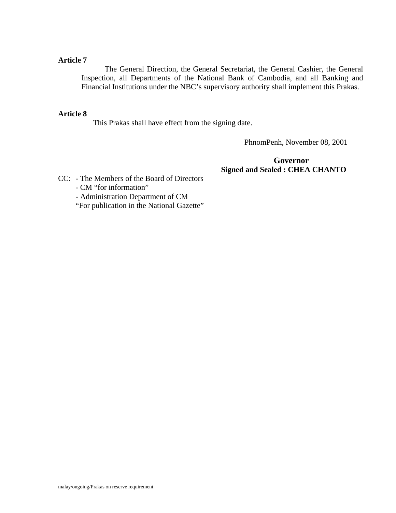#### **Article 7**

The General Direction, the General Secretariat, the General Cashier, the General Inspection, all Departments of the National Bank of Cambodia, and all Banking and Financial Institutions under the NBC's supervisory authority shall implement this Prakas.

#### **Article 8**

This Prakas shall have effect from the signing date.

PhnomPenh, November 08, 2001

### **Governor Signed and Sealed : CHEA CHANTO**

CC: - The Members of the Board of Directors

- CM "for information"

- Administration Department of CM

"For publication in the National Gazette"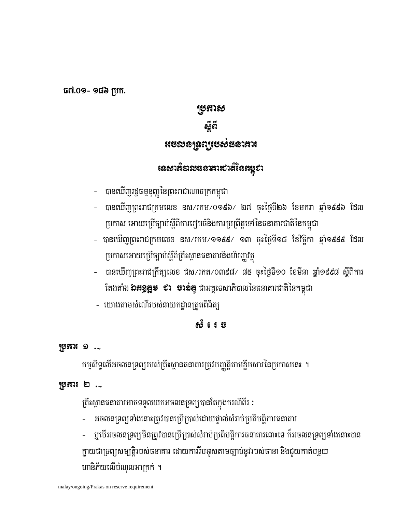ឬបើអចលនទ្រព្យមិនត្រូវបានប្រើប្រាស់សំរាប់ប្រតិបត្តិការធនាគារនោះទេ ក៏អចលនទ្រព្យទាំងនោះបាន  $\frac{1}{2}$ ក្លាយជាទ្រព្យសម្បត្តិរបស់ធនាគារ ដោយការីរឹបអូសតាមច្បាប់នូវរបស់ធានា និងជួយកាត់បន្ថយ ហានិភ័យលើបំណុលអាក្រក់ ។

អចលនទ្រព្យទាំងនោះត្រូវបានប្រើប្រាស់ដោយផ្ទាល់សំរាប់ប្រតិបត្តិការធនាគារ

ត្រឹះស្ថានធនាគារអាចទទួលយកអចលនទ្រព្យបានតែក្នុងករណីពីរ :

## ថ្ងៃគារ ២ $\ldots$

កម្មសិទ្ធលើអចលនទ្រព្យរបស់គ្រឹះស្ថានធនាគារត្រូវបញ្ញត្តិតាមខ្លឹមសារនៃប្រកាសនេះ ។

### ថ្ងៃការ ១ $\,$  . $\scriptstyle\sim$

# សំ ៖ ៖ ទ

- យោងតាមសំណើរបស់នាយកដ្ឋានត្រួតពិនិត្យ

តែងតាំង **៦ភ3្ទត្តូទ ៩រ ខាត់ត្** ជាអគ្គទេសាភិបាលនៃធនាគារជាតិនៃកម្ពុជា

- ប្រកាសអោយប្រើច្បាប់ស្តីពីគ្រឹះស្ថានធនាគារនិងហិរញ្ញវត្ថ – បានឃើញព្រះរាជក្រឹត្យលេខ ជស/រកត/០៣៩៨/ ៨៥ ចុះថ្ងៃទី១០ ខែមីនា ឆ្នាំ១៩៩៨ ស្តីពីការ
- ប្រកាស អោយប្រើច្បាប់ស្តីពីការរៀបចំនិងការប្រព្រឹត្តទៅនៃធនាគារជាតិនៃកម្ពុជា – បានឃើញព្រះរាជក្រមលេខ នស/រកម/១១៩៩/ ១៣ ចុះថ្ងៃទី១៨ ខែវិច្ឆិកា ឆ្នាំ១៩៩៩ ដែល
- បានឃើញព្រះរាជក្រមលេខ នស/រកម/០១៩៦/ ២៧ ចុះថ្ងៃទី២៦ ខែមករា ឆ្នាំ១៩៩៦ ដែល
- បានឃើញរដ្ឋធម្មនុញ្ញនៃព្រះរាជាណាចក្រកម្ពុជា

# เฉ<sub>ี</sub>่ยาส์ฉาชธอาสาเชาลิไอหยูชา

# **ห**ฮฺฮฺจฺรุตฺฺฺฺรุย๛ํฺฮฺจาตาร

ช์ดี

# **ប្រភាស**

ធ៧.០១- ១៨៦ ប្រក.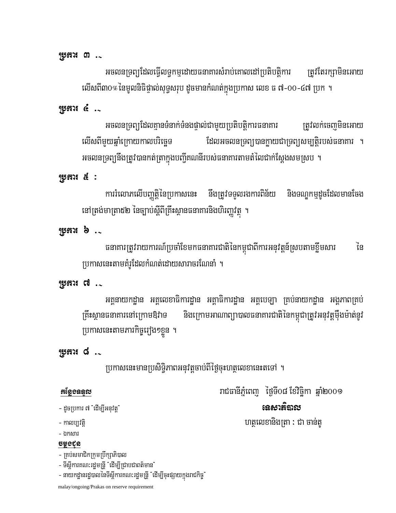$\frac{1}{2}$ ម្ភះអា ៣..

អចលនទ្រព្យដែលធ្វើលទ្ធកម្មដោយធនាគារសំរាប់គោលដៅប្រតិបត្តិការ ត្រូវតែរក្សាមិនអោយ លើសពី៣០% នៃមូលនិធិផ្ទាល់សុទ្ធសរុប ដូចមានកំណត់ក្នុងប្រកាស លេខ ធ ៧–០០–៤៧ ប្រក ។

# isun  $\zeta$  ...

អចលនទ្រព្យដែលគ្មានទំនាក់ទំនងផ្ទាល់ជាមួយប្រតិបត្តិការធនាគារ ត្រូវលក់ចេញមិនអោយ លើសពីមួយឆ្នាំក្រោយកាលបរិច្ឆេទ ដែលអចលនទ្រព្យបានក្លាយជាទ្រព្យសម្បត្តិរបស់ធនាគារ ។ អចលនទ្រព្យនឹងត្រូវបានកត់ត្រាក្នុងបញ្ជីគណនីរបស់ធនាគារតាមតំលៃជាក់ស្តែងសមស្រប ។

### ម្តែងរា ៥:

ការរំលោភលើបញ្ញត្តិនៃប្រកាសនេះ នឹងត្រូវទទួលរងការពិន័យ និងទណ្ឌកម្មដូចដែលមានចែង នៅត្រង់មាត្រា៥២ នៃច្បាប់ស្តីពីគ្រឹះស្ថានធនាគារនិងហិរញ្ញវត្ថុ ។

# ប្រុការ  $\mathbf b$  ...

ធនាគារត្រូវរាយការណ៍ប្រចាំខែមកធនាគារជាតិនៃកម្ពុជាពីការអនុវត្តន៍ស្របតាមខ្លឹមសារ ទែ ប្រកាសនេះតាមគំរូដែលកំណត់ដោយសារាចរណែនាំ ។

# រុបអារ ៧ . $\scriptstyle\sim$

អគ្គនាយកដាន អគុលេខាធិការដាន អគ្គាធិការដាន អគុបេទ្យា គ្រប់នាយកដាន អង្គភាពគ្រប់ ត្រឹះស្ថានធនាគារនៅក្រោមឱ្យវាទ និងក្រោមអាណាព្យាបាលធនាគារជាតិនៃកម្ពុជាត្រូវអនុវត្តថ្មឹងម៉ាត់នូវ ប្រកាសនេះតាមភារកិច្ចរឿង១ខ្លួន ។

## ម្រូតារ ៨ . $\Box$

ប្រកាសនេះមានប្រសិទ្ធិភាពអនុវត្តចាប់ពីថ្ងៃចុះហត្ថលេខានេះតទៅ ។

រាជធានីភ្នំពេញ ថ្ងៃទី០៨ ខែវិច្ឆិកា ឆ្នាំ២០០១

អន្ថែទឧន្ទរប

- ដូចប្រការ ៧ "ដើម្បីអនុវត្ត"
- កាលប្បវត្តិ
- ឯកសារ

### usocr

- គ្រប់សមាជិកក្រុមប្រឹក្សាភិបាល
- ទីស្តីការគណ:រដ្ឋមន្ត្រី "ដើម្បីជ្រាបជាពតិមាន"
- នាយកដ្ឋានរដ្ឋបាលនៃទីស្តីការគណ:រដ្ឋមន្ត្រី "ដើម្បីចុះផ្សាយក្នុងរាជកិច្ច"

# នេសវត៌ិងរប

ហត្ថលេខានិងត្រា : ជា ចាន់តួ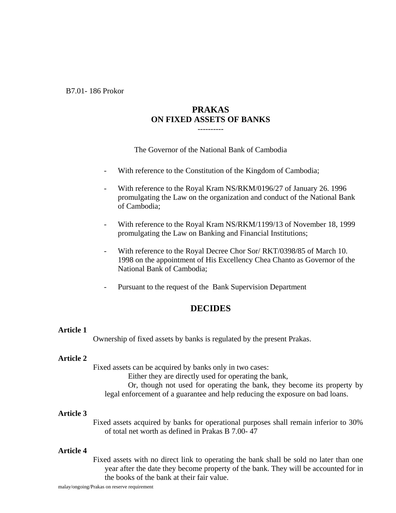B7.01- 186 Prokor

### **PRAKAS ON FIXED ASSETS OF BANKS**  ----------

The Governor of the National Bank of Cambodia

- With reference to the Constitution of the Kingdom of Cambodia;
- With reference to the Royal Kram NS/RKM/0196/27 of January 26. 1996 promulgating the Law on the organization and conduct of the National Bank of Cambodia;
- With reference to the Royal Kram NS/RKM/1199/13 of November 18, 1999 promulgating the Law on Banking and Financial Institutions;
- With reference to the Royal Decree Chor Sor/ RKT/0398/85 of March 10. 1998 on the appointment of His Excellency Chea Chanto as Governor of the National Bank of Cambodia;
- Pursuant to the request of the Bank Supervision Department

### **DECIDES**

#### **Article 1**

Ownership of fixed assets by banks is regulated by the present Prakas.

#### **Article 2**

Fixed assets can be acquired by banks only in two cases:

Either they are directly used for operating the bank,

 Or, though not used for operating the bank, they become its property by legal enforcement of a guarantee and help reducing the exposure on bad loans.

#### **Article 3**

 Fixed assets acquired by banks for operational purposes shall remain inferior to 30% of total net worth as defined in Prakas B 7.00- 47

#### **Article 4**

 Fixed assets with no direct link to operating the bank shall be sold no later than one year after the date they become property of the bank. They will be accounted for in the books of the bank at their fair value.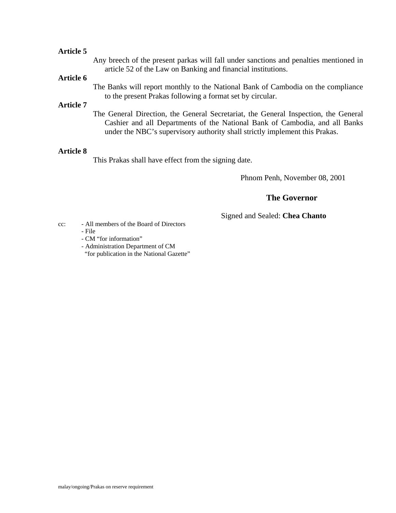#### **Article 5**

 Any breech of the present parkas will fall under sanctions and penalties mentioned in article 52 of the Law on Banking and financial institutions.

#### **Article 6**

 The Banks will report monthly to the National Bank of Cambodia on the compliance to the present Prakas following a format set by circular.

#### **Article 7**

 The General Direction, the General Secretariat, the General Inspection, the General Cashier and all Departments of the National Bank of Cambodia, and all Banks under the NBC's supervisory authority shall strictly implement this Prakas.

#### **Article 8**

This Prakas shall have effect from the signing date.

Phnom Penh, November 08, 2001

### **The Governor**

Signed and Sealed: **Chea Chanto**

cc: - All members of the Board of Directors

#### - File

- CM "for information"
- Administration Department of CM
- "for publication in the National Gazette"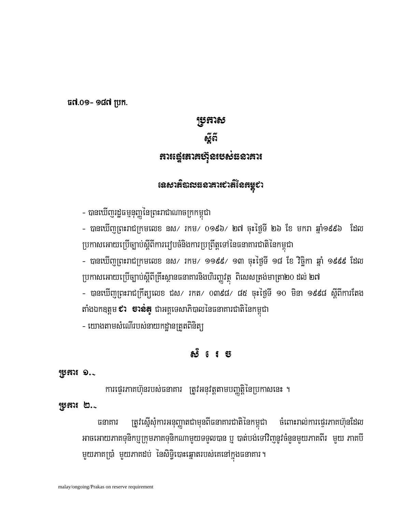ត្រូវស្នើសុំការអនុញ្ញាតជាមុនពីធនាគារជាតិនៃកម្ពុជា ចំពោះរាល់ការថ្ទេរភាគហ៊ុនដែល ធនាគារ អាចអោយភាគទុនិកឬក្រុមភាគទុនិកណាមួយទទួលបាន ឬ បាត់បង់ទៅវិញនូវចំនួនមួយភាគពីរ មួយ ភាគបី មួយភាគប្រាំ មួយភាគដប់ នៃសិទ្ធិបោះឆ្នោតរបស់គេនៅក្នុងធនាគារ។

ថ្ងៃអ៊ារ ១. $\scriptstyle\mathtt{.}$ 

ថ្ងៃគារ ២. $\scriptstyle\mathtt{.}$ 

# <u>ක් 15</u>

ការផ្ទេរភាគហ៊ុនរបស់ធនាគារ ត្រូវអនុវត្តតាមបញ្ញត្តិនៃប្រកាសនេះ ។

- យោងតាមសំណើរបស់នាយកដ្ឋានត្រួតពិនិត្យ

តាំងឯកឧត្តម **ខា ខាន់ត្** ជាអគ្គទេសាភិបាលនៃធនាគារជាតិនៃកម្ពុជា

ប្រកាសអោយប្រើច្បាប់ស្តីពីក្រឹះស្ថានធនាគារនិងហិរញ្ញវត្ថុ ពិសេសត្រង់មាត្រា២០ ដល់ ២៧ – បានឃើញព្រះរាជក្រឹត្យលេខ ជស/ រកត/ ០៣៩៨/ ៨៥ ចុះថ្ងៃទី ១០ មិនា ១៩៩៨ ស្តីពីការតែង

ប្រកាសអោយប្រើច្បាប់ស្តីពីការរៀបចំនិងការប្រព្រឹត្តទៅនៃធនាគារជាតិនៃកម្ពុជា – បានឃើញព្រះរាជក្រមលេខ នស⁄ារកម/ ១១៩៩/ ១៣ ចុះថ្ងៃទី ១៨ ខែ វិច្ឆិកា ឆ្នាំ ១៩៩៩ ដែល

– បានឃើញរដ្ឋធម្មនុញ្ញនៃព្រះរាជាណាចក្រកម្ពុជា - បានឃើញព្រះរាជក្រមលេខ នស/ រកម/ ០១៩៦/ ២៧ ចុះថ្ងៃទី ២៦ ខែ មករា ឆ្នាំ១៩៩៦ ដែល

# เฉ<sub>ี</sub>่ยวล็ฉาชะอาสาเชาลิเ๊อสะูชา

# ប្រុកាស <u> ស្ត័</u>ពី **หาแ**ช่เสาตติลเยស์ฮลาตาเ

ធ៧.០១- ១៨៧ ប្រក.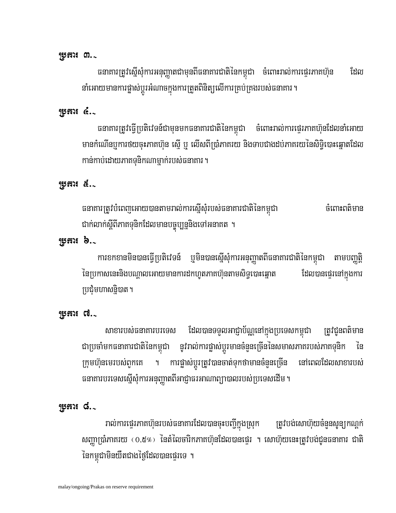### $\mathfrak{P}$ รรา  $\mathfrak{m}_{\sim}$

ធនាគារត្រូវស្នើសុំការអនុញ្ញាតជាមុនពីធនាគារជាតិនៃកម្ពុជា ចំពោះរាល់ការផ្ទេរភាគហ៊ុន ដែល នាំអោយមានការផ្លាស់ប្តូរអំណាចក្នុងការត្រួតពិនិត្យលើការត្រប់គ្រងរបស់ធនាគារ ។

# iran  $\zeta$ .

ធនាគារត្រូវធ្វើប្រតិវេទន៍ជាមុនមកធនាគារជាតិនៃកម្ពុជា ចំពោះរាល់ការផ្ទេរភាគហ៊ុនដែលនាំអោយ មានកំណើនឬការថយចុះភាគហ៊ុន ស្មើ ឬ លើសពីប្រាំភាគរយ និងទាបជាងដប់ភាគរយនៃសិទ្ធិបោះឆ្នោតដែល កាន់កាប់ដោយភាគទូនិកណាម្នាក់របស់ធនាគារ ។

# ibhai $\,$  g. $\,$

ធនាគារត្រូវបំពេញអោយបានតាមរាល់ការស្នើសុំរបស់ធនាគារជាតិនៃកម្ពុជា ចំពោះពត៌មាន ជាក់លាក់ស្តីពីភាគទុនិកដែលមានបច្ចុប្បន្ននិងទៅអនាគត ។

# $\mathfrak{psm}$   $\mathfrak{d}_{\sim}$

ការខកខានមិនបានធ្វើប្រតិវេទន៍ ឬមិនបានស្នើសុំការអនុញ្ញាតពីធនាគារជាតិនៃកម្ពុជា តាមបញ្ញត្តិ ំនៃប្រកាសនេះនិងបណ្តាលអោយមានការដកហូតភាគហ៊ុនតាមសិទ្ធបោះឆ្នោត ដែលបានផ្ទេរនៅក្នុងការ ក្រូជុំមហាសន្និបាត ។

## ថ្ងៃអារ $\alpha_{\cdot}$

សាខារបស់ធនាគារបរទេស ដែលបានទទួលអាជ្ញាប័ណ្ណនៅក្នុងប្រទេសកម្ពុជា ត្រូវជូនពត៌មាន ដាប្រចាំមកធនាគារជាតិនៃកម្ពុជា នូវរាល់ការផ្លាស់ប្តូរមានចំនួនច្រើននៃសមាសភាគរបស់ភាគទុនិក នៃ ក្រុមហ៊ុនមេរបស់ពួកគេ ។ ការផ្លាស់ប្តូរត្រូវបានចាត់ទុកថាមានចំនួនច្រើន នៅពេលដែលសាខារបស់ ធនាគារបរទេសស្នើសុំការអនុញ្ញាតពីអាជ្ញាធរអាណាព្យាបាលរបស់ប្រទេសដើម ។

# ប្រុការ  $\mathbf{d}_{\cdot\mathbf{w}}$

 $\,$ រាល់ការផ្ទេររកាតហ៊ុនរបស់ធនាគារដែលបានចុះបញ្ចឹក្នុងស្រុក ត្រូវបង់សោហ៊ុយចំនួនសួនក្រណ្តក់ សញ្ញាប្រាំភាគរយ  $(0.5\%)$  នៃតំលៃចារិកភាគហ៊ុនដែលបានផេ្ទរ ។ សោហ៊ុយនេះត្រូវបង់ជួនធនាគារ ជាតិ នៃកម្ពុជាមិនយឺតជាងថ្ងៃដែលបានផ្ទេរទេ ។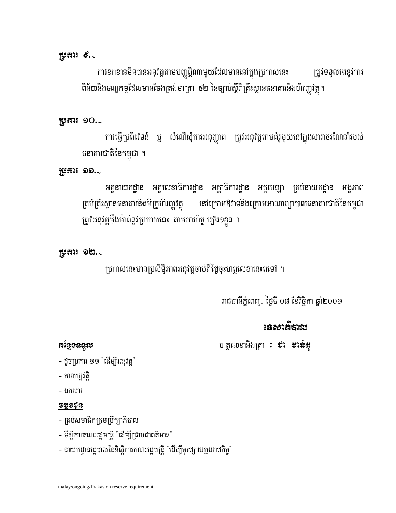### $55316.$

ការខកខានមិនបានអនុវត្តតាមបញ្ហត្តិណាមួយដែលមាននៅក្នុងប្រកាសនេះ ត្រូវទទួលរងនូវការ ពិន័យនិងទណ្ឌកម្មដែលមានថែងត្រង់មាត្រា ៥២ នៃច្បាប់ស្តីពីគ្រឹះស្ថានធនាគារនិងហិរញ្ហវត្ថុ។

### ថ្ងៃការ  $90.2$

ការធ្វើប្រតិវេទន៍ ឬ សំណើសុំការអនុញ្ញាត ត្រូវអនុវត្តតាមគំរូមួយនៅក្នុងសារាចរណែនាំរបស់ ធនាគារជាតិនៃកម្ពុជា ។

### $\frac{1}{2}$ ชีที่มี 99. $\sim$

អគ្គនាយកដ្ឋាន អគ្គលេខាធិការដ្ឋាន អគ្គាធិការដ្ឋាន អគ្គបេឡា គ្រប់នាយកដ្ឋាន អង្គភាព គ្រប់គ្រឹះស្ថានធនាគារនិងមីក្រូហិរញ្ញវត្ថុ នៅក្រោមឱវាទនិងក្រោមអាណាព្យាបាលធនាគារជាតិនៃកម្ពុជា ត្រូវអនុវត្តម៉ឺងម៉ាត់នូវប្រកាសនេះ តាមភារកិច្ច រេ្យង១ខ្លួន ។

### ថ្ងៃការ ១២. $_{\sim}$

ប្រកាសនេះមានប្រសិទ្ធិភាពអនុវត្តចាប់ពីថ្ងៃចុះហត្ថលេខានេះតទៅ ។

រាជធានីភ្នំពេញ, ថ្ងៃទី ០៨ ខែវិច្ឆិកា ឆ្នាំ២០០១

# នេសាតិបាល

### កន្<u>ថែលទទួល</u>

បាត្តលេខានិងត្រា $:$   $\mathfrak{C}$ រ ចាន់ត្

- ដូចប្រការ ១១ "ដើម្បីអនុវត្ត"
- កាលប្បវត្តិ
- ឯកសារ

### ugocr

- គ្រប់សមាជិកក្រុមប្រឹក្សាភិបាល
- ទីស្តីការគណ:រដ្ឋមន្ត្រី "ដើម្បីជ្រាបជាពត៌មាន"
- នាយកដ្ឋានរដ្ឋបាលនៃទីស្តីការគណៈរដ្ឋមន្ត្រី "ដើម្បីចុះផ្សាយក្នុងរាជកិច្ច"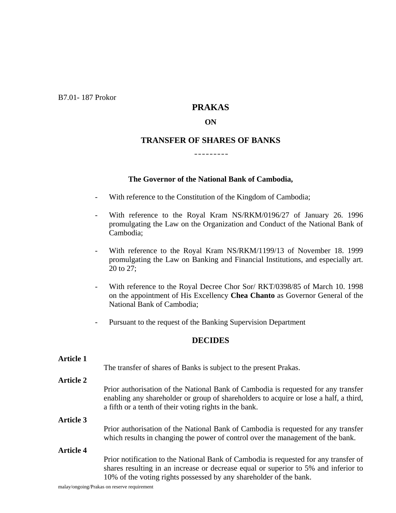B7.01- 187 Prokor

### **PRAKAS**

#### **ON**

### **TRANSFER OF SHARES OF BANKS**  ---------

#### **The Governor of the National Bank of Cambodia,**

- With reference to the Constitution of the Kingdom of Cambodia;
- With reference to the Royal Kram NS/RKM/0196/27 of January 26. 1996 promulgating the Law on the Organization and Conduct of the National Bank of Cambodia;
- With reference to the Royal Kram NS/RKM/1199/13 of November 18. 1999 promulgating the Law on Banking and Financial Institutions, and especially art. 20 to 27;
- With reference to the Royal Decree Chor Sor/ RKT/0398/85 of March 10. 1998 on the appointment of His Excellency **Chea Chanto** as Governor General of the National Bank of Cambodia;
- Pursuant to the request of the Banking Supervision Department

#### **DECIDES**

| <b>Article 1</b> |                                                                                                                                                                                                                                                                                                                                                                                                             |
|------------------|-------------------------------------------------------------------------------------------------------------------------------------------------------------------------------------------------------------------------------------------------------------------------------------------------------------------------------------------------------------------------------------------------------------|
|                  | The transfer of shares of Banks is subject to the present Prakas.                                                                                                                                                                                                                                                                                                                                           |
| <b>Article 2</b> |                                                                                                                                                                                                                                                                                                                                                                                                             |
|                  | Prior authorisation of the National Bank of Cambodia is requested for any transfer<br>enabling any shareholder or group of shareholders to acquire or lose a half, a third,<br>a fifth or a tenth of their voting rights in the bank.                                                                                                                                                                       |
| <b>Article 3</b> |                                                                                                                                                                                                                                                                                                                                                                                                             |
|                  | Prior authorisation of the National Bank of Cambodia is requested for any transfer<br>which results in changing the power of control over the management of the bank.                                                                                                                                                                                                                                       |
| <b>Article 4</b> |                                                                                                                                                                                                                                                                                                                                                                                                             |
|                  | Prior notification to the National Bank of Cambodia is requested for any transfer of<br>$\frac{1}{1}$ $\frac{1}{1}$ $\frac{1}{1}$ $\frac{1}{1}$ $\frac{1}{1}$ $\frac{1}{1}$ $\frac{1}{1}$ $\frac{1}{1}$ $\frac{1}{1}$ $\frac{1}{1}$ $\frac{1}{1}$ $\frac{1}{1}$ $\frac{1}{1}$ $\frac{1}{1}$ $\frac{1}{1}$ $\frac{1}{1}$ $\frac{1}{1}$ $\frac{1}{1}$ $\frac{1}{1}$ $\frac{1}{1}$ $\frac{1}{1}$ $\frac{1}{1}$ |

shares resulting in an increase or decrease equal or superior to 5% and inferior to 10% of the voting rights possessed by any shareholder of the bank.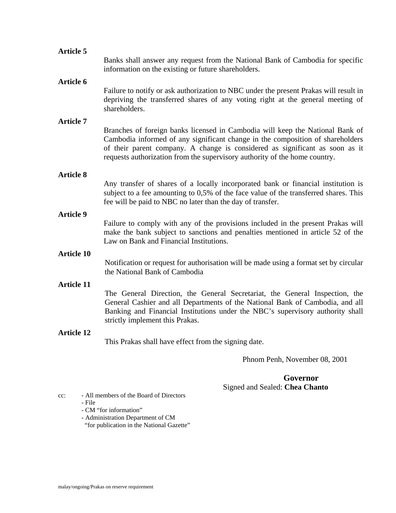| <b>Article 5</b>  | Banks shall answer any request from the National Bank of Cambodia for specific<br>information on the existing or future shareholders.                                                                                                                                                                                         |
|-------------------|-------------------------------------------------------------------------------------------------------------------------------------------------------------------------------------------------------------------------------------------------------------------------------------------------------------------------------|
| <b>Article 6</b>  | Failure to notify or ask authorization to NBC under the present Prakas will result in<br>depriving the transferred shares of any voting right at the general meeting of<br>shareholders.                                                                                                                                      |
| <b>Article 7</b>  | Branches of foreign banks licensed in Cambodia will keep the National Bank of<br>Cambodia informed of any significant change in the composition of shareholders<br>of their parent company. A change is considered as significant as soon as it<br>requests authorization from the supervisory authority of the home country. |
| <b>Article 8</b>  | Any transfer of shares of a locally incorporated bank or financial institution is<br>subject to a fee amounting to 0,5% of the face value of the transferred shares. This<br>fee will be paid to NBC no later than the day of transfer.                                                                                       |
| <b>Article 9</b>  | Failure to comply with any of the provisions included in the present Prakas will<br>make the bank subject to sanctions and penalties mentioned in article 52 of the<br>Law on Bank and Financial Institutions.                                                                                                                |
| <b>Article 10</b> | Notification or request for authorisation will be made using a format set by circular<br>the National Bank of Cambodia                                                                                                                                                                                                        |
| <b>Article 11</b> | The General Direction, the General Secretariat, the General Inspection, the<br>General Cashier and all Departments of the National Bank of Cambodia, and all<br>Banking and Financial Institutions under the NBC's supervisory authority shall<br>strictly implement this Prakas.                                             |
| <b>Article 12</b> | This Prakas shall have effect from the signing date.                                                                                                                                                                                                                                                                          |
|                   | Phnom Penh, November 08, 2001                                                                                                                                                                                                                                                                                                 |
|                   | Governor                                                                                                                                                                                                                                                                                                                      |

Signed and Sealed: **Chea Chanto**

cc: - All members of the Board of Directors

#### - File

- CM "for information"
- Administration Department of CM
- "for publication in the National Gazette"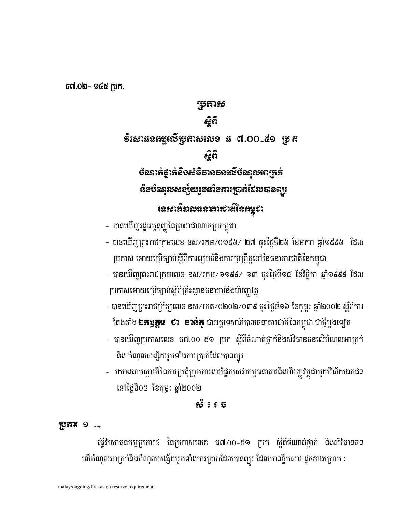លើបំណុលអាក្រក់និងបំណុលសង្ស័យរួមទាំងការប្រាក់ដែលបានព្យួរ ដែលមានខ្លីមសារ ដូចខាងក្រោម :

# សំរេទ

### ថ្ងៃការ ១ $\,$  . $\scriptstyle\sim$

ធ្វើវិសោធនកម្មប្រការ៤ នៃប្រកាសលេខ ធ៧.០០-៥១ ប្រក ស្តីពីចំណាត់ថ្នាក់ និងសិវិធានធន

– បានឃើញប្រកាសលេខ ធ៧.០០–៥១ ប្រក ស្តីពីចំណាត់ថ្នាក់និងសិវិធានធនលើបំណុលអាក្រក់ និង បំណុលសង្ស័យរួមទាំងការប្រាក់ដែលបានព្យួរ

– យោងតាមស្មារតីនៃការប្រជុំក្រុមការងារផ្នែកសេវាកម្មធនាគារនិងហិរញ្ញវត្ថុជាមួយវិស័យឯកជន

- បានឃើញព្រះរាជក្រឹត្យលេខ នស/រកត/០២០២/០៣៩ ចុះថ្ងៃទី១៦ ខែកុម្ភ: ឆ្នាំ២០០២ ស្តីពីការ តែងតាំង **៦ភ3្ទត្តូម ៩រ មាន់ត្** ជាអគ្គទេសាភិបាលធនាគារជាតិនៃកម្ពុជា ជាថ្មីម្តងទ្បេត
- ប្រកាសអោយប្រើច្បាប់ស្តីពីគ្រឹះស្ថានធនាគារនិងហិរញ្ញវត្ថ
- ប្រកាស អោយប្រើច្បាប់ស្តីពីការរៀបចំនិងការប្រព្រឹត្តទៅនៃធនាគារជាតិនៃកម្ពុជា – បានឃើញព្រះរាជក្រមលេខ នស/រកម/១១៩៩/ ១៣ ចុះថ្ងៃទី១៨ ខែវិច្ឆិកា ឆ្នាំ១៩៩៩ ដែល
- បានឃើញព្រះរាជក្រមលេខ នស/រកម/០១៩៦/ ២៧ ចុះថ្ងៃទី២៦ ខែមករា ឆ្នាំ១៩៩៦ ដែល
- បានឃើញរដ្ឋធម្មនុញ្ញនៃព្រះរាជាណាចក្រកម្ពុជា

នៅថ្ងៃទី០៥ ខែកុម្ភៈ ឆ្នាំ២០០២

# ទិសេាឆនគម្មលើប្រគាសលេខ ឆ ៧.០០.៥១ ប្រគ ธัติ <u> ซึ่ณาสู่ชานชอรติอะเชละชนต์ ซึ่นจนวันเป็นม</u> *ฉิอ*ชํฌจุฌฌอฺํุ๊เซฺฺเซลโอหาเหูาหัต้ณิณฉลอหูเ **เฉ**សาส์ฉาชธอาสาเชาส์เ็จห**ะ**ชา

ផ៧.០២- ១៤៥ ប្រក.

### 155785

ชัติ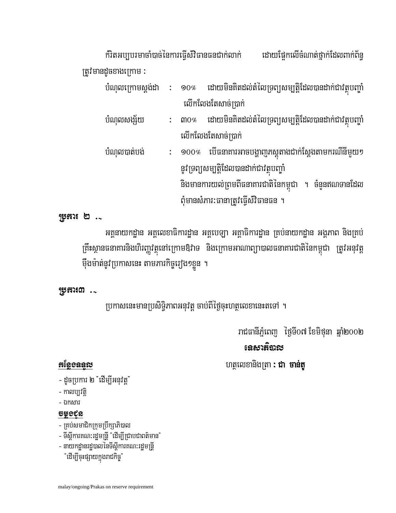ក៏រិតអប្បបរមាចាំបាច់នៃការធ្វើសិវិធានធនជាក់លាក់ ដោយផ្ចែកលើចំណាត់ថ្នាក់ដែលពាក់ព័ន្ធ ត្រូវមានដូចខាងក្រោម $:$ 

|              |  | បំណុលក្រោមស្តង់ដា : ១០ $\%$ ដោយមិនគិតដល់តំលៃទ្រព្យសម្បត្តិដែលបានដាក់ជាវត្ថបញ្ចាំ |
|--------------|--|----------------------------------------------------------------------------------|
|              |  | លើកលែងតែសាច់ប្រាក់                                                               |
| បំណុលសង្ស័យ  |  | $:$ ៣០%       ដោយមិនគិតដល់តំលៃទ្រព្យសម្បត្តិដែលបានដាក់ជាវត្ថុបញ្ចាំ              |
|              |  | លើកលែងតែសាច់ប្រាក់                                                               |
| បំណុលបាត់បង់ |  | $\,$ ១០០ $\,\%$ បើធនាគារអាចបង្ហាញភស្តុតាងជាក់ស្តែងតាមករណីនីមួយ១                  |
|              |  | នូវទ្រព្យសម្បត្តិដែលបានដាក់ជាវត្ថបញ្ចាំ                                          |
|              |  | និងមានការយល់ព្រមពីធនាគារជាតិនៃកម្ពុជា ។ ចំនួនឥណទានដែល                            |
|              |  | ពុំមានសំភារ: ធានាត្រូវធ្វើសិវិធានធន ។                                            |

### $\mathfrak{P}$ នារ ២ $\mathfrak{p}$

អគ្គនាយកដ្ឋាន អគ្គលេខាធិការដ្ឋាន អគ្គបេឡា អគ្គាធិការដ្ឋាន គ្រប់នាយកដ្ឋាន អង្គភាព និងគ្រប់ ក្រឹះស្ថានធនាគារនិងហិរញ្ញវត្ថុនៅក្រោមឱ្យវាទ និងក្រោមអាណាព្យាបាលធនាគារជាតិនៃកម្ពុជា ត្រូវអនុវត្ត ទុឹងម៉ាត់នូវប្រកាសនេះ តាមភារកិច្ចរៀង១ខ្លួន ។

### $R$ ម្ភារះ៣ . $\sim$

rបកាសនេះមានប្រសិទ្ធិភាពអនុវត្ត ចាប់ពីថ្ងៃចុះហត្ថលេខានេះតទៅ ។

nជធានីភ្នំពេញ ថ្ងៃទី០៧ ខែមិថុនា ឆ្នាំ២០០២ <u>នេសាតិបាល</u>

kEnøgTTYl htßelxanigRta ³ Ca can;tU

### - ដូចប្រការ ២ "ដើម្បីអនុវត្ត"

- កាលប្បវត្តិ
- ឯកសារ

### cmøgCUn

- គ្រប់សមាជិកក្រុមប្រឹក្សាភិបាល
- ទីស្តីការគណ:រដ្ឋមន្ត្រី "ដើម្បីជ្រាបជាពតិមាន"
- នាយកដ្ឋានរដ្ឋបាលនៃទីស្តីការគណៈរដ្ឋមន្ត្រី "ដើម្បីចុះផ្សាយក្នុងរាជកិច្ច"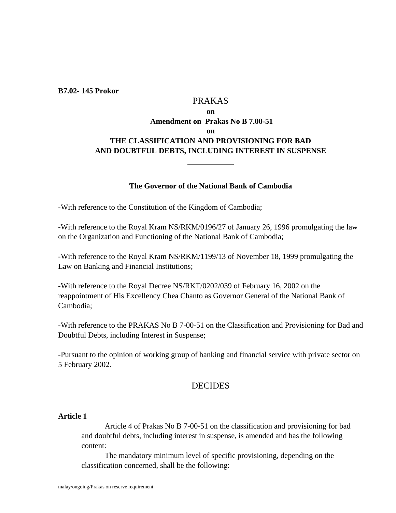#### **B7.02- 145 Prokor**

### PRAKAS

### **on**

### **Amendment on Prakas No B 7.00-51 on THE CLASSIFICATION AND PROVISIONING FOR BAD AND DOUBTFUL DEBTS, INCLUDING INTEREST IN SUSPENSE**

 $\overline{a}$ 

#### **The Governor of the National Bank of Cambodia**

-With reference to the Constitution of the Kingdom of Cambodia;

-With reference to the Royal Kram NS/RKM/0196/27 of January 26, 1996 promulgating the law on the Organization and Functioning of the National Bank of Cambodia;

-With reference to the Royal Kram NS/RKM/1199/13 of November 18, 1999 promulgating the Law on Banking and Financial Institutions;

-With reference to the Royal Decree NS/RKT/0202/039 of February 16, 2002 on the reappointment of His Excellency Chea Chanto as Governor General of the National Bank of Cambodia;

-With reference to the PRAKAS No B 7-00-51 on the Classification and Provisioning for Bad and Doubtful Debts, including Interest in Suspense;

-Pursuant to the opinion of working group of banking and financial service with private sector on 5 February 2002.

### **DECIDES**

#### **Article 1**

Article 4 of Prakas No B 7-00-51 on the classification and provisioning for bad and doubtful debts, including interest in suspense, is amended and has the following content:

The mandatory minimum level of specific provisioning, depending on the classification concerned, shall be the following: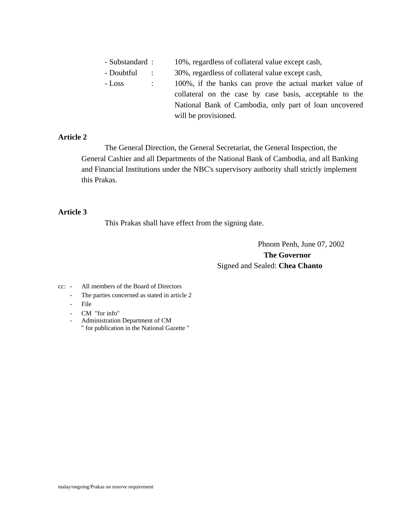| - Substandard : |        | 10%, regardless of collateral value except cash,        |
|-----------------|--------|---------------------------------------------------------|
| - Doubtful      | $\sim$ | 30%, regardless of collateral value except cash,        |
| - Loss          |        | 100%, if the banks can prove the actual market value of |
|                 |        | collateral on the case by case basis, acceptable to the |
|                 |        | National Bank of Cambodia, only part of loan uncovered  |
|                 |        | will be provisioned.                                    |

#### **Article 2**

The General Direction, the General Secretariat, the General Inspection, the General Cashier and all Departments of the National Bank of Cambodia, and all Banking and Financial Institutions under the NBC's supervisory authority shall strictly implement this Prakas.

#### **Article 3**

This Prakas shall have effect from the signing date.

 Phnom Penh, June 07, 2002 **The Governor**  Signed and Sealed: **Chea Chanto**

- cc: All members of the Board of Directors
	- The parties concerned as stated in article 2
	- File
	- CM "for info"
	- Administration Department of CM " for publication in the National Gazette "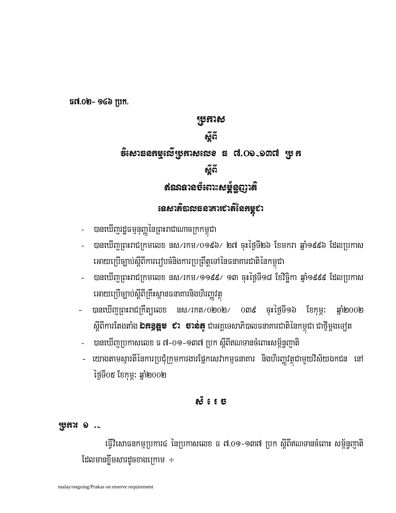ធ៧.០២- ១៤៦ ប្រក.

# **155165** ช์ดี ទិសេាឌឧគម្មលើប្រគាសលេខ ឌ ៧.០១.១៣៧ ប្រ.គ ช์ดี **สณาลาลซึเตาะ**ธรฐฐญาติ

## <u> เฉสาส์ฉาชธอาสาเชาลิเอสะรูชา</u>

- បានឃើញរដ្ឋធម្មនុញ្ញនៃព្រះរាជាណាចក្រកម្ពុជា
- បានឃើញព្រះរាជក្រមលេខ នស/រកម/09៩៦/ ២៧ ចុះថ្ងៃទី២៦ ខែមករា ឆ្នាំ១៩៩៦ ដែលប្រកាស អោយប្រើច្បាប់ស្តីពីការរៀបចំនិងការប្រព្រឹត្តទៅនៃធនាគារជាតិនៃកម្ពុជា
- បានឃើញព្រះរាជក្រមលេខ នស/រកម/១១៩៩/ ១៣ ចុះថ្ងៃទី១៨ ខែវិច្ឆិកា ឆ្នាំ១៩៩៩ ដែលប្រកាស អោយប្រើច្បាប់ស្តីពីត្រឹះស្ថានធនាគារនិងហិរញ្ញវត្ថុ
- បានឃើញព្រះរាជក្រឹត្យលេខ នស⁄រកត/0២0២/ 0៣៩ ចុះថ្ងៃទី១៦ ខែកុម្ភ: ឆាំ២០០២ ស្តីពីការតែងតាំង **៦ភ3្ទត្តូម ៩រ មាន់ត្** ជាអគ្គទេសាភិបាលធនាគារជាតិនៃកម្ពុជា ជាថ្មីម្តងទ្យេត
- បានឃើញប្រកាសលេខ ធ ៧-០១-១៣៧ ប្រក ស្តីពីឥណទានចំពោះសម្ព័ន្ធញាតិ
- យោងតាមស្មារតីនៃការប្រជុំក្រុមការងារផ្នែកសេវាកម្មធនាគារ និងហិរញ្ហវត្ថុជាមួយវិស័យឯកជន នៅ ថ្ងៃទី០៥ ខែកុម្ភៈ ឆ្នាំ២០០២

## <u>ක් 1</u> 5 ප

## $\mathfrak{P}$  ,  $\mathfrak{P}$  ,  $\mathfrak{P}$

ធ្វើវិសោធនកម្មប្រការ៤ នៃប្រកាសលេខ ធ ៧.០១-១៣៧ ប្រក ស្តីពីឥណទានចំពោះ សម្ព័ន្ធញាតិ ដែលមានខ្ទឹមសារដូចខាងក្រោម ÷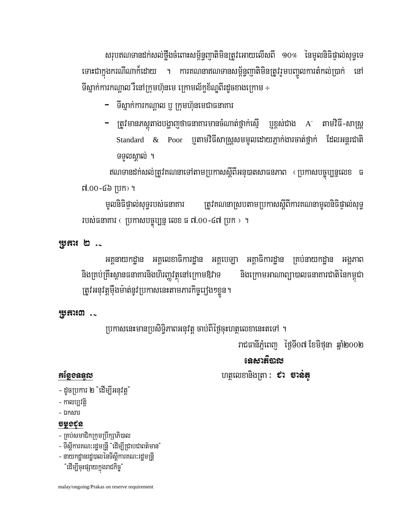សរុបឥណទានដក់សល់ថ្លឹងចំពោះសម្ព័ន្ធញាតិមិនត្រូវអោយលើសពី ១០% នៃមូលនិធិផ្ទាល់សុទ្ធទេ ទោះជាក្នុងករណីណាក៏ដោយ ។ ការគណនាឥណទានសម្ព័ន្ធញាតិមិនត្រូវរួមបញ្ចូលការតំកល់ប្រាក់ នៅ ទីស្នាក់ការកណ្តាល រឺនៅក្រុមហ៊ុនមេ ក្រោមល័ក្ខខ័ណ្ឌពីរដូចខាងក្រោម ÷

- ទីស្នាក់ការកណ្តាល ឬ ក្រុមហ៊ុនមេជាធនាគារ
- ត្រូវមានភស្តុតាងបង្ហាញថាធនាគារមានចំណាត់ថ្នាក់ស្មើ ឬខ្ពស់ជាង A<sup>-</sup> តាមវិធី–សាស្ត្រ Standard  $\&$  Poor ឬតាមវិធីសាស្រ្តសមមូលដោយភ្នាក់ងារចាត់ថ្នាក់ ដែលអន្តរជាតិ ទទួលស្គាល់ ។

ឥណទានដក់សល់ត្រូវគណនាទៅតាមប្រកាសស្តីពីអនុបាតសាធនភាព (ប្រកាសបច្ចុប្បន្នលេខ ធ  $(1.00 - G_0)$  ប្រក $(9.00 - G_0)$ 

មួលនិធិផាល់សុទ្ធរបស់ធនាគារ ត្រូវគណនាស្របតាមប្រកាសស្តីពីការគណនាមូលនិធិផាល់សុទ្ធ របស់ធនាគារ ( ប្រកាសបច្ចុប្បន្ន លេខ ធ ៧.០០-៤៧ ប្រក ) ។

## ប្រភរ៖ ២ $\,$  . $\scriptstyle\sim$

អគ្គនាយកដ្ឋាន អគ្គលេខាធិការដ្ឋាន អគ្គបេទ្យា អគ្គាធិការដ្ឋាន គ្រប់នាយកដ្ឋាន អង្គភាព និងគ្រប់គ្រឹះស្ថានធនាគារនិងហិរញ្ញវត្ថុនៅក្រោមឱ្យវាទ និងក្រោមអាណាព្យាបាលធនាគារជាតិនៃកម្ពុជា ត្រូវអនុវត្តម៉ឹងម៉ាត់នូវប្រកាសនេះតាមភារកិច្ចរឿង១ខ្លួន ។

## ថ្ងៃភារពា $\;$  . $\;$

ប្រកាសនេះមានប្រសិទ្ធិភាពអនុវត្ត ចាប់ពីថ្ងៃចុះហត្ថលេខានេះតទៅ ។

រាជធានីភ្នំពេញ ថ្ញៃទី០៧ ខែមិថុនា ឆ្នាំ២០០២

## នេសរតិបារប

ហត្ថលេខានិងត្រា : **៩រ ចាន់ត្** 

## **ก**เ้ฉอลลณ

- ដូចប្រការ ២ "ដើម្បីអនុវត្ត"
- កាលប្បវត្តិ
- ឯកសារ

## uyocr

- ត្រប់សមាជិកក្រុមប្រឹក្សាភិបាល
- ទីស្តីការឥណ:រដ្ឋមន្ត្រី "ដើម្បីជ្រាបជាពត៌មាន"
- នាយកដ្ឋានរដ្ឋបាលនៃទីស្តីការគណៈរដ្ឋមន្ត្រី "ដើម្បីចុះផ្សាយក្នុងរាជកិច្ច"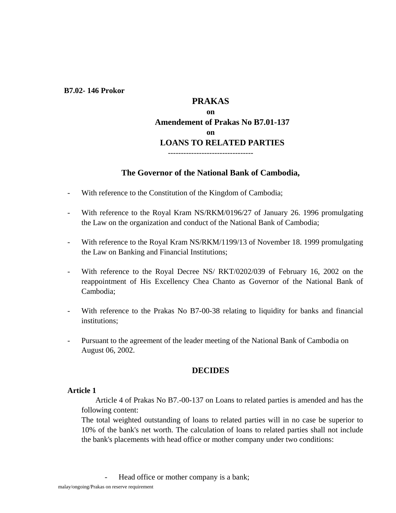#### **B7.02- 146 Prokor**

#### **PRAKAS**

#### **on Amendement of Prakas No B7.01-137 on LOANS TO RELATED PARTIES**  ---------------------------------

#### **The Governor of the National Bank of Cambodia,**

- With reference to the Constitution of the Kingdom of Cambodia;
- With reference to the Royal Kram NS/RKM/0196/27 of January 26. 1996 promulgating the Law on the organization and conduct of the National Bank of Cambodia;
- With reference to the Royal Kram NS/RKM/1199/13 of November 18. 1999 promulgating the Law on Banking and Financial Institutions;
- With reference to the Royal Decree NS/ RKT/0202/039 of February 16, 2002 on the reappointment of His Excellency Chea Chanto as Governor of the National Bank of Cambodia;
- With reference to the Prakas No B7-00-38 relating to liquidity for banks and financial institutions;
- Pursuant to the agreement of the leader meeting of the National Bank of Cambodia on August 06, 2002.

#### **DECIDES**

#### **Article 1**

Article 4 of Prakas No B7.-00-137 on Loans to related parties is amended and has the following content:

The total weighted outstanding of loans to related parties will in no case be superior to 10% of the bank's net worth. The calculation of loans to related parties shall not include the bank's placements with head office or mother company under two conditions:

Head office or mother company is a bank;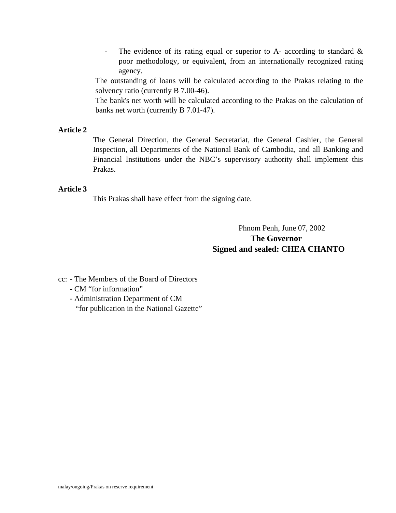- The evidence of its rating equal or superior to A- according to standard  $\&$ poor methodology, or equivalent, from an internationally recognized rating agency.

The outstanding of loans will be calculated according to the Prakas relating to the solvency ratio (currently B 7.00-46).

The bank's net worth will be calculated according to the Prakas on the calculation of banks net worth (currently B 7.01-47).

#### **Article 2**

The General Direction, the General Secretariat, the General Cashier, the General Inspection, all Departments of the National Bank of Cambodia, and all Banking and Financial Institutions under the NBC's supervisory authority shall implement this Prakas.

#### **Article 3**

This Prakas shall have effect from the signing date.

 Phnom Penh, June 07, 2002  **The Governor Signed and sealed: CHEA CHANTO** 

- cc: The Members of the Board of Directors
	- CM "for information"
	- Administration Department of CM "for publication in the National Gazette"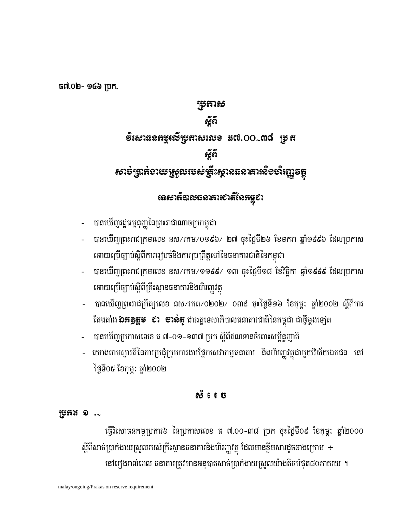ធ្វើវិសោធនកម្មប្រការ៦ នៃប្រកាសលេខ ធ ៧.០០-៣៨ ប្រក ចុះថ្ងៃទី០៩ ខែកុម្ភ: ឆ្នាំ២០០០ ស្តីពីសាច់ប្រាក់ងាយស្រួលរបស់គ្រឹះស្ថានធនាគារនិងហិរញ្ញវត្ថុ ដែលមានខ្លឹមសារដូចខាងក្រោម ÷ នៅរៀងរាល់ពេល ធនាគារត្រូវមានអនុបាតសាច់ប្រាក់ងាយស្រួលយ៉ាងតិចបំផុត៨០ភាគរយ ។

### ថ្ងៃការ ១ $\,$  . $\scriptstyle\sim$

- <u>សំ សេ ស</u>
- យោងតាមស្មារតីនៃការប្រជុំក្រុមការងារផ្នែកសេវាកម្មធនាគារ និងហិរញ្ហវត្ថុជាមួយវិស័យឯកជន នៅ ថ្ងៃទី០៥ ខែកុម្ភៈ ឆ្នាំ២០០២
- បានឃើញប្រកាសលេខ ធ ៧-០១-១៣៧ ប្រក ស្តីពីឥណទានចំពោះសម្ព័ន្ធញាតិ  $\omega_{\rm{max}}$
- បានឃើញព្រះរាជក្រឹត្យលេខ នស/រកត/0២0២/ ០៣៩ ចុះថ្ងៃទី១៦ ខែកុម្ភ: ឆ្នាំ២០០២ ស្តីពីការ តែងតាំង **៦ភ3្ទត្តូទ ៩រ ចាន់ត្** ជាអគ្គទេសាភិបាលធនាគារជាតិនៃកម្ពុជា ជាថ្មីម្តងទ្យេត
- ាជនឃើញព្រះរាជក្រមលេខ នស/រកម/១១៩៩/ ១៣ ចុះថ្ងៃទី១៨ ខែវិច្ឆិកា ឆ្នាំ១៩៩៩ ដែលប្រកាស  $\omega_{\rm{eff}}$ អោយប្រើច្បាប់ស្តីពីគ្រឹះស្ថានធនាគារនិងហិរញ្ញវត្ថ
- បានឃើញព្រះរាជក្រមលេខ នស/រកម/09៩៦/ ២៧ ចុះថ្ងៃទី២៦ ខែមករា ឆ្នាំ១៩៩៦ ដែលប្រកាស អោយប្រើច្បាប់ស្តីពីការរៀបចំនិងការប្រព្រឹត្តទៅនៃធនាគារជាតិនៃកម្ពុជា
- បានឃើញរដ្ឋធម្មនុញ្ញនៃព្រះរាជាណាចក្រកម្ពុជា

## **នេសាភិបាល**ឆលាគារសាតិនៃកម្ពុស

# ชัยถึ ទីសេាឆនគម្មឈើប្រគាសលេខ ដ៧.OO ៣៨ ប្រ.ក ชัติ សាច់ច្រាក់ទាយស្រួលរបស់ឝ្រីះស្ថានជនាគារនិទបាំញ្ញេទត្ថ

155785

 $\mathfrak{u}$ nd. $\mathfrak{g}$  - ocd  $\mathfrak{g}$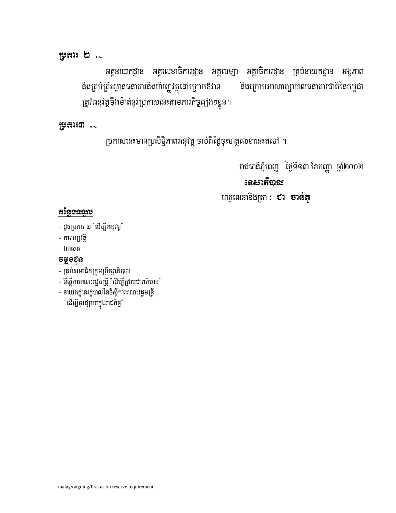## $\mathfrak{psn}$   $\mathfrak{b}$  ..

អគ្គនាយកដ្ឋាន អគ្គលេខាធិការដ្ឋាន អគ្គបេឡា អគ្គាធិការដ្ឋាន គ្រប់នាយកដ្ឋាន អង្គកាព និងគ្រប់គ្រឹះស្ថានធនាគារនិងហិរញ្ញវត្ថុនៅក្រោមឱ្យវាទ និងក្រោមអាណាព្យាបាលធនាគារជាតិនៃកម្ពុជា ត្រូវអនុវត្តម៉ឺងម៉ាត់នូវប្រកាសនេះតាមភារកិច្ចរៀង១ខ្លួន។

## ប្រុការ៣ ..

ប្រកាសនេះមានប្រសិទ្ធិភាពអនុវត្ត ចាប់ពីថ្ងៃចុះហត្ថលេខានេះតទៅ ។

រាជធានីភ្នំពេញ ថ្ងៃទី១៣ ខែកញ្ញា ឆ្នាំ២០០២

## នេសាត៌បាររ

## កន្ថែខឧន្ទរប

- ដូចប្រការ ២ "ដើម្បីអនុវត្ត"
- កាលប្បវត្តិ
- ឯកសារ

## uşoçr

- គ្រប់សមាជិកក្រុមប្រឹក្សាភិបាល
- ទីស្តីការគណ:រដ្ឋមន្ត្រី "ដើម្បីជ្រាបជាពតិមាន"
- នាយកដ្ឋានរដ្ឋបាលនៃទីស្តីការគណ:រដ្ឋមន្ត្រី
- "ដើម្បីចុះផ្សាយក្នុងរាជកិច្ច"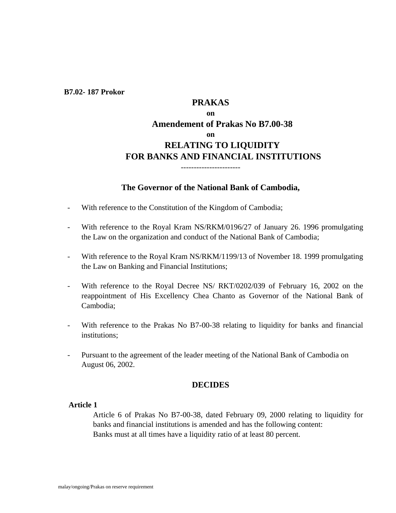**B7.02- 187 Prokor** 

#### **PRAKAS**

### **on Amendement of Prakas No B7.00-38 on RELATING TO LIQUIDITY FOR BANKS AND FINANCIAL INSTITUTIONS** -----------------------

#### **The Governor of the National Bank of Cambodia,**

- With reference to the Constitution of the Kingdom of Cambodia;
- With reference to the Royal Kram NS/RKM/0196/27 of January 26. 1996 promulgating the Law on the organization and conduct of the National Bank of Cambodia;
- With reference to the Royal Kram NS/RKM/1199/13 of November 18. 1999 promulgating the Law on Banking and Financial Institutions;
- With reference to the Royal Decree NS/ RKT/0202/039 of February 16, 2002 on the reappointment of His Excellency Chea Chanto as Governor of the National Bank of Cambodia;
- With reference to the Prakas No B7-00-38 relating to liquidity for banks and financial institutions;
- Pursuant to the agreement of the leader meeting of the National Bank of Cambodia on August 06, 2002.

#### **DECIDES**

#### **Article 1**

Article 6 of Prakas No B7-00-38, dated February 09, 2000 relating to liquidity for banks and financial institutions is amended and has the following content: Banks must at all times have a liquidity ratio of at least 80 percent.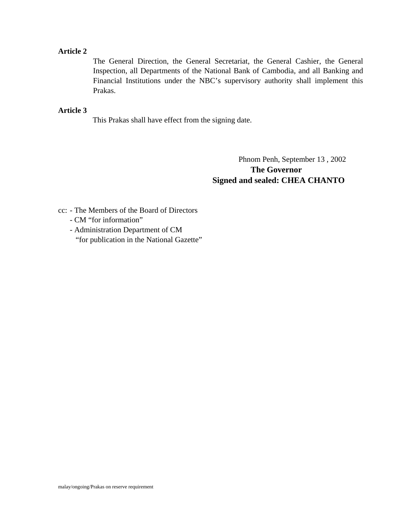#### **Article 2**

The General Direction, the General Secretariat, the General Cashier, the General Inspection, all Departments of the National Bank of Cambodia, and all Banking and Financial Institutions under the NBC's supervisory authority shall implement this Prakas.

#### **Article 3**

This Prakas shall have effect from the signing date.

 Phnom Penh, September 13 , 2002  **The Governor Signed and sealed: CHEA CHANTO** 

#### cc: - The Members of the Board of Directors

- CM "for information"
- Administration Department of CM
	- "for publication in the National Gazette"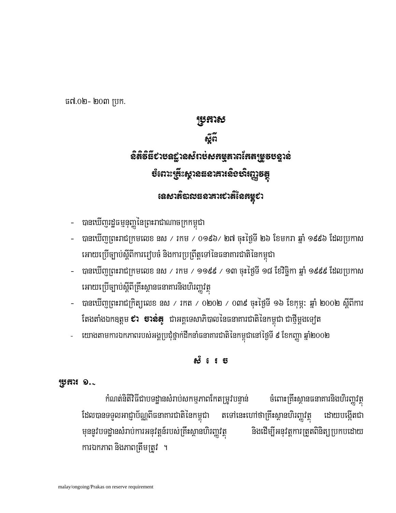ផ៧.០២- ២០៣ ប្រក.

# **15ทาง** ธุ์ถึ **ฉิสิธิ**ชี้ฮายลฐาลសักย์សหยูสาตเ้หสายูธยญาล **ซึ**่ตោះ<sub>វ</sub>ឌ្ពឹះស្ថានឌនោគារនិខ**សិរញ្ញ**ទត្ត เฉ<sub>ี่</sub>ยวส็ฉาชฮลาสาเขาส์เํลสฐชา

- បានឃើញរដ្ឋធម្មនុញ្ញនៃព្រះរាជាណាចក្រកម្ពុជា
- បានឃើញព្រះរាជក្រមលេខ នស / រកម / ០១៩៦/ ២៧ ចុះថ្ងៃទី ២៦ ខែមករា ឆ្នាំ ១៩៩៦ ដែលប្រកាស អោយប្រើច្បាប់ស្តីពីការរៀបចំ និងការប្រព្រឹត្តទៅនៃធនាគារជាតិនៃកម្ពុជា
- ាជនឃើញព្រះរាជក្រមលេខ នស / រកម / ១១៩៩ / ១៣ ចុះថ្ងៃទី ១៨ ខែវិច្ឆិកា ឆ្នាំ ១៩៩៩ ដែលប្រកាស  $\frac{1}{2}$ អោយប្រើច្បាប់ស្តីពីគ្រឹះស្ថានធនាគារនិងហិរញ្ញវត្ថ
- បានឃើញព្រះរាជក្រិត្យលេខ នស / រកត / ០២០២ / ០៣៩ ចុះថ្ងៃទី ១៦ ខែកុម្ភ: ឆ្នាំ ២០០២ ស្តីពីការ តែងតាំងឯកឧត្តម **៩រ មាន់ត្** ជាអគ្គទេសាភិបាលនៃធនាគារជាតិនៃកម្ពុជា ជាថ្មីម្តងទ្យេត
- យោងតាមការឯកភាពរបស់អង្គប្រជុំថ្នាក់ដឹកនាំធនាគារជាតិនៃកម្ពុជានៅថ្ងៃទី ៩ ខែកញ្ញា ឆ្នាំ២០០២

## **ස්** 6 1 ප

## ប្រុការ ១. $_{\sim}$

កំណត់និតិវិធីជាបទដ្ឋានសំរាប់សកម្មភាពកែតម្រូវបន្ទាន់ ចំពោះគ្រឹះស្ថានធនាគារនិងហិរញ្ញវត្ថ ដែលបានទទួលអាជ្ញាប័ណ្ណពីធនាគារជាតិនៃកម្ពុជា តទៅនេះហៅថាក្រឹះស្ថានហិរញ្ញវត្ថ ដោយបង្កើតជា មុននូវបទដ្ឋានសំរាប់ការអនុវត្តន៍របស់គ្រឹះស្ថានហិរញ្ញវត្ថ និងដើម្បីអនុវត្តការត្រួតពិនិត្យប្រកបដោយ ការឯកភាព និងភាពត្រឹមត្រូវ ។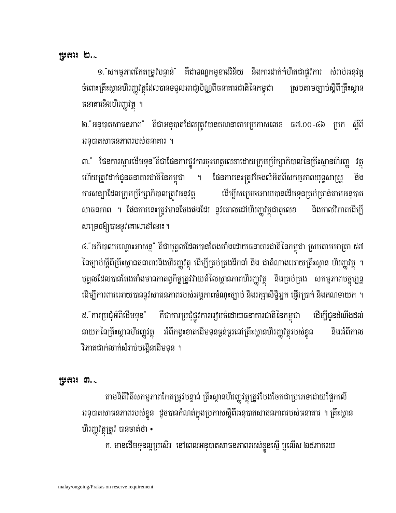$55515$   $\omega_{\cdot}$ 

១. សកម្មភាពកែតម្រូវបន្ទាន់ គឺជាទណ្ឌកម្មខាងវិន័យ និងការដាក់កំហិតជាផ្លូវការ សំរាប់អនុវត្ត ចំពោះក្រឹះស្ថានហិរញ្ញវត្ថុដែលបានទទួលអាជ្ញាប័ណ្ណពីធនាគារជាតិនៃកម្ពុជា ស្របតាមច្បាប់ស្តីពីត្រឹះស្ថាន ធនាគារនិងហិរញ្ញវត្ថុ ។

២. ៏អនុបាតសាធនភាព ិគឺជាអនុបាតដែលត្រូវបានគណនាតាមប្រកាសលេខ ធ៧.០០-៤៦ ប្រក ស្តីពី អនុបាតសាធនភាពរបស់ធនាគារ ។

៣." ដែនការស្តារដើមទុន"គឺជាដែនការផ្លូវការចុះហត្ថលេខាដោយក្រុមប្រឹក្សាភិបាលនៃគ្រឹះស្ថានហិរញ្ញ វត្ថ ហើយត្រូវដាក់ជូនធនាគារជាតិនៃកម្ពុជា ។ ផែនការនេះត្រូវថែងលំអិតពីសកម្មភាពយុទ្ធសាស្ត្រ និង ដើម្បីសម្រេចអោយបានដើមទុនគ្រប់គ្រាន់តាមអនុបាត ការសន្យាដែលក្រុមប្រឹក្សាភិបាលត្រវអនុវត្ត សាធនភាព ។ ផែនការនេះត្រូវមានចែងផងដែរ នូវគោលដៅហិរញ្ញវត្ថុជាតួលេខ និងកាលវិភាគដើម្បី សម្រេចឱ្យបាននូវគោលដៅនោះ ។

៤. ៏អភិបាលបណ្តោះអាសន្ន ឺ គឺជាបុគ្គលដែលបានតែងតាំងដោយធនាគារជាតិនៃកម្ពុជា ស្របតាមមាត្រា ៥៧ នៃច្បាប់ស្តីពីគ្រឹះស្ថានធនាគារនិងហិរញ្ហវត្ថុ ដើម្បីគ្រប់គ្រងដឹកនាំ និង ជាតំណាងអោយគ្រឹះស្ថាន ហិរញ្ហវត្ថុ ។ បុគ្គលដែលបានតែងតាំងមានកាតព្វកិច្ចត្រូវវាយតំលៃស្ថានភាពហិរញ្ហវត្ថុ និងគ្រប់គ្រង សកម្មភាពបច្ចុប្បន្ន ដើម្បីការពារអោយបាននូវសាធនភាពរបស់អង្គភាពចំណុះច្បាប់ និងរក្សាសិទ្ធិអ្នក ផ្ញើរប្រាក់ និងឥណទាយក ។ ៥. ការប្រជុំអំពីដើមទុន" គឺជាការប្រជុំផ្លូវការរៀបចំដោយធនាគារជាតិនៃកម្ពុជា ដើម្បីជូនដំណឹងដល់ នាយកនៃគ្រឹះស្ថានហិរញ្ញវត្ថុ អំពីកង្វះខាតដើមទុនធ្ងន់ធ្ងរនៅគ្រឹះស្ថានហិរញ្ញវត្ថុរបស់ខ្លួន និងអំពីកាល វិភាគជាក់លាក់សំរាប់បង្កើនដើមទុន ។

### $5531$  m. $\sim$

តាមនិតិវិធីសកម្មភាពកែតម្រូវបន្ទាន់ គ្រឹះស្ថានហិរញ្ហវត្ថុត្រូវបែងចែកជាប្រភេទដោយផ្អែកលើ អនុបាតសាធនភាពរបស់ខ្លួន ដូចបានកំណត់ក្នុងប្រកាសស្តីពីអនុបាតសាធនភាពរបស់ធនាគារ ។ គ្រឹះស្ថាន ហិរញ្ញវត្ថុត្រូវ បានចាត់ថា +

ក. មានដើមទុនល្អប្រសើរ នៅពេលអនុបាតសាធនភាពរបស់ខ្លួនស្មើ ឬលើស ២៥ភាគរយ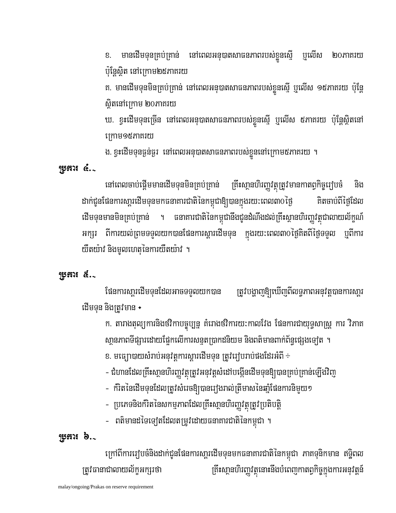មានដើមទុនគ្រប់គ្រាន់ នៅពេលអនុបាតសាធនភាពរបស់ខ្លួនស្នើ ឬលើស ២០ភាគរយ ខ. ប៉ុន្តែស្ថិត នៅក្រោម២៥ភាគរយ

គ. មានដើមទុនមិនគ្រប់គ្រាន់ នៅពេលអនុបាតសាធនភាពរបស់ខ្លួនស្មើ ឬលើស ១៥ភាគរយ ប៉ុន្តែ ស្ថិតនៅក្រោម ២០ភាគរយ

ឃ. ខ្វះដើមទុនច្រើន នៅពេលអនុបាតសាធនភាពរបស់ខ្លួនស្នើ ឬលើស ៥ភាគរយ ប៉ុន្តែស្ថិតនៅ ក្រោម១៥ភាគរយ

ង. ខ្វះដើមទុនធ្ងន់ធ្ងរ នៅពេលអនុបាតសាធនភាពរបស់ខ្លួននៅក្រោម៥ភាគរយ ។

## symi &..

នៅពេលចាប់ផ្តើមមានដើមទុនមិនគ្រប់គ្រាន់ គ្រឹះស្ថានហិរញ្ញវត្ថុត្រូវមានកាតព្វកិច្ចុរ្យេបចំ ទឹង ដាក់ជូនផែនការសា្តរដើមទុនមកធនាគារជាតិនៃកម្ពុជាឱ្យបានក្នុងរយ:ពេល៣០ថ្ងៃ គិតចាប់ពីថ្ងៃដែល ដើមទុនមានមិនគ្រប់គ្រាន់ ។ ធនាគារជាតិនៃកម្ពុជានឹងជូនដំណឹងដល់គ្រឹះស្ថានហិរញ្ញវត្ថុជាលាយល័ក្ខណ៍ អក្សរ ពីការយល់ព្រមទទួលយកបានផែនការស្ដារដើមទុន ក្នុងរយ:ពេល៣០ថ្ងៃគិតពីថ្ងៃទទួល ឬពីការ យឺតយ៉ាវ និងមូលហេតុនៃការយឺតយ៉ាវ ។

## ម្រុងអរ $\,$  ៥. $\scriptstyle\sim$

ផែនការសារដើមទុនដែលអាចទទួលយកបាន ត្រូវបង្ហាញឱ្យឃើញពីលទ្ធភាពអនុវត្តបានការសា្តរ ដើមទុន និងត្រូវមាន +

ក. តារាងតុល្យការនិងថវិកាបច្ចុប្បន្ន គំរោងថវិការយ:កាលវែង ផែនការជាយុទ្ធសាស្រ្ត ការ វិភាគ ស្ថានភាពទីផ្សារដោយផ្អែកលើការសន្ទតប្រាកដនិយម និងពត៌មានពាក់ព័ន្ធផ្សេងទេវុត ។

- ខ. មធ្យោបាយសំរាប់អនុវត្តការស្តារដើមទុន ត្រូវរៀបរាប់ផងដែរអំពី $\div$
- ជំហានដែលគ្រឹះសា្ថនហិរញ្ញវត្ថុត្រូវអនុវត្តសំដៅបង្កើនដើមទុនឱ្យបានគ្រប់គ្រាន់ឡើងវិញ
- ក៏រិតនៃដើមទុនដែលត្រូវសំរេចឱ្យបានរៀងរាល់ត្រីមាសនៃឆាំ្នដែនការនិមួយ១
- ប្រភេទនិងក៏វិតនៃសកម្មភាពដែលគ្រឹះស្ថានហិរញ្ញវត្ថុត្រូវប្រតិបត្តិ
- ពត៌មានដទៃទ្យេតដែលតម្រូវដោយធនាគារជាតិនៃកម្ពុជា ។

## fymi d.

ក្រៅពីការរៀបចំនិងដាក់ជូនផែនការស្តារដើមទុនមកធនាគារជាតិនៃកម្ពុជា ភាគទុនិកមាន ឥទ្ឋិពល ត្រឹះសា្ថនហិរញ្ហវត្ថុនោះនឹងបំពេញកាតព្វកិច្ចក្នុងការអនុវត្តន៍ ត្រូវធានាជាលាយល័ក្កអក្សរថា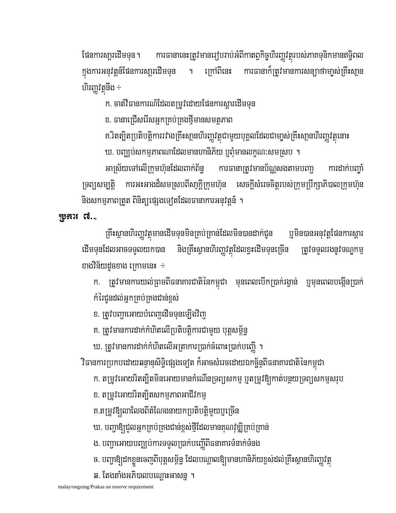ថែនការសា្តរដើមទុន។ ការធានានេះត្រូវមានរៀបរាប់អំពីកាតព្វកិច្ចហិរញ្ញវត្ថុរបស់ភាគទុនិកមានឥទ្ធិពល ការធានាក៏ត្រូវមានការសន្យាថាមាួស់ក្រឹះសា្ថន ក្នុងការអនុវត្តន៍ផែនការសារដើមទុន ក្រៅពីនេះ  $\mathcal{L}$ ហិរញ្ញវត្ថុនឹង ÷

ក. ចាត់វិធានការណ៍ដែលតម្រូវដោយផែនការស្តារដើមទុន

ខ. ធានាជ្រើសរើសអ្នកគ្រប់គ្រងថ្មីមានសមត្ថភាព

គ.រិតត្បិតប្រតិបត្តិការរវាងគ្រី៖ស្ថានហិរញ្ញវត្ថុជាមួយបុគ្គលដែលជាមា្ជស់គ្រឹះស្ថានហិរញ្ញវត្ថុនោះ

ឃ. បញ្ឈប់សកម្មភាពណាដែលមានហានិភ័យ ឬពុំមានលក្ខណ:សមស្រប ។

អាស្រ័យទៅលើក្រុមហ៊ុនដែលពាក់ព័ន្ធ ការធានាត្រូវមានប័ណ្ណសងតាមបញ្ច ការដាក់បញ្ចាំ ទ្រព្យសម្បត្តិ ការអះអាងដ៏សមស្របពីសា្ចក្តីក្រុមហ៊ុន សេចក្តីសំរេចចិត្តរបស់ក្រុមប្រឹក្សាភិបាលក្រុមហ៊ុន និងសកម្មភាពត្រួត ពិនិត្យផ្សេងទ្យេីតដែលធានាការអនុវត្តន៍ ។

ថ្លែងារ ៧. $\sim$ 

ត្រឹះស្ថានហិរញ្ញវត្ថុមានដើមទុនមិនគ្រប់គ្រាន់ដែលមិនបានដាក់ជូន ឬមិនបានអនុវត្តផែនការស្តារ និងគ្រឹះស្ថានហិរញ្ញវត្ថុដែលខ្វះដើមទុនច្រើន ដើមទុនដែលអាចទទួលយកបាន ត្រូវទទួលរងនូវទណ្ឌកម ខាងវិន័យដូចខាង ក្រោមនេះ $\; \div$ 

្រកូវមានការយល់ព្រមពីធនាគារជាតិនៃកម្ពុជា មុនពេលបើកប្រាក់រង្វាន់ ឬមុនពេលបង្កើនប្រាក់ ñ. កំរៃជួនដល់អ្នកគ្រប់គ្រងជាន់ខ្ពស់

ខ. ត្រូវបញ្ជាអោយបំពេពាដើមទូនឡើងវិពា

គ. ត្រូវមានការដាក់កំហិតលើប្រតិបត្តិការជាមួយ បុត្តសម្ព័ន្ធ

ឃ. ត្រូវមានការដាក់កំហិតលើអត្រាការប្រាក់ចំពោះប្រាក់បញ្ហើ ។

ិធានការប្រកបដោយឆន្ទានុសិទ្ធិផ្សេងទ្យេត ក៏អាចសំរេចដោយឯកច្ឆ័ន្ទពីធនាគារជាតិនៃកម្ពុជា

ក. តម្រូវអោយវិតត្បិតមិនអោយមានកំណើនទ្រព្យសកម្ម ឬតម្រូវឱ្យកាត់បន្ថយទ្រព្យសកម្មសរុប

ខ. តម្រូវអោយរិតត្បិតសកម្មភាពអាជីវកម្ម

គ.តម្រូវឱ្យលាលែងពីតំណែងនាយកប្រតិបត្តិមួយប្ញូច្រើន

ឃ. បញ្ជាឱ្យជួលអ្នកគ្រប់គ្រងជាន់ខ្ពស់ថ្មីដែលមានគុណវុឌ្ឃិត្រប់គ្រាន់

ង. បញ្ជាអោយបញ្ឈប់ការទទួលប្រាក់បញ្ញើពីធនាគារទំនាក់ទំនង

ច. បញ្ជាឱ្យដកខ្លួនចេញពីបុត្តសម្ព័ន្ធ ដែលបណ្តាលឱ្យមានហានិភ័យខ្ពស់ដល់គ្រឹះស្ថានហិរញ្ញវត្ថ

ឆ. តែងតាំងអភិបាលបណ្តោះអាសន្ន ។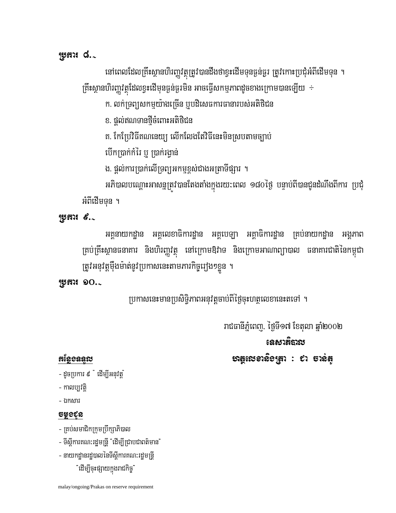## $5531G.$

នៅពេលដែលក្រី៖ស្ថានហិរញ្ញវត្ថុត្រូវបានដឹងថាខ្វះដើមទុនធ្ងន់ធ្ងរ ត្រូវកោះប្រជុំអំពីដើមទុន ។ គ្រឹះស្ថានហិរញ្ញវត្ថុដែលខ្វះដើមុនធ្ងន់ធ្ងរមិន អាចធ្វើសកម្មភាពដូចខាងក្រោមបានឡើយ $\;\div$ 

ក. លក់ទ្រព្យសកម្មយ៉ាងច្រើន ឬបដិសេធការធានារបស់អតិថិជន

ខ. ផ្តល់ឥណទានថ្មីចំពោះអតិថិជន

គ. កែប្រែវិធីគណនេយ្យ លើកលែងតែវិធីនេះមិនស្របតាមច្បាប់

បើកប្រាក់កំរៃ ឬ ប្រាក់រង្វាន់

ង. ផ្តល់ការប្រាក់លើទ្រព្យអកមុខ្ពស់ជាងអត្រាទីផ្សារ ។

អភិបាលបណ្តោះអាសន្នត្រវិបានតែងតាំងក្នុងរយ:ពេល ១៨០ថ្ងៃ បន្ទាប់ពីបានជូនដំណឹងពីការ ប្រជុំ អំពីដើមទុន ។

## $55316.$

អគ្គនាយកដាន អគ្គលេខាធិការដាន អគ្គបេទ្យា អគ្គាធិការដាន គ្រប់នាយកដាន អង្គភាព គ្រប់គ្រឹះស្ថានធនាគារ និងហិរញ្ញវត្ថុ នៅក្រោមឱវាទ និងក្រោមអាណាព្យាបាល ធនាគារជាតិនៃកម្ពុជា ត្រូវអនុវត្តម៉ឺងម៉ាត់នូវប្រកាសនេះតាមភារកិច្ចុរ្យេង១ខ្លួន ។

## **JUNN 90...**

ប្រកាសនេះមានប្រសិទ្ធិភាពអនុវត្តចាប់ពីថ្ងៃចុះហត្ថលេខានេះតទៅ ។

រាជធានីភ្នំពេញ, ថ្ងៃទី១៧ ខែតុលា ឆ្នាំ២០០២

## เฉสาธิการ

## ชาธุเชอาลิอรูล : ชา ยาลัตุ

- ដូចប្រការ ៩ " ដើម្បីអនុវត្ត"
- កាលប្បវត្តិ

កន្ថែខឧន្ទរប

- ឯកសារ

## uşoçr

- គ្រប់សមាជិកក្រុមប្រឹក្សាភិបាល
- ទីស្តីការគណ:រដ្ឋមន្ត្រី "ដើម្បីជ្រាបជាពត៌មាន"
- នាយកដ្ឋានរដ្ឋបាលនៃទីស្តីការគណៈរដ្ឋមន្ត្រី

"ដើម្បីចុះផ្សាយក្នុងរាជកិច្ច"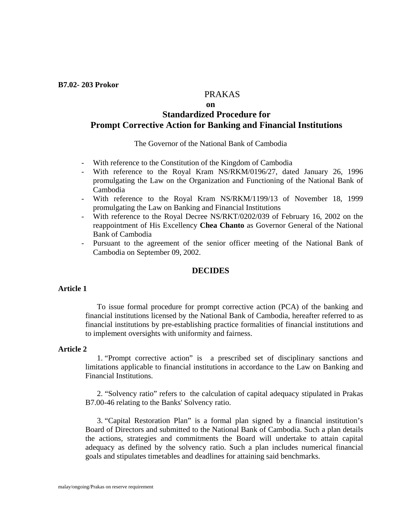**B7.02- 203 Prokor** 

#### PRAKAS

#### **on**

#### **Standardized Procedure for Prompt Corrective Action for Banking and Financial Institutions**

#### The Governor of the National Bank of Cambodia

- With reference to the Constitution of the Kingdom of Cambodia
- With reference to the Royal Kram NS/RKM/0196/27, dated January 26, 1996 promulgating the Law on the Organization and Functioning of the National Bank of Cambodia
- With reference to the Royal Kram NS/RKM/1199/13 of November 18, 1999 promulgating the Law on Banking and Financial Institutions
- With reference to the Royal Decree NS/RKT/0202/039 of February 16, 2002 on the reappointment of His Excellency **Chea Chanto** as Governor General of the National Bank of Cambodia
- Pursuant to the agreement of the senior officer meeting of the National Bank of Cambodia on September 09, 2002.

#### **DECIDES**

#### **Article 1**

To issue formal procedure for prompt corrective action (PCA) of the banking and financial institutions licensed by the National Bank of Cambodia, hereafter referred to as financial institutions by pre-establishing practice formalities of financial institutions and to implement oversights with uniformity and fairness.

#### **Article 2**

1. "Prompt corrective action" is a prescribed set of disciplinary sanctions and limitations applicable to financial institutions in accordance to the Law on Banking and Financial Institutions.

2. "Solvency ratio" refers to the calculation of capital adequacy stipulated in Prakas B7.00-46 relating to the Banks' Solvency ratio.

3. "Capital Restoration Plan" is a formal plan signed by a financial institution's Board of Directors and submitted to the National Bank of Cambodia. Such a plan details the actions, strategies and commitments the Board will undertake to attain capital adequacy as defined by the solvency ratio. Such a plan includes numerical financial goals and stipulates timetables and deadlines for attaining said benchmarks.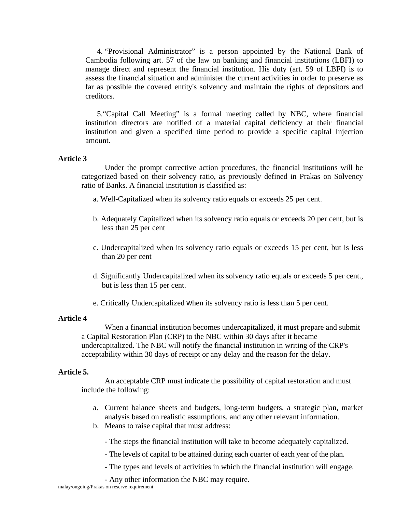4. "Provisional Administrator" is a person appointed by the National Bank of Cambodia following art. 57 of the law on banking and financial institutions (LBFI) to manage direct and represent the financial institution. His duty (art. 59 of LBFI) is to assess the financial situation and administer the current activities in order to preserve as far as possible the covered entity's solvency and maintain the rights of depositors and creditors.

5."Capital Call Meeting" is a formal meeting called by NBC, where financial institution directors are notified of a material capital deficiency at their financial institution and given a specified time period to provide a specific capital Injection amount.

#### **Article 3**

Under the prompt corrective action procedures, the financial institutions will be categorized based on their solvency ratio, as previously defined in Prakas on Solvency ratio of Banks. A financial institution is classified as:

- a. Well-Capitalized when its solvency ratio equals or exceeds 25 per cent.
- b. Adequately Capitalized when its solvency ratio equals or exceeds 20 per cent, but is less than 25 per cent
- c. Undercapitalized when its solvency ratio equals or exceeds 15 per cent, but is less than 20 per cent
- d. Significantly Undercapitalized when its solvency ratio equals or exceeds 5 per cent., but is less than 15 per cent.
- e. Critically Undercapitalized when its solvency ratio is less than 5 per cent.

#### **Article 4**

When a financial institution becomes undercapitalized, it must prepare and submit a Capital Restoration Plan (CRP) to the NBC within 30 days after it became undercapitalized. The NBC will notify the financial institution in writing of the CRP's acceptability within 30 days of receipt or any delay and the reason for the delay.

#### **Article 5.**

An acceptable CRP must indicate the possibility of capital restoration and must include the following:

- a. Current balance sheets and budgets, long-term budgets, a strategic plan, market analysis based on realistic assumptions, and any other relevant information.
- b. Means to raise capital that must address:

- The steps the financial institution will take to become adequately capitalized.

- The levels of capital to be attained during each quarter of each year of the plan.

- The types and levels of activities in which the financial institution will engage.

- Any other information the NBC may require.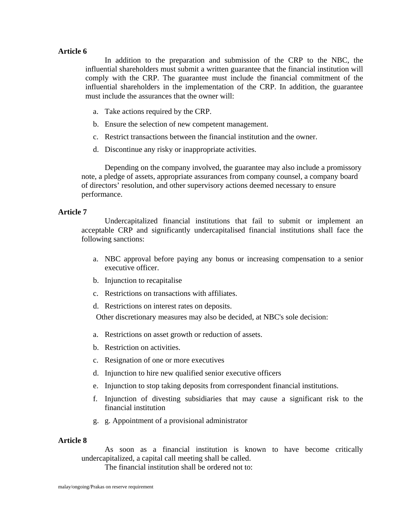#### **Article 6**

In addition to the preparation and submission of the CRP to the NBC, the influential shareholders must submit a written guarantee that the financial institution will comply with the CRP. The guarantee must include the financial commitment of the influential shareholders in the implementation of the CRP. In addition, the guarantee must include the assurances that the owner will:

- a. Take actions required by the CRP.
- b. Ensure the selection of new competent management.
- c. Restrict transactions between the financial institution and the owner.
- d. Discontinue any risky or inappropriate activities.

Depending on the company involved, the guarantee may also include a promissory note, a pledge of assets, appropriate assurances from company counsel, a company board of directors' resolution, and other supervisory actions deemed necessary to ensure performance.

#### **Article 7**

Undercapitalized financial institutions that fail to submit or implement an acceptable CRP and significantly undercapitalised financial institutions shall face the following sanctions:

- a. NBC approval before paying any bonus or increasing compensation to a senior executive officer.
- b. Injunction to recapitalise
- c. Restrictions on transactions with affiliates.
- d. Restrictions on interest rates on deposits.

Other discretionary measures may also be decided, at NBC's sole decision:

- a. Restrictions on asset growth or reduction of assets.
- b. Restriction on activities.
- c. Resignation of one or more executives
- d. Injunction to hire new qualified senior executive officers
- e. Injunction to stop taking deposits from correspondent financial institutions.
- f. Injunction of divesting subsidiaries that may cause a significant risk to the financial institution
- g. g. Appointment of a provisional administrator

#### **Article 8**

As soon as a financial institution is known to have become critically undercapitalized, a capital call meeting shall be called.

The financial institution shall be ordered not to: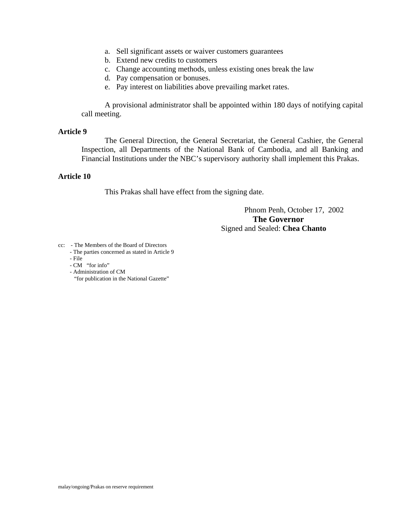- a. Sell significant assets or waiver customers guarantees
- b. Extend new credits to customers
- c. Change accounting methods, unless existing ones break the law
- d. Pay compensation or bonuses.
- e. Pay interest on liabilities above prevailing market rates.

A provisional administrator shall be appointed within 180 days of notifying capital call meeting.

#### **Article 9**

 The General Direction, the General Secretariat, the General Cashier, the General Inspection, all Departments of the National Bank of Cambodia, and all Banking and Financial Institutions under the NBC's supervisory authority shall implement this Prakas.

#### **Article 10**

This Prakas shall have effect from the signing date.

 Phnom Penh, October 17, 2002  **The Governor**  Signed and Sealed: **Chea Chanto**

- cc: The Members of the Board of Directors
	- The parties concerned as stated in Article 9
	- File
	- CM "for info" - Administration of CM
		- "for publication in the National Gazette"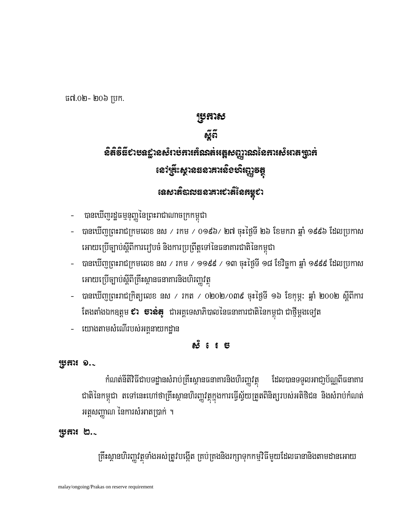ផ៧.០២- ២០៦ ប្រក.

# **15ทาย** ชัติ **ฉิสิธิชี**ชาชลฐาลសักช์หาเห็ณสั่นสุดตุวาณลัลหาเស้นาส<sub>ิโ</sub>ญหั នៅ<del>វ</del>គ្គឹះស្ថានឌនាគារនិ**ខ**សិរញ្ញទ<del>ត្ត</del> <u> เฉ<sub>ี่</sub>ยวส์ฉาชะอาสาเชาส์เอสะชา</u>

- បានឃើញរដ្ឋធម្មនុញ្ញនៃព្រះរាជាណាចក្រកម្ពុជា  $\frac{1}{2}$
- បានឃើញព្រះរាជក្រមលេខ នស / រកម / ០១៩៦/ ២៧ ចុះថ្ងៃទី ២៦ ខែមករា ឆ្នាំ ១៩៩៦ ដែលប្រកាស អោយប្រើច្បាប់ស្តីពីការរៀបចំ និងការប្រព្រឹត្តទៅនៃធនាគារជាតិនៃកម្ពុជា
- បានឃើញព្រះរាជក្រមលេខ នស / រកម / ១១៩៩ / ១៣ ចុះថ្ងៃទី ១៨ ខែវិច្ឆកា ឆ្នាំ ១៩៩៩ ដែលប្រកាស អោយប្រើច្បាប់ស្តីពីត្រឹះស្ថានធនាគារនិងហិរញ្ញវត្ថុ
- បានឃើញព្រះរាជក្រិត្យលេខ នស / រកត / ០២០២/០៣៩ ចុះថ្ងៃទី ១៦ ខែកុម្ភ: ឆ្នាំ ២០០២ ស្តីពីការ តែងតាំងឯកឧត្តម **៩រ មាន់ត្** ជាអគ្គទេសាភិបាលនៃធនាគារជាតិនៃកម្ពុជា ជាថ្មីម្តងទ្យេត
- យោងតាមសំណើរបស់អគ្គនាយកដាន

## <u>ත් 15</u>

ថ្ងៃភារ ១. $\scriptstyle\mathtt{.}$ 

កំណត់នីតិវិធីជាបទដ្ឋានសំរាប់គ្រឹះស្ថានធនាគារនិងហិរញ្ញវត្ថុ ដែលបានទទួលអាជ្ញាប័ណ្ណពីធនាគារ ជាតិនៃកម្ពុជា តទៅនេះហៅថាគ្រឹះស្ថានហិរញ្ហវត្ថុក្នុងការធ្វើស្វ័យត្រួតពិនិត្យរបស់អតិថិជន និងសំរាប់កំណត់ អត្តសញ្ញាណ នៃការសំអាតប្រាក់ ។

## រុបូតារ ២. $_{\sim}$

គ្រឹះស្ថានហិរញ្ញវត្ថុទាំងអស់ត្រូវបង្កើត គ្រប់គ្រងនិងរក្សាទុកកម្មវិធីមួយដែលធានានិងតាមដានអោយ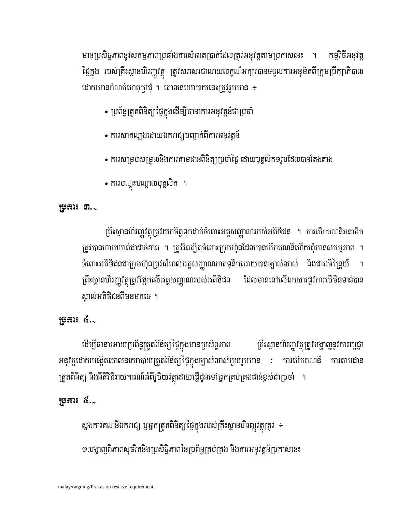មានប្រសិទ្ធភាពនូវសកម្មភាពប្រឆាំងការសំអាតប្រាក់ដែលត្រូវអនុវត្តតាមប្រកាសនេះ ។ កម្មវិធីអនុវត្ត ថ្លៃក្នុង របស់គ្រឹះស្ថានហិរញ្ញវត្ថុ ត្រូវសរសេរជាលាយលក្ខណ៍អក្សរបានទទួលការអនុម័តពីក្រុមប្រឹក្សាភិបាល ដោយមានកំណត់ហេតុប្រជុំ ។ គោលនយោបាយនេះត្រូវរួមមាន ÷

- ប្រព័ន្ធត្រួតពិនិត្យផ្ទៃក្នុងដើម្បីធានាការអនុវត្តន៍ជាប្រចាំ
- ការសាកល្បងដោយឯករាជ្យបញ្ជាក់ពីការអនុវត្តន៍
- ការសម្របសម្រួលនិងការតាមដានពិនិត្យប្រចាំថ្ងៃ ដោយបុគ្គលិក១រូបដែលបានតែងតាំង
- ការបណ្តុះបណ្តាលបុគ្គលិក ។

## ថ្ងៃ<del>ន</del>ារ ៣. $\scriptstyle\mathtt{.}$

ត្រឹះស្ថានហិរញ្ញវត្ថុត្រូវយកចិត្តទុកដាក់ចំពោះអត្តសញ្ញាណរបស់អតិថិជន ។ ការបើកគណនីអនាមិក ត្រូវបានហាមឃាត់ជាដាច់ខាត ។ ត្រូវិរិតត្បិតចំពោះក្រុមហ៊ុនដែលបានបើកគណនីហើយពុំមានសកម្មភាព ។ ចំពោះអតិថិជនជាក្រុមហ៊ុនត្រូវសំគាល់អត្តសញ្ញាណភាគទុនិកអោយបានច្បាស់លាស់ និងជាអចិន្ត្រៃយ៍  $\mathbf 7$ គ្រឹះស្ថានហិរញ្ញវត្ថុត្រូវផ្អែកលើអត្តសញ្ញាណរបស់អតិថិជន ដែលមាននៅលើឯកសារផ្លូវការបើមិនទាន់បាន ស្វាល់អតិថិជនពីមុនមកទេ ។

## ថ្ងៃភារ ៤. $\scriptstyle\mathtt{.}$

ដើម្បីធានាអោយប្រព័ន្ធត្រួតពិនិត្យថ្ទៃក្នុងមានប្រសិទ្ធភាព គ្រឹះស្ថានហិរញ្ហវត្ថុត្រូវបង្ហាញនូវការប្តេជ្ញា អនុវត្តដោយបង្កើតគោលនយោបាយត្រួតពិនិត្យផ្ទៃក្នុងច្បាស់លាស់មួយរួមមាន : ការបើកគណនី ការតាមដាន ត្រួតពិនិត្យ និងនីតិវិធីរាយការណ៍អំពីរូបិយវត្ថុដោយថ្ញើជូនទៅអ្នកគ្រប់គ្រងជាន់ខ្ពស់ជាប្រចាំ ។

## ប្រភារ  $\ell_{\cdot \sim}$

ស្នងការគណនីឯករាជ្យ ឬអ្នកត្រួតពិនិត្យ ផ្ទៃក្នុងរបស់គ្រឹះស្ថានហិរញ្ញវត្ថុត្រូវ ÷ ១.បង្ហាញពីភាពសុចរិតនិងប្រសិទ្ធិភាពនៃប្រព័ន្ធគ្រប់គ្រង និងការអនុវត្តន៍ប្រកាសនេះ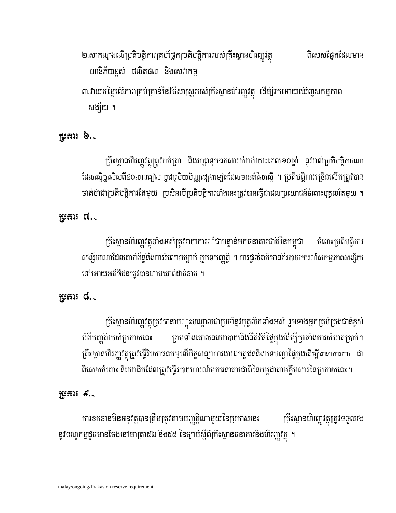២.សាកល្បងលើប្រតិបត្តិការគ្រប់ផ្នែកប្រតិបត្តិការរបស់គ្រឹះស្ថានហិរញ្ញវត្ថ ពិសេសផ្ទៃកដែលមាន ហានិភ័យខ្ពស់ ផលិតផល និងសេវាកម្ ៣.វាយតម្លៃលើភាពគ្រប់គ្រាន់នៃវិធីសាស្ត្ររបស់គ្រឹះស្ថានហិរញ្ញវត្ថុ ដើម្បីរកអោយឃើញសកម្មភាព សង្ស័យ ។

## $5531$   $\delta$ ..

គ្រឹះស្ថានហិរញ្ញវត្ថុត្រូវកត់ត្រា និងរក្សាទុកឯកសារសំរាប់រយ:ពេល១០ឆ្នាំ នូវរាល់ប្រតិបត្តិការណា ដែលស្នើឬលើសពី៤០លានរេវុល ឬជារូបិយប័ណ្ណផ្សេងទ្បេីតដែលមានតំលៃស្នើ ។ ប្រតិបត្តិការច្រើនលើកត្រូវបាន ចាត់ថាជាប្រតិបត្តិការតែមួយ ប្រសិនបើប្រតិបត្តិការទាំងនេះត្រូវបានធ្វើជាផលប្រយោជន៍ចំពោះបុគ្គលតែមួយ ។

## $15311$   $\alpha$ .

ត្រឹះស្ថានហិរញ្ញវត្ថុទាំងអស់ត្រូវរាយការណ៍ជាបន្ទាន់មកធនាគារជាតិនៃកម្ពុជា ចំពោះប្រតិបត្តិការ សង្ស័យណាដែលពាក់ព័ន្ធនឹងការរំលោភច្បាប់ ឬបទបញ្ញត្តិ ។ ការផ្តល់ពតិមានពីរបាយការណ៍សកម្មភាពសង្ស័យ ទៅអោយអតិថិជនត្រូវបានហាមឃាត់ដាច់ខាត ។

## ថ្ងៃគារ  $\mathbf{d}_{\cdot\mathbf{v}}$

គ្រឹះស្ថានហិរញ្ហវត្ថុត្រូវធានាបណ្តុះបណ្តាលជាប្រចាំនូវបុគ្គលិកទាំងអស់ រួមទាំងអ្នកគ្រប់គ្រងជាន់ខ្ពស់ អំពីបញ្ញតិរបស់ប្រកាសនេះ ព្រមទាំងកោលនយោបាយនិងនីតិវិធីផ្ទៃក្នុងដើម្បីប្រឆាំងការសំអាតប្រាក់ ។ គ្រឹះស្ថានហិរញ្ហវត្ថុត្រូវធ្វើវិសោធនកម្មលើកិច្ចសន្យាការងារឯកត្តជននិងបទបញ្ជាថ្លៃក្នុងដើម្បីធានាការពារ ជា ពិសេសចំពោះ និយោជិកដែលត្រូវធ្វើរបាយការណ៍មកធនាគារជាតិនៃកម្ពុជាតាមខ្លីមសារនៃប្រកាសនេះ ។

## $15$ สม 6. $\sim$

ការខកខានមិនអនុវត្តបានត្រឹមត្រូវតាមបញ្ញត្តិណាមួយនៃប្រកាសនេះ គ្រឹះស្ថានហិរញ្ញវត្ថុត្រូវទទួលរង នូវទណ្ឌកម្មដូចមានចែងនៅមាត្រា៥២ និង៥៥ នៃច្បាប់ស្តីពីគ្រឹះស្ថានធនាគារនិងហិរញ្ញវត្ថុ ។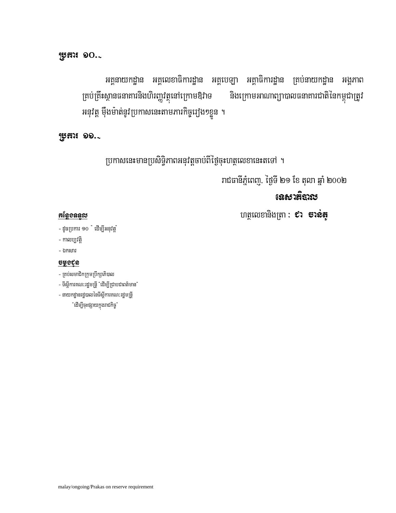### **ប្រភព ១**០...

អគ្គនាយកដ្ឋាន អគ្គលេខាធិការដ្ឋាន អគ្គបេឡា អគ្គាធិការដ្ឋាន គ្រប់នាយកដ្ឋាន អង្គកាព គ្រប់គ្រឹះស្ថានធនាគារនិងហិរញ្ញវត្ថុនៅក្រោមឱវាទ និងក្រោមអាណាព្យាបាលធនាគារជាតិនៃកម្ពុជាត្រូវ អនុវត្ត ម៉ឹងម៉ាត់នូវប្រកាសនេះតាមភារកិច្ចរៀង១ខ្លួន ។

### **ชุรกา 99...**

## ប្រកាសនេះមានប្រសិទ្ធិភាពអនុវត្តចាប់ពីថ្ងៃចុះហត្ថលេខានេះតទៅ ។

រាជធានីភ្នំពេញ, ថ្ងៃទី ២១ ខែ តុលា ឆ្នាំ ២០០២

## នេសាត៌បារប

ហត្ថលេខានិងត្រា : **ខា ចាន់ត្** 

#### អន្ថែទទទួល

- ដូចប្រការ ១០ " ដើម្បីអនុវត្ត

- កាលប្បវត្តិ
- ឯកសារ

#### **ureça**

- គ្រប់សមាជិកក្រុមប្រឹក្សាភិបាល

- ទីស្តីការគណ:រដ្ឋមន្ត្រី "ដើម្បីជ្រាបជាពត៌មាន"

- នាយកដ្ឋានរដ្ឋបាលនៃទីស្តីការគណៈរដ្ឋមន្ត្រី

"ដើម្បីចុះផ្សាយក្នុងរាជកិច្ច"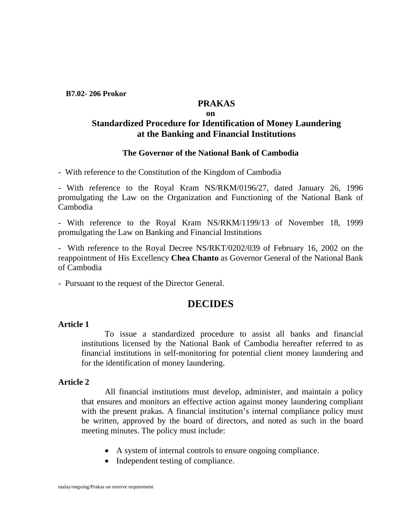**B7.02- 206 Prokor** 

#### **PRAKAS**

#### **on**

### **Standardized Procedure for Identification of Money Laundering at the Banking and Financial Institutions**

#### **The Governor of the National Bank of Cambodia**

- With reference to the Constitution of the Kingdom of Cambodia

- With reference to the Royal Kram NS/RKM/0196/27, dated January 26, 1996 promulgating the Law on the Organization and Functioning of the National Bank of Cambodia

- With reference to the Royal Kram NS/RKM/1199/13 of November 18, 1999 promulgating the Law on Banking and Financial Institutions

- With reference to the Royal Decree NS/RKT/0202/039 of February 16, 2002 on the reappointment of His Excellency **Chea Chanto** as Governor General of the National Bank of Cambodia

- Pursuant to the request of the Director General.

## **DECIDES**

#### **Article 1**

To issue a standardized procedure to assist all banks and financial institutions licensed by the National Bank of Cambodia hereafter referred to as financial institutions in self-monitoring for potential client money laundering and for the identification of money laundering.

#### **Article 2**

All financial institutions must develop, administer, and maintain a policy that ensures and monitors an effective action against money laundering compliant with the present prakas. A financial institution's internal compliance policy must be written, approved by the board of directors, and noted as such in the board meeting minutes. The policy must include:

- A system of internal controls to ensure ongoing compliance.
- Independent testing of compliance.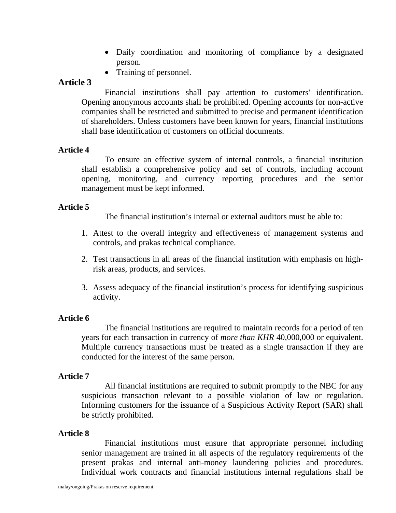- Daily coordination and monitoring of compliance by a designated person.
- Training of personnel.

#### **Article 3**

Financial institutions shall pay attention to customers' identification. Opening anonymous accounts shall be prohibited. Opening accounts for non-active companies shall be restricted and submitted to precise and permanent identification of shareholders. Unless customers have been known for years, financial institutions shall base identification of customers on official documents.

#### **Article 4**

To ensure an effective system of internal controls, a financial institution shall establish a comprehensive policy and set of controls, including account opening, monitoring, and currency reporting procedures and the senior management must be kept informed.

#### **Article 5**

The financial institution's internal or external auditors must be able to:

- 1. Attest to the overall integrity and effectiveness of management systems and controls, and prakas technical compliance.
- 2. Test transactions in all areas of the financial institution with emphasis on highrisk areas, products, and services.
- 3. Assess adequacy of the financial institution's process for identifying suspicious activity.

#### **Article 6**

The financial institutions are required to maintain records for a period of ten years for each transaction in currency of *more than KHR* 40,000,000 or equivalent. Multiple currency transactions must be treated as a single transaction if they are conducted for the interest of the same person.

#### **Article 7**

All financial institutions are required to submit promptly to the NBC for any suspicious transaction relevant to a possible violation of law or regulation. Informing customers for the issuance of a Suspicious Activity Report (SAR) shall be strictly prohibited.

#### **Article 8**

Financial institutions must ensure that appropriate personnel including senior management are trained in all aspects of the regulatory requirements of the present prakas and internal anti-money laundering policies and procedures. Individual work contracts and financial institutions internal regulations shall be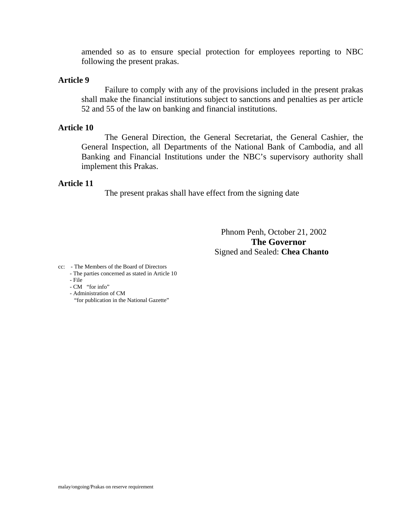amended so as to ensure special protection for employees reporting to NBC following the present prakas.

#### **Article 9**

Failure to comply with any of the provisions included in the present prakas shall make the financial institutions subject to sanctions and penalties as per article 52 and 55 of the law on banking and financial institutions.

#### **Article 10**

The General Direction, the General Secretariat, the General Cashier, the General Inspection, all Departments of the National Bank of Cambodia, and all Banking and Financial Institutions under the NBC's supervisory authority shall implement this Prakas.

#### **Article 11**

The present prakas shall have effect from the signing date

 Phnom Penh, October 21, 2002  **The Governor**  Signed and Sealed: **Chea Chanto**

- cc: The Members of the Board of Directors
	- The parties concerned as stated in Article 10
	- File
	- CM "for info"
	- Administration of CM
		- "for publication in the National Gazette"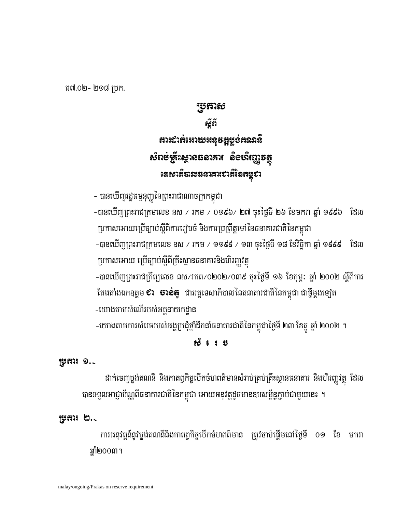ផ៧.០២- ២១៨ ប្រក.

# 1úfi186 ชัติ **หาเ**ณิห์เหาแหละธัฐชูอัสฌล็ សំរាប់ឝ្រីះស្ថានឌនាគារ និទមាំញ្ចេទត្ត เฉ<sub>ี่</sub>ยวส์ฉาชธลาสาเชาส์เํลหะูชา

- បានឃើញរដ្ឋធម្មនុញ្ញនៃព្រះរាជាណាចក្រកម្ពុជា

-បានឃើញព្រះរាជក្រមលេខ នស / រកម / ០១៩៦/ ២៧ ចុះថ្ងៃទី ២៦ ខែមករា ឆ្នាំ ១៩៩៦ ដែល ប្រកាសអោយប្រើច្បាប់ស្តីពីការរៀបចំ និងការប្រព្រឹត្តទៅនៃធនាគារជាតិនៃកម្ពុជា –បានឃើញព្រះរាជក្រមលេខ នស / រកម / ១១៩៩ / ១៣ ចុះថ្ងៃទី ១៨ ខែវិច្ឆិកា ឆ្នាំ ១៩៩៩ ដែល ប្រកាសអោយ ប្រើច្បាប់ស្តីពីគ្រឹះស្ថានធនាគារនិងហិរញ្ញវត្ថ -បានឃើញព្រះរាជក្រឹត្យលេខ នស⁄រកត⁄០២០២/០៣៩ ចុះថ្ងៃទី ១៦ ខែកុម្ភ: ឆ្នាំ ២០០២ ស្តីពីការ តែងតាំងឯកឧត្តម **៩រ មាន់ត្** ជាអគ្គទេសាភិបាលនៃធនាគារជាតិនៃកម្ពុជា ជាថ្មីម្តងទ្យេត -យោងតាមសំណើរបស់អគ្គនាយកដ្ឋាន

-យោងតាមការសំរេចរបស់អង្គប្រជុំថ្នាំដឹកនាំធនាគារជាតិនៃកម្ពុជាថ្ងៃទី ២៣ ខែធ្នូ ឆ្នាំ ២០០២ ។

<u>කී 6 1</u> ප

ប្រុការ ១. $_{\sim}$ 

ដាក់ចេញប្លង់គណនី និងកាតព្វកិច្ចបើកចំហពតិមានសំរាប់គ្រប់គ្រឹះស្ថានធនាគារ និងហិរញ្ញវត្ថុ ដែល បានទទួលអាជ្ញាប័ណ្ណពីធនាគារជាតិនៃកម្ពុជា អោយអនុវត្តដូចមានឧបសម្ព័ន្ធភ្ជាប់ជាមួយនេះ ។

ស្រុការ ២. $\sim$ 

ការអនុវត្តន៍នូវប្លង់គណនីនិងកាតព្វកិច្ចបើកចំហពត៌មាន ត្រូវចាប់ផ្តើមនៅថ្ងៃទី ០១ ខែ មករា ឆ្នាំ២០០៣ ។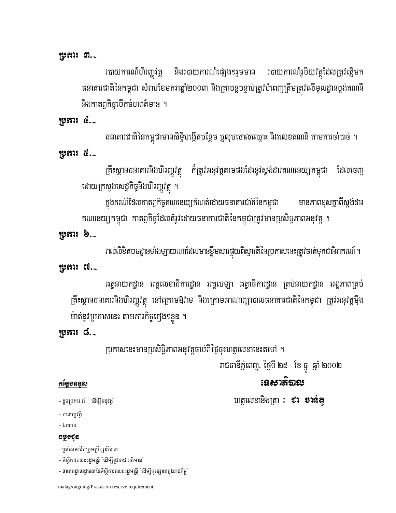malay/ongoing/Prakas on reserve requirement

#### - ឯកសារ cmøgCUn

- កាលប្បវត្តិ

- គ្រប់សមាជិកក្រុមប្រឹក្សាភិបាល
- 
- 
- 
- ទីស្តីការគណ:រដ្ឋមន្ត្រី "ដើម្បីជ្រាបជាពតិមាន"
- នាយកដ្ឋានរដ្ឋបាលនៃទីស្តីការគណៈរដ្ឋមន្រ្តី "ដើម្បីចុះផ្សាយក្នុងរាជកិច្ច"

រាល់លិខិតបទដ្ឋានទាំងឡាយណាដែលមានខ្លីមសារផ្ទុយពីស្មារតីនៃប្រកាសនេះត្រូវចាត់ទុកជានិរាករណ៍ ។

## ម្រភរ៖ ៧. $_{\sim}$

អគ្គនាយកដ្ឋាន អគ្គលេខាធិការដ្ឋាន អគ្គបេឡា អគ្គាធិការដ្ឋាន គ្រប់នាយកដ្ឋាន អង្គភាពគ្រប់ ក្រឹះស្ថានធនាគារនិងហិរញ្ញវត្ថុ នៅក្រោមឱវាទ និងក្រោមអាណាព្យាបាលធនាគារជាតិនៃកម្ពុជា ត្រូវអនុវត្តម៉ឺង ម៉ាត់នូវប្រកាសនេះ តាមភារកិច្ចរឿង១ខ្លួន ។

## គណនេយ្យកម្ពុជា កាតព្វកិច្ចដែលតំរូវដោយធនាគារជាតិនៃកម្ពុជាត្រូវមានប្រសិទ្ធភាពអនុវត្ត ។  $f$ gar  $\delta_{\cdot\sim}$

របាយការណ៍ហិរញ្ញវត្ថុ និងរបាយការណ៍ផ្សេង១រួមមាន របាយការណ៍រូបិយវត្ថុដែលត្រូវផ្ញើមក ធនាគារជាតិនៃកម្ពុជា សំរាប់ខែមករាឆ្នាំ២០០៣ និងគ្រាបន្តបន្ទាប់ត្រូវបំពេញត្រឹមត្រវលើមូលដ្ឋានប្លង់គណនី និងកាតពុកិច្ចបើកចំហពតិមាន ។

ធនាគារជាតិនៃកម្ពុជាមានសិទ្ធិបង្កើតបន្ថែម ឬលុបចោលឈ្មោះ និងលេខគណនី តាមការចាំបាច់ ។

# $\mathfrak{g}$ mi &. $\sim$

 $I$ 

 $\mathfrak{P}$ รรา  $\mathfrak{m}_{\sim}$ 

ក្រឹះស្ថានធនាគារនិងហិរញ្ញវត្ថុ ក៏ត្រូវអនុវត្តតាមផងដែរនូវស្តង់ដារគណនេយ្យកម្ពុជា ដែលចេញ ដោយក្រសួងសេដ្ឋកិច្ចនិងហិរញ្ញវត្ថុ ។

ក្នុងករណីដែលកាតព្វកិច្ចគណនេយ្យកំណត់ដោយធនាគារជាតិនៃកម្ពុជា មានភាពខុសគ្នាពីស្តង់ដារ

## រុបអារ ៨. $\scriptstyle\mathtt{.}$

]បកាសនេះមានប្រសិទ្ធិភាពអនុវត្តចាប់ពីថ្ងៃចុះហត្ថលេខានេះតទៅ ។ nជធានីភ្នំពេញ, ថ្ងៃទី ២៥ ខែ ធ្នូ ឆ្នាំ ២០០២

## หะ้ออลลอะ $\overline{\phantom{a}}$ หะ้ออลลอะ $\overline{\phantom{a}}$

- ដូចប្រការ ៧ <sup>" ដើម្បីអនុវត្ត និយាយ និង Canada ដែលមានការ និង Canada បាត្តលេខានិងត្រា **: ៩រ មារនំនុ**</sup>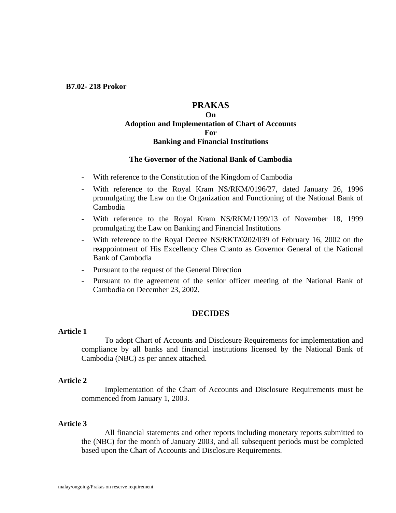**B7.02- 218 Prokor** 

#### **PRAKAS**

#### **On**

#### **Adoption and Implementation of Chart of Accounts For Banking and Financial Institutions**

#### **The Governor of the National Bank of Cambodia**

- With reference to the Constitution of the Kingdom of Cambodia
- With reference to the Royal Kram NS/RKM/0196/27, dated January 26, 1996 promulgating the Law on the Organization and Functioning of the National Bank of Cambodia
- With reference to the Royal Kram NS/RKM/1199/13 of November 18, 1999 promulgating the Law on Banking and Financial Institutions
- With reference to the Royal Decree NS/RKT/0202/039 of February 16, 2002 on the reappointment of His Excellency Chea Chanto as Governor General of the National Bank of Cambodia
- Pursuant to the request of the General Direction
- Pursuant to the agreement of the senior officer meeting of the National Bank of Cambodia on December 23, 2002.

#### **DECIDES**

#### **Article 1**

To adopt Chart of Accounts and Disclosure Requirements for implementation and compliance by all banks and financial institutions licensed by the National Bank of Cambodia (NBC) as per annex attached.

#### **Article 2**

Implementation of the Chart of Accounts and Disclosure Requirements must be commenced from January 1, 2003.

#### **Article 3**

All financial statements and other reports including monetary reports submitted to the (NBC) for the month of January 2003, and all subsequent periods must be completed based upon the Chart of Accounts and Disclosure Requirements.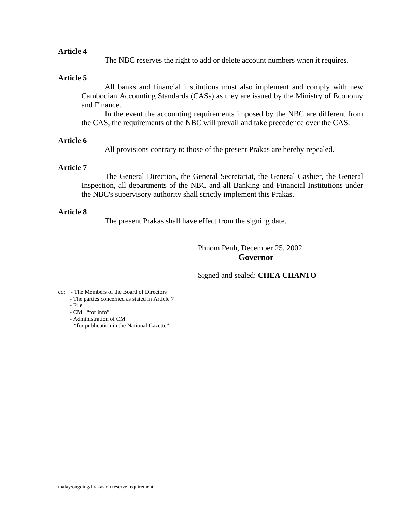#### **Article 4**

The NBC reserves the right to add or delete account numbers when it requires.

#### **Article 5**

All banks and financial institutions must also implement and comply with new Cambodian Accounting Standards (CASs) as they are issued by the Ministry of Economy and Finance.

In the event the accounting requirements imposed by the NBC are different from the CAS, the requirements of the NBC will prevail and take precedence over the CAS.

#### **Article 6**

All provisions contrary to those of the present Prakas are hereby repealed.

#### **Article 7**

The General Direction, the General Secretariat, the General Cashier, the General Inspection, all departments of the NBC and all Banking and Financial Institutions under the NBC's supervisory authority shall strictly implement this Prakas.

#### **Article 8**

The present Prakas shall have effect from the signing date.

 Phnom Penh, December 25, 2002 **Governor**

Signed and sealed: **CHEA CHANTO** 

cc: - The Members of the Board of Directors

- The parties concerned as stated in Article 7
- File
- CM "for info"
- Administration of CM "for publication in the National Gazette"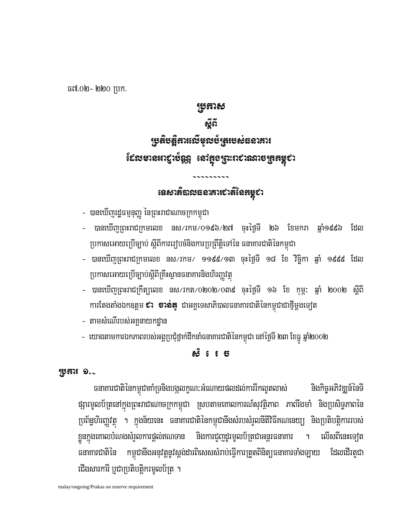ชุราน 9. $\scriptstyle\mathtt{.}$ 

ធនាគារជាតិនៃកម្ពុជាគាំទ្រនិងបង្កលក្ខណ:អំណោយផលដល់ការីវិកលូតលាស់ និងកិច្ចអភិវឌ្ឍន៍នៃទី ផ្សារមូលប័ត្រនៅក្នុងព្រះរាជាណាចក្រកម្ពុជា ស្របតាមគោលការណ៍សុវត្ថិភាព ភាពរឹងមាំ និងប្រសិទ្ធភាពនៃ ប្រព័ន្ធហិរញ្ហវត្ថុ ។ ក្នុងន័យនេះ ធនាគារជាតិនៃកម្ពុជានឹងសំរបសំរួលនីតិវិធីគណនេយ្យ និងប្រតិបត្តិការរបស់ ខ្លួនក្នុងតោលបំណងសំរួលការផ្តល់ឥណទាន និងការជួញដូរមូលប័ត្រជាអន្តរធនាគារ លើសពីនេះទៅត  $\mathcal{A}$ កម្ពុជានឹងអនុវត្តនូវស្តង់ដារពិសេសសំរាប់ធ្វើការត្រួតពិនិត្យធនាគារទាំងឡាយ ដែលដើរតួជា ធនាគារជាតិនៃ ជើងសារការី ឬជាប្រតិបត្តិករមួលប័ត្រ ។

## **63** 6 1 5

- យោងតាមការឯកភាពរបស់អង្គប្រជុំថ្នាក់ដឹកនាំធនាការជាតិនៃកម្ពុជា នៅថ្ងៃទី ២៣ ខែធ្នូ ឆ្នាំ២០០២
- តាមសំណើរបស់អគ្គនាយកដ្ឋាន
- បានឃើញព្រះរាជក្រឹត្យលេខ នស/រកត/០២០២/០៣៩ ចុះថ្ងៃទី ១៦ ខែ កុម្ភ: ឆ្នាំ ២០០២ ស្តីពី ការតែងតាំងឯកឧត្តម **៩រ មាន់ត្** ជាអគ្គទេសាភិបាលធនាគារជាតិនៃកម្ពុជាជាថ្មីម្តងទ្យេត
- ប្រកាសអោយប្រើច្បាប់ ស្តីពីការរៀបចំនិងការប្រព្រឹត្តិទៅនៃ ធនាគារជាតិនៃកម្ពុជា - បានឃើញព្រះរាជក្រមលេខ នស/រកម/ ១១៩៩/១៣ ចុះថ្ងៃទី ១៨ ខែ វិច្ឆិកា ឆ្នាំ ១៩៩៩ ដែល ប្រកាសអោយប្រើច្បាប់ស្តីពីគ្រឹះស្ថានធនាគារនិងហិរញ្ញវត្ថុ
- បានឃើញរដ្ឋធម្មនុញ្ញ នៃព្រះរាជាណាចក្រកម្ពុជា បានឃើញព្រះរាជក្រមលេខ នស/រកម/០១៩៦/២៧ ចុះថ្ងៃទី ២៦ ខែមករា ឆ្នាំ១៩៩៦ ដែល

## <u> เฉสาส์ฉาชธอาสาเชาลิเอสรูชา</u>

 $\sim$   $\sim$   $\sim$   $\sim$   $\sim$   $\sim$ 

# **JUFILIS** อัติ <u>ប្រុតិបត្តិ</u>ភារឈើមុលប័ត្របេស់**ប**លាការ ដែលមានអាខ្ញាម័ណ្ណ នៅតូ១ព្រះពខាណេចច្រូកម្ពុខា

ធ៧.០២- ២២០ ប្រក.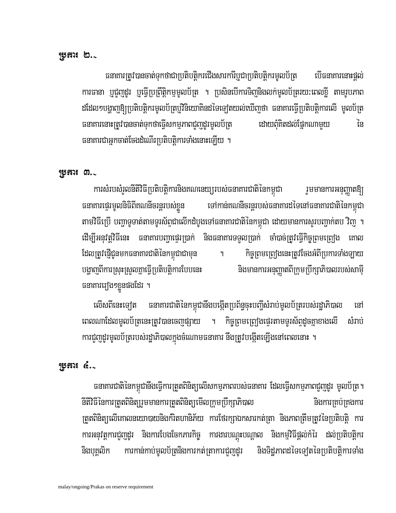## ប្រភារ ២. $\sim$

ធនាគារត្រូវបានចាត់ទុកថាជាប្រតិបត្តិករជើងសារការីឬជាប្រតិបត្តិករមួលប័ត្រ បើធនាគារនោះផ្តល់ ការធានា ឬជួញដូរ ឬធ្វើប្រព្រឹត្តិកម្មមូលប័ត្រ ។ ប្រសិនបើការទិញនិងលក់មូលប័ត្ររយ:ពេលខ្លី តាមរូបភាព ដដែល១បង្ហាញឱ្យប្រតិបត្តិករមូលប័ត្រឬវិនិយោគិនដទៃទៀតយល់ឃើញថា ធនាគារធ្វើប្រតិបត្តិការលើ មូលប័ត្រ ាធនាគារនោះត្រូវបានចាត់ទុកថាធ្វើសកម្មភាពជួញដូរមូលប័ត្រ ដោយពុំគិតដល់ផ្នែកណាមួយ នៃ ធនាគារជាអ្នកចាត់ចែងដំណើរប្រតិបត្តិការទាំងនោះឡើយ ។

## រូបូ<del>ន</del>ារ ៣. $\scriptstyle\mathtt{\sim}$

ការសំរបសំរួលនីតិវិធីប្រតិបត្តិការនិងគណនេយ្យរបស់ធនាគារជាតិនៃកម្ពុជា រួមមានការអនុញ្ញាតឱ្យ FnaKarepÞrmUlniFiBIKNnIcrnþrbs;xøÜn eTAkan;KNnIcrnþrbs;FnaKardéTenAFnaKarCatiénkm<úCa តាមវិធីប្រើ បញ្ជាទូទាត់តាមទូរស័ព្ទជាលើកដំបូងទៅធនាគារជាតិនៃកម្ពុជា ដោយមានការសួរបញ្ជាក់តប វិញ ។ ាដឺម្បីអនុវត្តវិធីនេះ ធនាគារបញ្ចាផ្ទេរប្រាក់ និងធនាគារទទួលប្រាក់ ចាំបាច់ត្រូវធ្វើកិច្ចព្រមព្រៀង គោល ដែលត្រូវផ្ញើជូនមកធនាគារជាតិនៃកម្ពុជាជាមុន កិច្ចព្រមព្រៀងនេះត្រូវចែងអំពីប្រការទាំងឡាយ បង្ហាញពីការស្រុះស្រួលគ្នាធ្វើប្រតិបត្តិការបែបនេះ និងមានការអនុញ្ញាតពីក្រុមប្រឹក្សាភិបាលរបស់សាម៉ី ធនាគាររឿង១ខ្លួនផងដែរ ។

លើសពីនេះទ្យេិត ធនាគារជាតិនៃកម្ពុជានឹងបង្កើតប្រព័ន្ធចុះបញ្ចីសំរាប់មូលប័ត្ររបស់រដ្ឋាភិបាល នៅ ាពេលណាដែលមូលប័ត្រនេះត្រូវបានចេញផ្សាយ ។ កិច្ចព្រមព្រៀងផ្ទេរតាមទូរស័ព្ទដូចគ្នាខាងលើ សំរាប់ ការជួញដូរមូលប័ត្ររបស់រដ្ឋាភិបាលក្នុងចំណោមធនាគារ នឹងត្រូវបង្កើតឡើងនៅពេលនោះ ។

## $R$

ធនាគារជាតិនៃកម្ពុជានឹងធ្វើការត្រួតពិនិត្យលើសកម្មភាពរបស់ធនាគារ ដែលធ្វើសកម្មភាពជួញដូរ មូលប័ត្រ។ នីតិវិធីនៃការត្រួតពិនិត្យរួមមានការត្រួតពិនិត្យមើលក្រុមប្រឹក្សាភិបាល និងការគ្រប់គ្រងការ ាតួតពិនិត្យលើកោលនយោបាយនិងក៏រិតហានិភ័យ ការថែរក្សាឯកសារកត់ត្រា និងភាពត្រឹមត្រូវនៃប្រតិបត្តិ ការ mរអនុវត្តការជួញដូរ និងការបែងចែកភារកិច្ច ការងារបណ្តុះបណ្តាល និងកម្មវិធីផ្តល់កំរៃ ដល់ប្រតិបត្តិករ និងបុគ្គលិក ការកាន់កាប់មូលប័ត្រនិងការកត់ត្រាការជួញដូរ និងទិដ្ឋភាពដទៃទេវត្រនៃប្រតិបត្តិការទាំង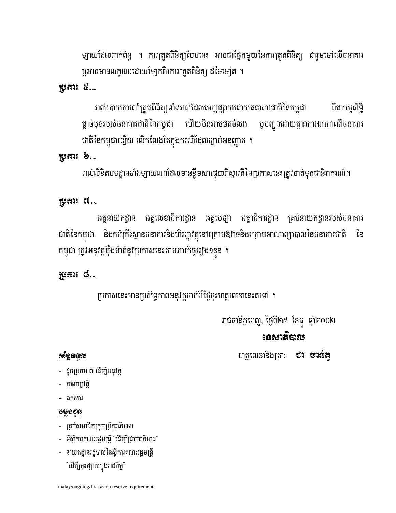ឡាយដែលពាក់ព័ន្ធ ។ ការត្រួតពិនិត្យបែបនេះ អាចជាផ្នែកមួយនៃការត្រួតពិនិត្យ ជារួមទៅលើធនាគារ ឬអាចមានលក្ខណ:ដោយឡែកពីរការត្រួតពិនិត្យ ដទៃទ្យេត ។

## uni &.

រាល់របាយការណ៍ត្រួតពិនិត្យទាំងអស់ដែលចេញផ្សាយដោយធនាគារជាតិនៃកម្ពុជា គឺជាកម្មសិទ្ធិ ផ្តាច់មុខរបស់ធនាគារជាតិនៃកម្ពុជា ហើយមិនអាចថតចំលង ឬបញ្ជូនដោយគ្មានការឯកភាពពីធនាគារ ជាតិនៃកម្ពុជាឡើយ លើកលែងតែក្នុងករណីដែលច្បាប់អនុញ្ញាត ។

## fymi d.

រាល់លិខិតបទដ្ឋានទាំងឡាយណាដែលមានខ្លឹមសារផ្ទុយពីស្មារតីនៃប្រកាសនេះត្រូវចាត់ទុកជានិរាករណ៍។

## $55535$  ៧. $\sim$

អគ្គនាយកដ្ឋាន អគ្គលេខាធិការដ្ឋាន អគ្គបេឡា អគ្គាធិការដ្ឋាន គ្រប់នាយកដ្ឋានរបស់ធនាគារ ជាតិនៃកម្ពុជា និងគប់គ្រឹះស្ថានធនាគារនិងហិរញ្ញវត្ថុនៅក្រោមឱ្យវាទនិងក្រោមអាណាព្យាបាលនៃធនាគារជាតិ នៃ កម្ពុជា ត្រូវអនុវត្តម៉ឹងម៉ាត់នូវប្រកាសនេះតាមភារកិច្ចរឿង១ខ្លួន ។

## ថ្ងៃគារ ៨. $\scriptstyle\mathtt{.}$

ប្រកាសនេះមានប្រសិទ្ធភាពអនុវត្តចាប់ពីថ្ងៃចុះហត្ថលេខានេះតទៅ ។

រាជធានីភ្នំពេញ, ថ្ងៃទី២៥ ខែធ្នូ ឆ្នាំ២០០២

## เฉสาล็ฮาณ

ហត្ថលេខានិងត្រា: **៩រ ទាន់ត្** 

- ដូចប្រការ ៧ ដើម្បីអនុវត្ត
- កាលប្បវត្តិ

កន្ថែននួល

- ឯកសារ

## urocr

- គ្រប់សមាជិកក្រុមប្រឹក្សាភិបាល
- ទីស្តីការគណ:រដ្ឋមន្ត្រី "ដើម្បីជ្រាបពត៌មាន"
- នាយកដ្ឋានរដ្ឋបាលនៃស្តីការគណ:រដ្ឋមន្ត្រី "ដើមី្បចុះផ្សាយក្នុងរាជកិច្ច"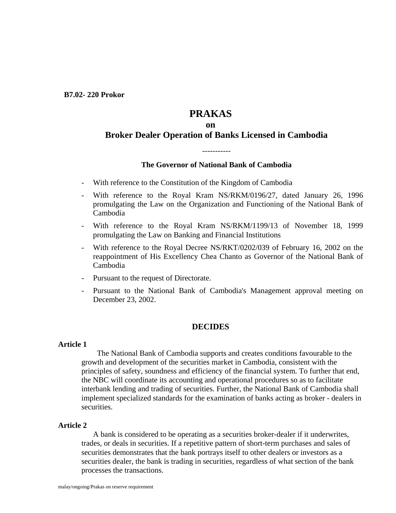**B7.02- 220 Prokor** 

#### **PRAKAS**

#### **on**

#### **Broker Dealer Operation of Banks Licensed in Cambodia**

#### **The Governor of National Bank of Cambodia**

-----------

- With reference to the Constitution of the Kingdom of Cambodia
- With reference to the Royal Kram NS/RKM/0196/27, dated January 26, 1996 promulgating the Law on the Organization and Functioning of the National Bank of Cambodia
- With reference to the Royal Kram NS/RKM/1199/13 of November 18, 1999 promulgating the Law on Banking and Financial Institutions
- With reference to the Royal Decree NS/RKT/0202/039 of February 16, 2002 on the reappointment of His Excellency Chea Chanto as Governor of the National Bank of Cambodia
- Pursuant to the request of Directorate.
- Pursuant to the National Bank of Cambodia's Management approval meeting on December 23, 2002.

#### **DECIDES**

#### **Article 1**

The National Bank of Cambodia supports and creates conditions favourable to the growth and development of the securities market in Cambodia, consistent with the principles of safety, soundness and efficiency of the financial system. To further that end, the NBC will coordinate its accounting and operational procedures so as to facilitate interbank lending and trading of securities. Further, the National Bank of Cambodia shall implement specialized standards for the examination of banks acting as broker - dealers in securities.

#### **Article 2**

A bank is considered to be operating as a securities broker-dealer if it underwrites, trades, or deals in securities. If a repetitive pattern of short-term purchases and sales of securities demonstrates that the bank portrays itself to other dealers or investors as a securities dealer, the bank is trading in securities, regardless of what section of the bank processes the transactions.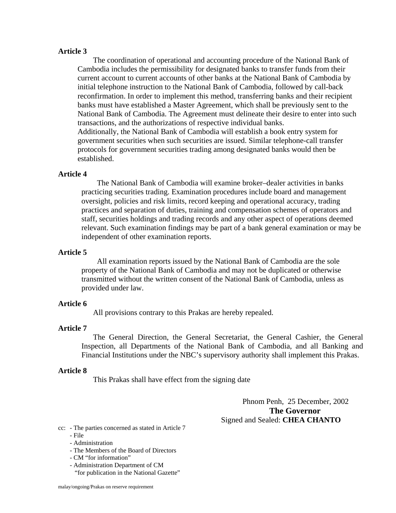#### **Article 3**

The coordination of operational and accounting procedure of the National Bank of Cambodia includes the permissibility for designated banks to transfer funds from their current account to current accounts of other banks at the National Bank of Cambodia by initial telephone instruction to the National Bank of Cambodia, followed by call-back reconfirmation. In order to implement this method, transferring banks and their recipient banks must have established a Master Agreement, which shall be previously sent to the National Bank of Cambodia. The Agreement must delineate their desire to enter into such transactions, and the authorizations of respective individual banks. Additionally, the National Bank of Cambodia will establish a book entry system for government securities when such securities are issued. Similar telephone-call transfer protocols for government securities trading among designated banks would then be established.

#### **Article 4**

The National Bank of Cambodia will examine broker–dealer activities in banks practicing securities trading. Examination procedures include board and management oversight, policies and risk limits, record keeping and operational accuracy, trading practices and separation of duties, training and compensation schemes of operators and staff, securities holdings and trading records and any other aspect of operations deemed relevant. Such examination findings may be part of a bank general examination or may be independent of other examination reports.

#### **Article 5**

All examination reports issued by the National Bank of Cambodia are the sole property of the National Bank of Cambodia and may not be duplicated or otherwise transmitted without the written consent of the National Bank of Cambodia, unless as provided under law.

#### **Article 6**

All provisions contrary to this Prakas are hereby repealed.

#### **Article 7**

The General Direction, the General Secretariat, the General Cashier, the General Inspection, all Departments of the National Bank of Cambodia, and all Banking and Financial Institutions under the NBC's supervisory authority shall implement this Prakas.

#### **Article 8**

This Prakas shall have effect from the signing date

 Phnom Penh, 25 December, 2002  **The Governor**  Signed and Sealed: **CHEA CHANTO**

- cc: The parties concerned as stated in Article 7
	- File
		- Administration
		- The Members of the Board of Directors
		- CM "for information"
		- Administration Department of CM "for publication in the National Gazette"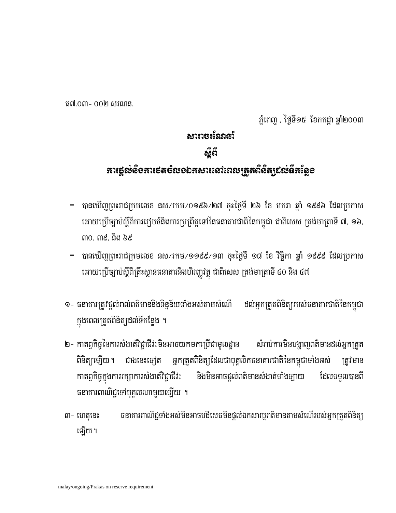$\mathfrak{a}$ ៧. $\mathfrak{a}$ m -  $\mathfrak{c}$ o $\mathfrak{b}$  surns.

ភ្នំពេញ ថិ្មមី១៥ ខែកកដ្ឋា ឆ្នាំ២០០៣

# ธากะหักออร์ อัติ karpþl;nigkarftcMlgÉksarenAeBlRtYtBinitüdl;TIkEnøg

- $-$  បានឃើញព្រះរាជក្រមលេខ នស⁄រកម/09៩៦/២៧ ចុះថ្ងៃទី ២៦ ខែ មករា ឆ្នាំ ១៩៩៦ ដែលប្រកាស គោយប្រើច្បាប់ស្តីពីការរៀបចំនិងការប្រព្រឹត្តទៅនៃធនាគារជាតិនៃកម្ពុជា ជាពិសេស ត្រង់មាត្រាទី ៧. ១៦.  $m$ 0,  $m$ ៩, និង ៦៩
- $-$  បានឃើញព្រះរាជក្រមលេខ នស/រកម/១១៩៩/១៣ ចុះថ្ងៃទី ១៨ ខែ វិច្ឆិកា ឆ្នាំ ១៩៩៩ ដែលប្រកាស គោយប្រើច្បាប់ស្តីពីគ្រឹះស្ថានធនាគារនិងហិរញ្ញវត្ថុ ជាពិសេស ត្រង់មាត្រាទី ៤០ និង ៤៧
- 9- ធនាគារត្រូវផ្តល់រាល់ពតិមាននិងទិន្នន័យទាំងអស់តាមសំណើ ដល់អ្នកត្រួតពិនិត្យរបស់ធនាគារជាតិនៃកម្ពុជា ក្នុងពេលត្រួតពិនិត្យដល់ទីកន្លែង ។
- ២– កាតពុកិច្ចនៃការសំងាត់វិជ្ជាជីវ:មិនអាចយកមកប្រើជាមូលដ្ឋាន សំរាប់ការមិនបង្ហាញពត៌មានដល់អ្នកត្រូត ពិនិត្យឡើយ ។ ជាងនេះទ្យេត អ្នកត្រួតពិនិត្យដែលជាបុគ្គលិកធនាគារជាតិនៃកម្ពុជាទាំងអស់ ត្រូវមាន កាតព្វកិច្ចក្នុងការរក្សាការសំងាត់វិជ្ជាជីវ: និងមិនអាចផ្តល់ពតិមានសំងាត់ទាំងឡាយ ដែលទទួលបានពី ធនាគារពាណិជ្ជទៅបុគ្គលណាមួយឡើយ ។
- ៣- ហេតុនេះ ធនាគារពាណិជ្ជទាំងអស់មិនអាចបដិសេធមិនផ្តល់ឯកសារប្ញពតិមានតាមសំណើរបស់អ្នកត្រួតពិនិត្យ ឡើយ ។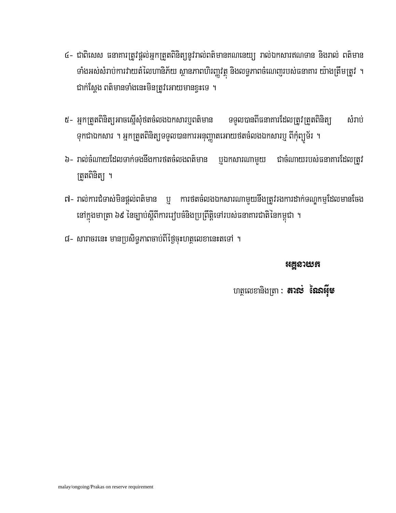- ៤- ជាពិសេស ធនាគារត្រូវផ្តល់អ្នកត្រួតពិនិត្យនូវរាល់ពត៌មានគណនេយ្យ រាល់ឯកសារឥណទាន និងរាល់ ពត៌មាន ទាំងអស់សំរាប់ការវាយតំលៃហានិភ័យ ស្ថានភាពហិរញ្ញវត្ថុ និងលទ្ធភាពចំណេញរបស់ធនាគារ យ៉ាងត្រឹមត្រូវ ។ ជាក់ស្តែង ពត៌មានទាំងនេះមិនត្រូវអោយមានខ្ទះទេ ។
- ៥– អ្នកត្រួតពិនិត្យអាចស្នើសុំថតចំលងឯកសារឬពត៌មាន ទទួលបានពីធនាគារដែលត្រូវត្រួតពិនិត្យ តំរាាប់ ទុកជាឯកសារ ។ អ្នកត្រូតពិនិត្យទទួលបានការអនុញ្ញាតអោយថតចំលងឯកសារឬ ពីកុំព្យូទ័រ ។
- ៦- រាល់ចំណាយដែលទាក់ទងនឹងការថតចំលងពត៌មាន ឬឯកសារណាមួយ ជាចំណាយរបស់ធនាគារដែលត្រូវ ត្រួតពិនិត្យ ។
- ៧– រាល់ការជំទាស់មិនផ្តល់ពត៌មាន ឬ ការថតចំលងឯកសារណាមួយនឹងត្រូវរងការដាក់ទណ្ឌកម្មដែលមានចែង នៅក្នុងមាត្រា ៦៩ នៃច្បាប់ស្តីពីការរៀបចំនិងប្រព្រឹត្តិទៅរបស់ធនាគារជាតិនៃកម្ពុជា ។
- ៨- សារាចរនេះ មានប្រសិទ្ធភាពចាប់ពីថ្ងៃចុះហត្ថលេខានេះតទៅ ។

## **NERILLA**

ហត្ថលេខានិងត្រា : **តារល់ សៃនាអ៊ីម**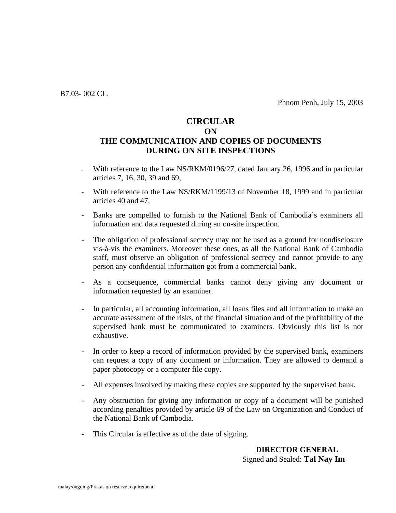B7.03- 002 CL.

Phnom Penh, July 15, 2003

#### **CIRCULAR ON THE COMMUNICATION AND COPIES OF DOCUMENTS DURING ON SITE INSPECTIONS**

- With reference to the Law NS/RKM/0196/27, dated January 26, 1996 and in particular articles 7, 16, 30, 39 and 69,
- With reference to the Law NS/RKM/1199/13 of November 18, 1999 and in particular articles 40 and 47,
- Banks are compelled to furnish to the National Bank of Cambodia's examiners all information and data requested during an on-site inspection.
- The obligation of professional secrecy may not be used as a ground for nondisclosure vis-à-vis the examiners. Moreover these ones, as all the National Bank of Cambodia staff, must observe an obligation of professional secrecy and cannot provide to any person any confidential information got from a commercial bank.
- As a consequence, commercial banks cannot deny giving any document or information requested by an examiner.
- In particular, all accounting information, all loans files and all information to make an accurate assessment of the risks, of the financial situation and of the profitability of the supervised bank must be communicated to examiners. Obviously this list is not exhaustive.
- In order to keep a record of information provided by the supervised bank, examiners can request a copy of any document or information. They are allowed to demand a paper photocopy or a computer file copy.
- All expenses involved by making these copies are supported by the supervised bank.
- Any obstruction for giving any information or copy of a document will be punished according penalties provided by article 69 of the Law on Organization and Conduct of the National Bank of Cambodia.
- This Circular is effective as of the date of signing.

 **DIRECTOR GENERAL**  Signed and Sealed: **Tal Nay Im**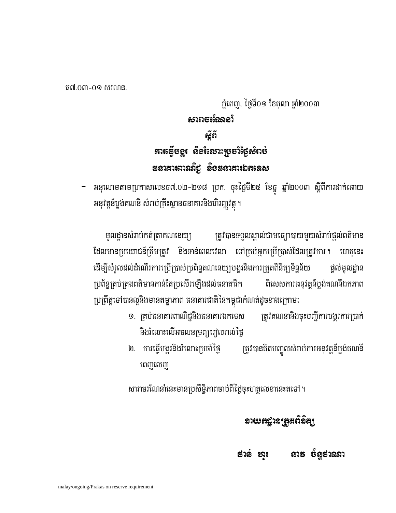ធ៧.០៣-០១ សរណន.

# ភ្នំពេញ, ថ្ងៃទី០១ ខែតុលា ឆ្នាំ២០០៣ <u> ธวกธณีฉอง </u> ชัติ អារឡើមខ្គុែ និខរំឈេះប្រុមរំថ្ងៃសំពម

– អនុលោមតាមប្រកាសលេខធ៧.០២-២១៨ ប្រក. ចុះថ្ងៃទី២៥ ខែធ្នូ ឆ្នាំ២០០៣ ស្តីពីការដាក់អោយ អនុវត្តន៍ប្លង់គណនី សំរាប់គ្រឹះស្ថានធនាគារនិងហិរញ្ញវត្ថុ។

មូលដ្ឋានសំរាប់កត់ត្រាគណនេយ្យ ត្រូវបានទទួលស្គាល់ជាមធ្យោបាយមួយសំរាប់ផ្តល់ពត៌មាន ដែលមានប្រយោជន៍ត្រឹមត្រូវ និងទាន់ពេលវេលា ទៅគ្រប់អ្នកប្រើប្រាស់ដែលត្រូវការ។ ហេតុនេះ ដើម្បីសំរួលដល់ដំណើរការប្រើប្រាស់ប្រព័ន្ឋគណនេយ្យបង្គូរនិងការត្រួតពិនិត្យទិន្នន័យ ផល់មលដាន ប្រព័ន្ឋគ្រប់គ្រងពតិមានកាន់តែប្រសើរឡើងដល់ធនាគារិក ពិសេសការអនុវត្តន៍ប្តង់គណនីឯកភាព ប្រព្រឹត្តទៅបានល្អនិងមានតម្លាភាព ធនាគារជាតិនៃកម្ពុជាកំណត់ដូចខាងក្រោម:

- ១. គ្រប់ធនាគារពាណិជ្ជនិងធនាគារឯកទេស ត្រូវគណនានិងចុះបញ្ជីការបង្ករការប្រាក់ និងរំលោះលើអចលនទ្រព្យរោូលរាល់ថ្ងៃ
- ២. ការធ្វើបង្គរនិងរំលោះប្រចាំថ្ងៃ ត្រូវបានគិតបញ្ចូលសំរាប់ការអនុវត្តន៍ប្លង់គណនី ពេញលេញ

សារាចរណែនាំនេះមានប្រសិទ្ធិភាពចាប់ពីថ្ងៃចុះហត្ថលេខានេះតទៅ ។

ฉายะหฐาอๆสูลติอิสุก

ิ<br>ซิวจ์ *ซ*ุรุ - จาธ ซึ่จุฮ่วณวา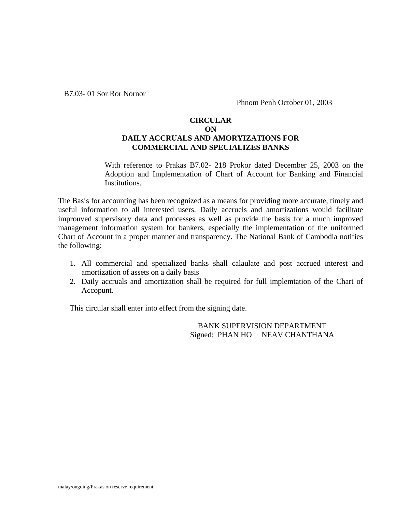B7.03- 01 Sor Ror Nornor

Phnom Penh October 01, 2003

#### **CIRCULAR ON DAILY ACCRUALS AND AMORYIZATIONS FOR COMMERCIAL AND SPECIALIZES BANKS**

With reference to Prakas B7.02- 218 Prokor dated December 25, 2003 on the Adoption and Implementation of Chart of Account for Banking and Financial Institutions.

The Basis for accounting has been recognized as a means for providing more accurate, timely and useful information to all interested users. Daily accruels and amortizations would facilitate improuved supervisory data and processes as well as provide the basis for a much improved management information system for bankers, especially the implementation of the uniformed Chart of Account in a proper manner and transparency. The National Bank of Cambodia notifies the following:

- 1. All commercial and specialized banks shall calaulate and post accrued interest and amortization of assets on a daily basis
- 2. Daily accruals and amortization shall be required for full implemtation of the Chart of Accopunt.

This circular shall enter into effect from the signing date.

 BANK SUPERVISION DEPARTMENT Signed: PHAN HO NEAV CHANTHANA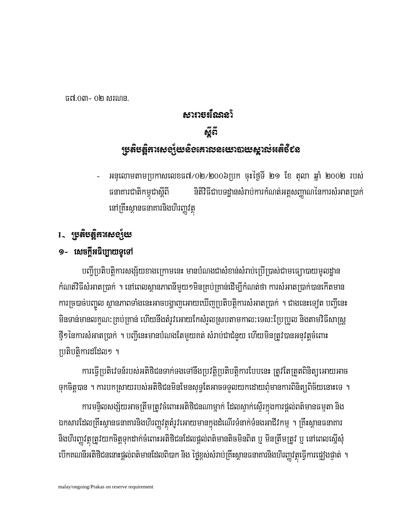ធ៧.០៣– ០២ សរណន.

# ธากธณีออก<br>-ธ์ดี <u>ប្រតិបត្តិគារសេទ្មយែតិទគោរបនយោធាយស្គាល់អតិថិ៩ន</u>

អនុលោមតាមប្រកាសលេខធ៧/០២/២០០៦ប្រក ចុះថ្ងៃទី ២១ ខែ តុលា ឆ្នាំ ២០០២ របស់ ធនាគារជាតិកម្ពុជាស្តីពី និតិវិធីជាបទដ្ឋានសំរាប់ការកំណត់អត្តសញ្ញាណនៃការសំអាតប្រាក់ នៅត្រឹះស្ថានធនាគារនិងហិរញ្ញវត្ថ

# **I. ប្រតិបត្តិការស**ទ្ម័យ

### 9- សេចក្តីអធិប្បាយទូទៅ

បញ្ចីប្រតិបត្តិការសង្ស័យខាងក្រោមនេះ មានបំណងជាសំខាន់សំរាប់ប្រើប្រាស់ជាមធ្យោបាយមូលដ្ឋាន កំណត់វិធីសំអាតប្រាក់ ។ នៅពេលស្ថានភាពនីមួយ១មិនគ្រប់គ្រាន់ដើម្បីកំណត់ថា ការសំអាតប្រាក់បានកើតមាន ការច្របាច់បញ្ចូល ស្ថានភាពទាំងនេះអាចបង្ហាញអោយឃើញប្រតិបត្តិការសំអាតប្រាក់ ។ ជាងនេះទ្យេត បញ្ចីនេះ មិនទាន់មានលក្ខណៈគ្រប់គ្រាន់ ហើយនឹងតំរូវអោយកែសំរួលស្របតាមកាល:ទេស:ប្រែប្រួល និងតាមវិធីសាស្រ្ត ថ្មី១នៃការសំអាតប្រាក់ ។ បញ្ចីនេះមានបំណងតែមយគត់ សំរាប់ជាជំនយ ហើយមិនត្រូវបានអនុវត្តចំពោះ ប្រតិបត្តិការដដែល១ ។

ការធ្វើប្រតិវេទន៍របស់អតិថិជនទាក់ទងទៅនឹងប្រវត្តិប្រតិបត្តិការបែបនេះ ត្រូវតែត្រួតពិនិត្យអោយអាច ទុកចិត្តបាន ។ ការបកស្រាយរបស់អតិថិជនមិនមែនសុទ្ធតែអាចទទួលយកដោយពុំមានការពិនិត្យពិច័យនោះទេ ។

ការមន្ទិលសង្ស័យអាចត្រឹមត្រូវចំពោះអតិថិជនណាម្នាក់ ដែលស្ទាក់ស្ទើរក្នុងការផ្តល់ពត៌មានធម្មតា និង ឯកសារដែលគ្រឹះស្ថានធនាគារនិងហិរញ្ញវត្ថុតំរូវអោយមានក្នុងដំណើរទំនាក់ទំនងអាជីវកម្ម ។ គ្រឹះស្ថានធនាគារ និងហិរញ្ញវត្ថុត្រូវយកចិត្តទុកដាក់ចំពោះអតិថិជនដែលផ្តល់ពតិមានតិចមិនពិត ឬ មិនត្រឹមត្រូវ ឬ នៅពេលស្នើសុំ បើកគណនីអតិថិជននោះផ្តល់ពតិមានដែលពិបាក និង ថ្លៃខ្ពស់សំរាប់គ្រឹះស្ថានធនាគារនិងហិរញ្ញវត្ថុធ្វើការផ្ទៀងផ្ទាត់ ។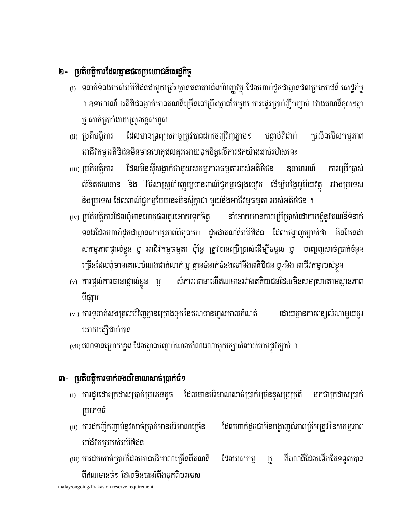### ២- ប្រតិបត្តិការដែលគ្មានផលប្រយោជន៍សេដ្ឋកិច្ច

- (i) ទំនាក់ទំនងរបស់អតិថិជនជាមួយគ្រឹះស្ថានធនាគារនិងហិរញ្ញវត្ថុ ដែលហាក់ដូចជាគ្មានផលប្រយោជន៍ សេដ្ឋកិច្ច ។ ឧទាហរណ៍ អតិថិជនម្នាក់មានគណនីច្រើននៅត្រីះស្ថានតែមួយ ការផ្ទេរប្រាក់ញឹកញាប់ រវាងគណនីខុស១គ្នា ឬ សាច់ប្រាក់ងាយស្រួលខ្ពស់ហួស
- ដែលមានទ្រព្យសកម្មត្រូវបានដកចេញវិញភ្លាមៗ (ii) ប្រតិបត្តិការ បនាប់ពីដាក់ ប្រសិនបើសកម្មភាព អាជីវកម្មអតិថិជនមិនមានហេតុផលគួរអោយទុកចិត្តលើការដកយ៉ាងឆាប់រហ័សនេះ
- ដែលមិនស៊ីសង្វាក់ជាមួយសកម្មភាពធម្មតារបស់អតិថិជន (iii) ប្រតិបត្តិការ ការប្រើប្រាស់ ឧទាហរណ៍ លិខិតឥណទាន និង វិធីសាស្ត្រហិរញ្ញប្បទានពាណិជ្ជកម្មផ្សេងទ្យេត ដើម្បីបង្វែររូបីយវត្ថុ រវាងប្រទេស និងប្រទេស ដែលពាណិជ្ជកម្មបែបនេះមិនស៊ីគ្នាជា មួយនឹងអាជីវម្មធម្មតា របស់អតិថិជន ។
- នាំអោយមានការប្រើប្រាស់ដោយបង្ខំនូវតណនីទំនាក់ <sub>(iv)</sub> ប្រតិបត្តិការដែលពុំមានហេតុផលគួរអោយទុកចិត្ត ទំនងដែលហាក់ដូចជាគ្មានសកម្មភាពពីមុនមក ដូចជាគណនីអតិថិជន ដែលបង្ហាញច្បាស់ថា មិនមែនជា សកម្មភាពផ្ទាល់ខ្លួន ឬ អាជីវកម្មធម្មតា ប៉ុន្តែ ត្រូវបានប្រើប្រាស់ដើម្បីទទួល ឬ បញ្ចេញសាច់ប្រាក់ចំនួន ត្រើនដែលពុំមានគោលបំណងជាក់លាក់ ឬ គ្នានទំនាក់ទំនងទៅនឹងអតិថិជន ឬ∕និង អាជីវកម្មរបស់ខ្លួន
- សំភារ: ធានាលើឥណទានរវាងតតិយជនដែលមិនសមស្របតាមស្ថានភាព  $(v)$  ការផ្តល់ការធានាផ្ទាល់ខ្លួន ឬ ទីផ្សារ
- (vi) ការទូទាត់សងត្រលប់វិពាគានក្រោងទុកនៃឥណទានហសកាលកំណត់ ដោយតានការពន្យល់ណាមយតរ អោយជឿជាក់បាន
- (vii) ឥណទានក្រោយខ្នង ដែលគ្មានបញ្ជាក់គោលបំណងណាមួយច្បាស់លាស់តាមផ្លូវច្បាប់ ។

### ៣- ប្រតិបត្តិការទាក់ទងបរិមាណសាច់ប្រាក់ធំ១

- (i) ការដូរដោះក្រដាសប្រាក់ប្រភេទតូច ដែលមានបរិមាណសាច់ប្រាក់ច្រើនខុសប្រក្រតី មកជាក្រដាសប្រាក់ ប្រភេទធំ
- (ii) ការដកញឹកញាប់នូវសាច់ប្រាក់មានបរិមាណច្រើន ដែលហាក់ដូចជាមិនបង្ហាញពីភាពត្រឹមត្រូវ នៃសកម្មភាព អាជីវកម្មរបស់អតិថិជន
- (iii) ការដកសាច់ប្រាក់ដែលមានបរិមាណច្រើនពីគណនី ពីគណនីដែលទើបតែទទលបាន ដែលអសកម្ម ប៊ ពីឥណទានធំ១ ដែលមិនបានរំពឹងទុកពីបរទេស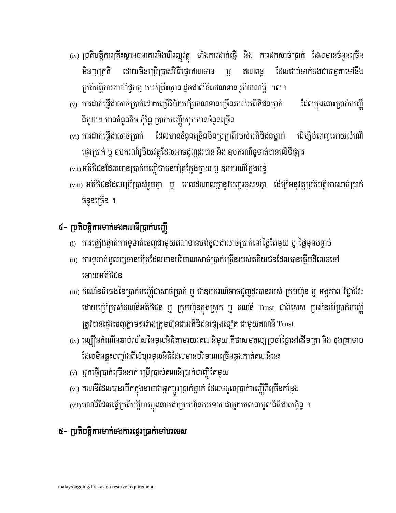- (iv) ប្រតិបត្តិការគ្រឹះស្ថានធនាគារនិងហិរញ្ញវត្ថុ ទាំងការដាក់ផ្ញើ និង ការដកសាច់ប្រាក់ ដែលមានចំនួនច្រើន មិនប្រក្រតី ដោយមិនប្រើប្រាស់វិធីផ្ទេរឥណទាន ដែលជាប់ទាក់ទងជាធមតាទៅនឹង ប៊ ឥណពន ប្រតិបត្តិការពាណិជ្ជកម្ម របស់គ្រីះស្ថាន ដូចជាលិខិតឥណទាន រូបិយណត្តិ ។ល។
- ដែលក្នុងនោះប្រាក់បញ្ញើ (v) ការដាក់ផ្ញើជាសាច់ប្រាក់ដោយប្រើវិក័យប័ត្រឥណទានច្រើនរបស់អតិថិជនម្នាក់ នីមួយ១ មានចំនួនតិច ប៉ុន្តែ ប្រាក់បញ្ញើសរុបមានចំនួនច្រើន
- (vi) ការដាក់ផ្ញើជាសាច់ប្រាក់ ដែលមានចំនួនច្រើនមិនប្រក្រតីរបស់អតិថិជនម្នាក់ ដើម្បីបំពេញអោយសំណើ ផ្ទេរប្រាក់ ឬ ឧបករណ៍រូបិយវត្ថុដែលអាចជួញដូរបាន និង ឧបករណ៍ទូទាត់បានលើទីផ្សារ
- (vii) **អតិថិ**ជនដែលមានប្រាក់បញ្ហើជាធនបត្រែក្លែងក្លាយ ឬ ឧបករណ៍ក្លែងបន្លំ
- (viii) **អតិថិជនដែល**ប្រើប្រាស់រួមគ្នា ឬ ពេលដំណាលគ្នានូវបញ្ជរខុសៗគ្នា ដើម្បីអនុវត្តប្រតិបត្តិការសាច់ប្រាក់ ចំនួនច្រើន ។

### G- ប្រតិបត្តិការទាក់ទងតណនីប្រាក់បញ្ហើ

- (i) ការផ្សេងផ្ទាត់ការទូទាត់ចេញជាមួយឥណទានបង់ចូលជាសាច់ប្រាក់នៅថ្ងៃតែមួយ ឬ ថ្ងៃមុនបន្ទាប់
- (ii) ការទូទាត់មូលប្បទានប័ត្រដែលមានបរិមាណសាច់ប្រាក់ច្រើនរបស់តតិយជនដែលបានធ្វើបដិលេខទៅ អោយអតិថិជន
- (iii) កំណើនធំធេងនៃប្រាក់បញ្ចើជាសាច់ប្រាក់ ឬ ជាឧបករណ៍អាចជួញដូរបានរបស់ ក្រុមហ៊ុន ឬ អង្គភាព វីជ្ជាជីវ: ដោយប្រើប្រាស់គណនីអតិថិជន ឬ ក្រុមហ៊ុនក្នុងស្រុក ឬ គណនី Trust ជាពិសេស ប្រសិនបើប្រាក់បញ្ចើ ត្រូវបានផ្ទេរចេញភ្លាម១រវាងក្រុមហ៊ុនជាអតិថិជនផ្សេងទៀត ជាមួយគណនី Trust
- <sub>(iv)</sub> ល្បឿនកំណើនឆាប់រហ័សនៃមូលនិធិតាមរយ:គណនីមួយ គឺថាសមតុល្យប្រចាំថ្ងៃនៅដើមគ្រា និង ចុងគ្រាទាប ដែលមិនឆ្លូះបញ្ចាំងពីលំហូរមូលនិធិដែលមានបរិមាណច្រើនឆ្លងកាត់គណនីនេះ
- (v) អ្នកផ្ញើប្រាក់ច្រើននាក់ ប្រើប្រាស់គណនីប្រាក់បញ្ញើតែមួយ
- (vi) គណនីដែលបានបើកក្នុងនាមជាអ្នកប្តូរប្រាក់ម្នាក់ ដែលទទួលប្រាក់បញ្ញើពីច្រើនកន្លែង
- (vii) គណនីដែលធ្វើប្រតិបត្តិការក្នុងនាមជាក្រុមហ៊ុនបរទេស ជាមួយចលនាមូលនិធិជាសម្ព័ន្ធ ។

### ៥- ប្រតិបត្តិការទាក់ទងការផ្ទេរប្រាក់ទៅបរទេស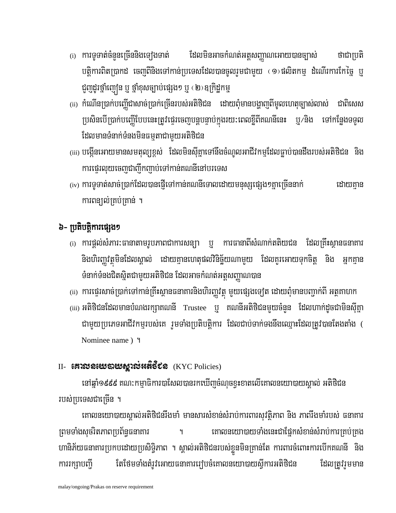- (i) ការទូទាត់ចំនួនច្រើននិងទ្ប៉េងទាត់ ដែលមិនអាចកំណត់អត្តសញ្ញាណអោយបានច្បាស់ ថាជាប្រតិ បត្តិការពិតប្រាកដ ចេញពីនិងទៅកាន់ប្រទេសដែលបានចូលរួមជាមួយ (១)ផលិតកម្ម ដំណើរការកែច្នៃ ឬ ជួញដូរថ្នាំញេនៃ ឬ ថ្នាំខុសច្បាប់ផ្សេង១ ឬ (២) ឧក្រិដ្ឋកម្ម
- (ii) កំណើនប្រាក់បញ្ញើជាសាច់ប្រាក់ច្រើនរបស់អតិថិជន ដោយពុំមានបង្ហាញពីមូលហេតុច្បាស់លាស់ ជាពិសេស ប្រសិនបើប្រាក់បញ្ញើបែបនេះត្រូវផ្ទេរចេញបន្តបន្ទាប់ក្នុងរយ:ពេលខ្លីពីគណនីនេះ ឬ/និង ទៅកន្លែងទទួល ដែលមានទំនាក់ទំនងមិនធម្មតាជាមួយអតិថិជន
- (iii) បង្កើនអោយមានសមតុល្យខ្ពស់ ដែលមិនស៊ីគ្នាទៅនឹងចំណូលអាជីវកម្មដែលធ្លាប់បានដឹងរបស់អតិថិជន និង ការផ្ទេរលុយចេញជាពីកញ្ញាប់ទៅកាន់គណនីនៅបរទេស
- (iv) ការទូទាត់សាច់ប្រាក់ដែលបានផ្ញើទៅកាន់គណនីទោលដោយមនុស្សផ្សេង១គ្នាច្រើននាក់ ដោយតាន ការពន្យល់គ្រប់គ្រាន់ ។

### ៦- ប្រតិបត្តិការផ្សេង១

- (i) ការផ្តល់សំភារ:ធានាតាមរូបភាពជាការសន្យា ឬ ការធានាពីសំណាក់តតិយជន ដែលក្រឹះស្ថានធនាគារ និងហិរញ្ញវត្ថុមិនដែលស្គាល់ ដោយគ្មានហេតុផលវិនិច្ឆ័យណាមួយ ដែលគួរអោយទុកចិត្ត និង អ្នកគ្មាន ទំនាក់ទំនងជិតស្និតជាមួយអតិថិជន ដែលអាចកំណត់អត្តសញ្ញាណបាន
- (ii) ការផ្ទេរសាច់ប្រាក់ទៅកាន់គ្រឹះស្ថានធនាគារនិងហិរញ្ញវត្ថុ មួយផ្សេងទ្យេីត ដោយពុំមានបញ្ជាក់ពី អត្ថកាហក
- (iii) អតិថិជនដែលមានបំណងរក្សាគណនី Trustee ឬ គណនីអតិថិជនមួយចំនួន ដែលហាក់ដូចជាមិនស៊ីគ្នា ជាមយប្រភេទអាជីវកម្មរបស់គេ រមទាំងប្រតិបត្តិការ ដែលជាប់ទាក់ទងនឹងឈ្មោះដែលត្រូវបានតែងតាំង ( Nominee name) ។

### II- គោលនយេតុយស្គាល់អតិថិបន (KYC Policies)

នៅឆ្នាំ១៩៩៩ គណ:កម្មាធិការបាសែលបានរកឃើញចំណុចខ្វះខាតលើកោលនយោបាយស្គាល់ អតិថិជន របស់ប្រទេសជាច្រើន ។

គោលនយោបាយស្គាល់អតិថិជនរឹងមាំ មានសារសំខាន់សំរាប់ការពារសុវត្ថិភាព និង ភាពរឹងមាំរបស់ ធនាគារ ព្រមទាំងសុចរិតភាពប្រព័ន្ធធនាគារ កោលនយោបាយទាំងនេះជាផ្នែកសំខាន់សំរាប់ការគ្រប់គ្រង  $\mathcal{L}$ ហានិភ័យធនាគារប្រកបដោយប្រសិទ្ធិភាព ។ ស្គាល់អតិថិជនរបស់ខ្លួនមិនគ្រាន់តែ ការពារចំពោះការបើកគណនី និង តែថែមទាំងតំរូវអោយធនាគាររេវបចំគោលនយោបាយសីការអតិថិជន ការរក្សាបញ្ជី ដែលត្រូវរមមាន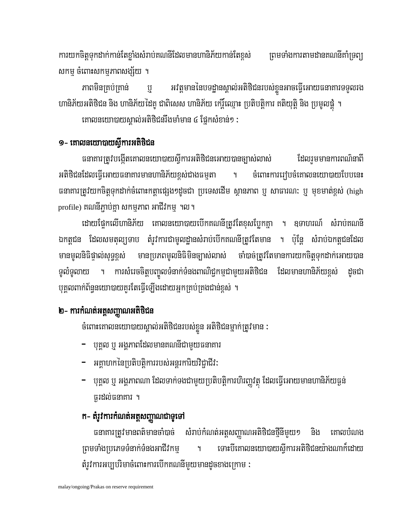ការយកចិត្តទុកដាក់កាន់តែខាំងសំរាប់គណនីដែលមានហានិភ័យកាន់តែខស់ ព្រមទាំងការតាមដានគណនីគាំទ្រព្យ សកម្ម ចំពោះសកម្មភាពសង្ស័យ ។

ភាពមិនគ្រប់គ្រាន់ ឬ អវត្តមាននៃបទដ្ឋានស្គាល់អតិថិជនរបស់ខ្លួនអាចធ្វើអោយធនាគារទទួលរង ហានិភ័យអតិថិជន និង ហានិភ័យដៃតួ ជាពិសេស ហានិភ័យ កេរ្តិ៍ឈ្មោះ ប្រតិបត្តិការ គតិយុត្តិ និង ប្រមូលផ្តុំ ។ កោលនយោបាយស្គាល់អតិថិជនរឹងមាំមាន ៤ ផ្នែកសំខាន់១ :

### 9- កោលនយោបាយស្មីការអតិថិជន

ធនាគារត្រូវបង្កើតគោលនយោបាយស្ទីការអតិថិជនអោយបានច្បាស់លាស់ ដែលរមមានការពណ៌នាពី អតិថិជនដែលធ្វើអោយធនាគារមានហានិភ័យខ្ពស់ជាងធម្មតា ចំពោះការរេវបចំគោលនយោបាយបែបនេះ  $4$ ធនាគារត្រូវយកចិត្តទុកដាក់ចំពោះកត្តាផ្សេង១ដូចជា ប្រទេសដើម ស្ថានភាព ឬ សាធារណ: ឬ មុខមាត់ខ្ពស់ (high profile) គណនីភ្ជាប់គ្នា សកម្មភាព អាជីវកម្ម ។ល។

ដោយផ្អែកលើហានិភ័យ កោលនយោបាយបើកគណនីត្រូវតែខុសប្លែកគ្នា ។ ឧទាហរណ៍ សំរាប់គណនី ឯកត្តជន ដែលសមតុល្យទាប តំរូវការជាមូលដ្ឋានសំរាប់បើកគណនីត្រូវតែមាន ។ ប៉ុន្តែ សំរាប់ឯកត្តជនដែល មានមូលនិធិផ្ទាល់សុទ្ធខ្ពស់ មានប្រភពមូលនិធិមិនច្បាស់លាស់ ចាំបាច់ត្រូវតែមានការយកចិត្តទុកដាក់អោយបាន ទូលំទូលាយ ។ ការសំរេចចិត្តបញ្ចូលទំនាក់ទំនងពាណិជ្ជកម្មជាមួយអតិថិជន ដែលមានហានិភ័យខ្ពស់ ដចជា បុគ្គលពាក់ព័ន្ធនយោបាយគួរតែធ្វើឡើងដោយអ្នកគ្រប់គ្រងជាន់ខ្ពស់ ។

### ២– ការកំណត់អត្តសញ្ញាណអតិថិជន

ចំពោះកោលនយោបាយស្គាល់អតិថិជនរបស់ខ្លួន អតិថិជនម្នាក់ត្រូវមាន :

- បុគ្គល ឬ អង្គភាពដែលមានគណនីជាមួយធនាគារ
- អត្តាហកនៃប្រតិបត្តិការរបស់អន្តរការិយវិជ្ជាជីវ:
- បុគ្គល ឬ អង្គភាពណា ដែលទាក់ទងជាមួយប្រតិបត្តិការហិរញ្ញវត្ថុ ដែលធ្វើអោយមានហានិភ័យធ្ងន់ ធ្នូរដល់ធនាគារ ។

### ក- តំរូវការកំណត់អត្តសញ្ញាណជាទូទៅ

ធនាគារត្រូវមានពត៌មានចាំបាច់ សំរាប់កំណត់អត្តសញ្ញាណអតិថិជនថ្មីនីមួយ១ និង គោលបំណង ព្រមទាំងប្រភេទទំនាក់ទំនងអាជីវកម្ ទោះបីកោលនយោបាយស្ទីការអតិថិជនយ៉ាងណាក៏ដោយ  $\mathcal{L}$ តំរូវការអប្បបរិមាចំពោះការបើកគណនីមួយមានដូចខាងក្រោម :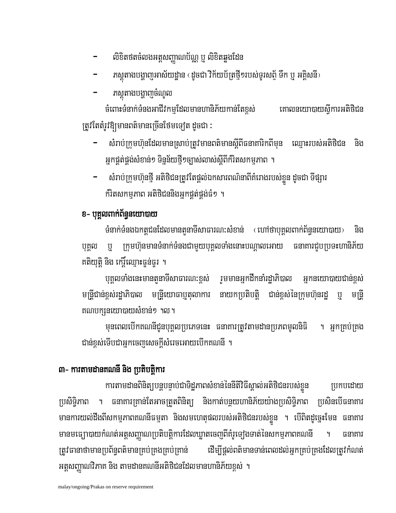- លិខិតថតចំលងអត្តសញ្ញាណប័ណ្ណ ឬ លិខិតឆ្លងដែន
- ភស្តុតាងបង្ហាញអាស័យដ្ឋាន (ដូចជា វិក័យប័ត្រថ្មី១របស់ទូរសព័ ទឹក ឬ អគ្គិសនី)
- ភស្តុតាងបង្ហាញចំណូល

ចំពោះទំនាក់ទំនងអាជីវកម្មដែលមានហានិភ័យកាន់តែខ្ពស់ កោលនយោបាយស្ទីការអតិថិជន ត្រូវតែតំរូវឱ្យមានពត៌មានច្រើនថែមទ្យេត ដូចជា :

- សំរាប់ក្រុមហ៊ុនដែលមានស្រាប់ត្រូវមានពត៌មានស្តីពីធនាគារិកពីមុន ឈ្មោះរបស់អតិថិជន ថិង អ្នកផ្គត់ផ្គង់សំខាន់១ ទិន្នន័យថ្មី១ច្បាស់លាស់ស្តីពីក៏វិតសកម្មភាព ។
- សំរាប់ក្រុមហ៊ុនថ្មី អតិថិជនត្រូវតែផ្តល់ឯកសារពណ៌នាពីកំរោងរបស់ខ្លួន ដូចជា ទីផ្សារ ក៏រិតសកម្មភាព អតិថិជននិងអ្នកផ្គត់ផ្គង់ធំ១ ។

### ខ- បុគ្គលពាក់ព័ន្ធនយោបាយ

ទំនាក់ទំនងឯកត្តជនដែលមានតួនាទីសាធារណ:សំខាន់ (ហៅថាបុគ្គលពាក់ព័ន្ធនយោបាយ) ទិង ក្រុមហ៊ុនមានទំនាក់ទំនងជាមួយបុគ្គលទាំងនោះបណ្តាលអោយ ធនាគារជួបប្រទះហានិភ័យ បុគ្គល ប៊ គតិយុត្តិ និង កេរ្តិ៍ឈ្មោះធ្ងន់ធ្ងរ ។

បុគ្គលទាំងនេះមានតួនាទីសាធារណៈខ្ពស់ រួមមានអ្នកដឹកនាំរដ្ឋាភិបាល អ្នកនយោបាយជាន់ខ្ពស់ មន្ត្រីជាន់ខ្ពស់រដ្ឋាភិបាល មន្ត្រីយោធាប្ញតុលាការ នាយកប្រតិបត្តិ ជាន់ខ្ពស់នៃក្រុមហ៊ុនរដ្ឋ ប្ញ មន្រ្តី គណបក្សនយោបាយសំខាន់១ ។ល។

មុនពេលបើកគណនីជូនបុគ្គលប្រភេទនេះ ធនាគារត្រូវតាមដានប្រភពមូលនិធិ ។ អុកត្រប់ត្រង ជាន់ខ្ពស់ទើបជាអ្នកចេញសេចក្តីសំរេចអោយបើកគណនី ។

### ៣- ការតាមដានតណនី និង ប្រតិបត្តិការ

ការតាមដានពិនិត្យបន្តបន្ទាប់ជាទិដ្ឋភាពសំខាន់នៃនីតិវិធីស្គាល់អតិថិជនរបស់ខ្លួន បេកបដោយ ប្រសិទ្ធិភាព ។ ធនាគារគ្រាន់តែអាចត្រួតពិនិត្យ និងកាត់បន្ថយហានិភ័យយ៉ាងប្រសិទ្ធិភាព ប្រសិនបើធនាគារ មានការយល់ដឹងពីសកម្មភាពគណនីធម្មតា និងសមហេតុផលរបស់អតិថិជនរបស់ខ្លួន ។ បើពិតដូច្នេះមែន ធនាគារ មានមធ្យោបាយកំណត់អត្តសញ្ញាណប្រតិបត្តិការដែលឃ្លាតចេញពីគំរូទ្យេងទាត់នៃសកម្មភាពគណនី ។ ធនាគារ ត្រូវធានាថាមានប្រព័ន្ធពតិមានគ្រប់គ្រងគ្រប់គ្រាន់ ដើម្បីផ្តល់ពត៌មានទាន់ពេលដល់អ្នកគ្រប់គ្រងដែលត្រូវកំណត់ អត្តសញ្ញាណវិភាគ និង តាមដានគណនីអតិថិជនដែលមានហានិភ័យខ្ពស់ ។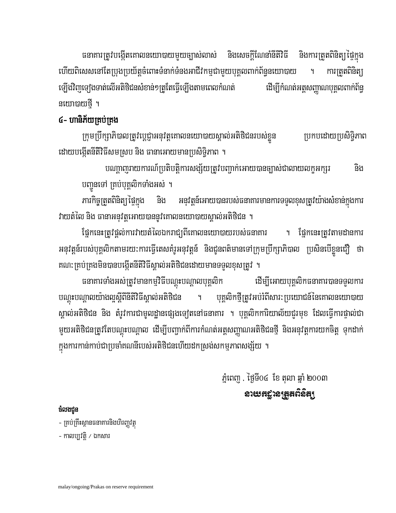ធនាគារត្រូវបង្កើតគោលនយោបាយមួយច្បាស់លាស់ និងសេចក្តីណែនាំនីតិវិធី និងការត្រួតពិនិត្យផ្ទៃក្នុង ហើយពិសេសនៅតែប្រុងប្រយ័ត្នចំពោះទំនាក់ទំនងអាជីវកម្មជាមួយបុគ្គលពាក់ព័ន្ធនយោបាយ ការត្រួតពិនិត្យ ។ ឡើងវិញទ្យេងទាត់លើអតិថិជនសំខាន់ៗត្រូតែធ្វើឡើងតាមពេលកំណត់ ដើម្បីកំណត់អត្តសញ្ញាណបុគ្គលពាក់ព័ន្ធ នយោបាយថ្មី ។

### ៤- ហានិភ័យគ្រប់គ្រង

ប្រកបដោយប្រសិទ្ធិភាព ក្រុមប្រឹក្សាភិបាលត្រូវបេ្តជាអនុវត្តគោលនយោបាយស្គាល់អតិថិជនរបស់ខ្លួន ដោយបង្កើតនីតិវិធីសមស្រប និង ធានាអោយមានប្រសិទ្ធិភាព ។

បណ្តោពារាយការណ៍ប្រតិបត្តិការសង្ស័យត្រូវបញ្ជាក់អោយបានច្បាស់ជាលាយលក្ខអក្សរ ទិង បញ្ជូនទៅ គ្រប់បុគ្គលិកទាំងអស់ ។

ភារកិច្ចត្រួតពិនិត្យផ្ទៃក្នុង អនុវត្តន៍អោយបានរបស់ធនាគារមានការទទួលខុសត្រូវយ៉ាងសំខាន់ក្នុងការ ទឹង វាយតំលៃ និង ធានាអនុវត្តអោយបាននូវគោលនយោបាយស្គាល់អតិថិជន ។

ផ្នែកនេះត្រូវផ្តល់ការវាយតំលៃឯករាជ្យពីគោលនយោបាយរបស់ធនាគារ ។ ផ្នែកនេះត្រូវតាមដានការ អនុវត្តន៍របស់បុគ្គលិកតាមរយ:ការធ្វើតេសគំរូអនុវត្តន៍ និងជូនពតិមានទៅក្រុមប្រឹក្សាភិបាល ប្រសិនបើខ្លួនជឿ ថា គណ: គ្រប់គ្រងមិនបានបង្កើតនីតិវិធីស្គាល់អតិថិជនដោយមានទទួលខុសត្រូវ ។

ធនាគារទាំងអស់ត្រូវមានកម្មវិធីបណ្តុះបណ្តាលបុគ្គលិក ដើម្បីអោយបុគ្គលិកធនាគារបានទទួលការ បុគ្គលិកថ្មីត្រូវអប់រំពីសារ: ប្រយោជន៍នៃកោលនយោបាយ បណ្តុះបណ្តាលយ៉ាងល្អស្តីពីនីតិវិធីស្គាល់អតិថិជន  $\mathcal{L}$ ស្គាល់អតិថិជន និង តំរូវការជាមូលដ្ឋានផ្សេងទ្យេតនៅធនាគារ ។ បុគ្គលិកការិយាល័យជួរមុខ ដែលធ្វើការផ្ទាល់ជា មួយអតិថិជនត្រូវតែបណ្តុះបណ្តាល ដើម្បីបញ្ជាក់ពីការកំណត់អត្តសញ្ញាណអតិថិជនថ្មី និងអនុវត្តការយកចិត្ត ទុកដាក់ ក្នុងការកាន់កាប់ជាប្រចាំគណនីបេស់អតិថិជនហើយដកស្រង់សកម្មភាពសង្ស័យ ។

> ភ្នំពេពា , ថ្ងៃទី០៤ ខែ តុលា ឆ្នាំ ២០០៣ ฉาย หยาดรูสติลิสุ

#### ចំលងជូន

- គ្រប់គ្រឹះស្ថានធនាគារនិងហិរញ្ញវត្ថុ

- កាលប្បវត្តិ / ឯកសារ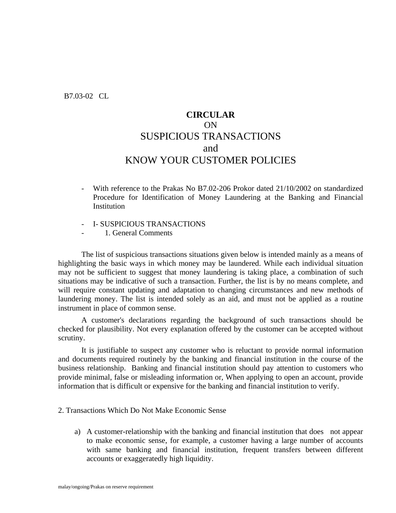B7.03-02 CL

### **CIRCULAR**  ON SUSPICIOUS TRANSACTIONS and KNOW YOUR CUSTOMER POLICIES

- With reference to the Prakas No B7.02-206 Prokor dated 21/10/2002 on standardized Procedure for Identification of Money Laundering at the Banking and Financial **Institution**
- I- SUSPICIOUS TRANSACTIONS
- 1. General Comments

 The list of suspicious transactions situations given below is intended mainly as a means of highlighting the basic ways in which money may be laundered. While each individual situation may not be sufficient to suggest that money laundering is taking place, a combination of such situations may be indicative of such a transaction. Further, the list is by no means complete, and will require constant updating and adaptation to changing circumstances and new methods of laundering money. The list is intended solely as an aid, and must not be applied as a routine instrument in place of common sense.

 A customer's declarations regarding the background of such transactions should be checked for plausibility. Not every explanation offered by the customer can be accepted without scrutiny.

 It is justifiable to suspect any customer who is reluctant to provide normal information and documents required routinely by the banking and financial institution in the course of the business relationship. Banking and financial institution should pay attention to customers who provide minimal, false or misleading information or, When applying to open an account, provide information that is difficult or expensive for the banking and financial institution to verify.

- 2. Transactions Which Do Not Make Economic Sense
	- a) A customer-relationship with the banking and financial institution that does not appear to make economic sense, for example, a customer having a large number of accounts with same banking and financial institution, frequent transfers between different accounts or exaggeratedly high liquidity.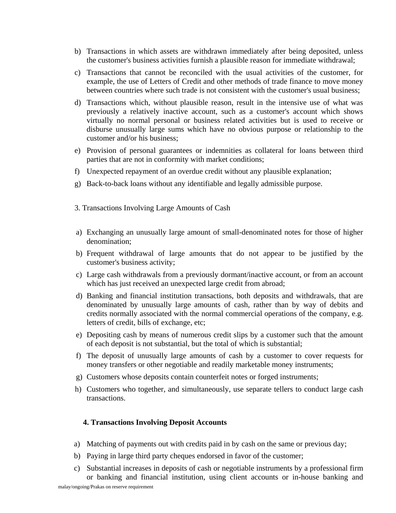- b) Transactions in which assets are withdrawn immediately after being deposited, unless the customer's business activities furnish a plausible reason for immediate withdrawal;
- c) Transactions that cannot be reconciled with the usual activities of the customer, for example, the use of Letters of Credit and other methods of trade finance to move money between countries where such trade is not consistent with the customer's usual business;
- d) Transactions which, without plausible reason, result in the intensive use of what was previously a relatively inactive account, such as a customer's account which shows virtually no normal personal or business related activities but is used to receive or disburse unusually large sums which have no obvious purpose or relationship to the customer and/or his business;
- e) Provision of personal guarantees or indemnities as collateral for loans between third parties that are not in conformity with market conditions;
- f) Unexpected repayment of an overdue credit without any plausible explanation;
- g) Back-to-back loans without any identifiable and legally admissible purpose.
- 3. Transactions Involving Large Amounts of Cash
- a) Exchanging an unusually large amount of small-denominated notes for those of higher denomination;
- b) Frequent withdrawal of large amounts that do not appear to be justified by the customer's business activity;
- c) Large cash withdrawals from a previously dormant/inactive account, or from an account which has just received an unexpected large credit from abroad;
- d) Banking and financial institution transactions, both deposits and withdrawals, that are denominated by unusually large amounts of cash, rather than by way of debits and credits normally associated with the normal commercial operations of the company, e.g. letters of credit, bills of exchange, etc;
- e) Depositing cash by means of numerous credit slips by a customer such that the amount of each deposit is not substantial, but the total of which is substantial;
- f) The deposit of unusually large amounts of cash by a customer to cover requests for money transfers or other negotiable and readily marketable money instruments;
- g) Customers whose deposits contain counterfeit notes or forged instruments;
- h) Customers who together, and simultaneously, use separate tellers to conduct large cash transactions.

#### **4. Transactions Involving Deposit Accounts**

- a) Matching of payments out with credits paid in by cash on the same or previous day;
- b) Paying in large third party cheques endorsed in favor of the customer;
- c) Substantial increases in deposits of cash or negotiable instruments by a professional firm or banking and financial institution, using client accounts or in-house banking and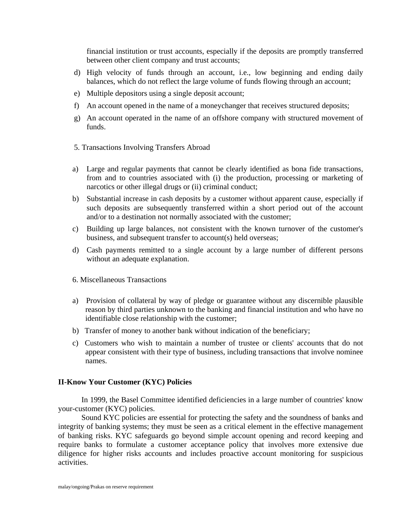financial institution or trust accounts, especially if the deposits are promptly transferred between other client company and trust accounts;

- d) High velocity of funds through an account, i.e., low beginning and ending daily balances, which do not reflect the large volume of funds flowing through an account;
- e) Multiple depositors using a single deposit account;
- f) An account opened in the name of a moneychanger that receives structured deposits;
- g) An account operated in the name of an offshore company with structured movement of funds.
- 5. Transactions Involving Transfers Abroad
- a) Large and regular payments that cannot be clearly identified as bona fide transactions, from and to countries associated with (i) the production, processing or marketing of narcotics or other illegal drugs or (ii) criminal conduct;
- b) Substantial increase in cash deposits by a customer without apparent cause, especially if such deposits are subsequently transferred within a short period out of the account and/or to a destination not normally associated with the customer;
- c) Building up large balances, not consistent with the known turnover of the customer's business, and subsequent transfer to account(s) held overseas;
- d) Cash payments remitted to a single account by a large number of different persons without an adequate explanation.
- 6. Miscellaneous Transactions
- a) Provision of collateral by way of pledge or guarantee without any discernible plausible reason by third parties unknown to the banking and financial institution and who have no identifiable close relationship with the customer;
- b) Transfer of money to another bank without indication of the beneficiary;
- c) Customers who wish to maintain a number of trustee or clients' accounts that do not appear consistent with their type of business, including transactions that involve nominee names.

#### **II-Know Your Customer (KYC) Policies**

 In 1999, the Basel Committee identified deficiencies in a large number of countries' know your-customer (KYC) policies.

 Sound KYC policies are essential for protecting the safety and the soundness of banks and integrity of banking systems; they must be seen as a critical element in the effective management of banking risks. KYC safeguards go beyond simple account opening and record keeping and require banks to formulate a customer acceptance policy that involves more extensive due diligence for higher risks accounts and includes proactive account monitoring for suspicious activities.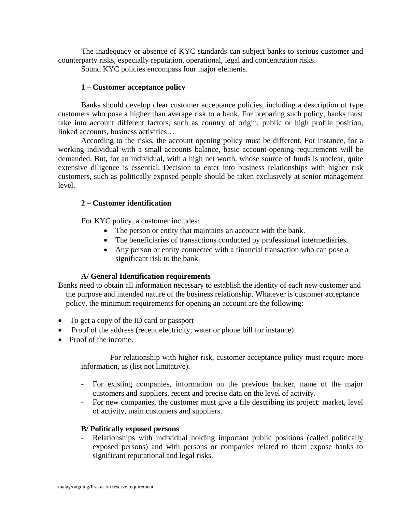The inadequacy or absence of KYC standards can subject banks to serious customer and counterparty risks, especially reputation, operational, legal and concentration risks.

Sound KYC policies encompass four major elements.

#### **1 – Customer acceptance policy**

Banks should develop clear customer acceptance policies, including a description of type customers who pose a higher than average risk to a bank. For preparing such policy, banks must take into account different factors, such as country of origin, public or high profile position, linked accounts, business activities…

According to the risks, the account opening policy must be different. For instance, for a working individual with a small accounts balance, basic account-opening requirements will be demanded. But, for an individual, with a high net worth, whose source of funds is unclear, quite extensive diligence is essential. Decision to enter into business relationships with higher risk customers, such as politically exposed people should be taken exclusively at senior management level.

#### **2 – Customer identification**

For KYC policy, a customer includes:

- The person or entity that maintains an account with the bank.
- The beneficiaries of transactions conducted by professional intermediaries.
- Any person or entity connected with a financial transaction who can pose a significant risk to the bank.

#### **A/ General Identification requirements**

Banks need to obtain all information necessary to establish the identity of each new customer and the purpose and intended nature of the business relationship. Whatever is customer acceptance policy, the minimum requirements for opening an account are the following:

- To get a copy of the ID card or passport
- Proof of the address (recent electricity, water or phone bill for instance)
- Proof of the income.

 For relationship with higher risk, customer acceptance policy must require more information, as (list not limitative).

- For existing companies, information on the previous banker, name of the major customers and suppliers, recent and precise data on the level of activity.
- For new companies, the customer must give a file describing its project: market, level of activity, main customers and suppliers.

#### **B/ Politically exposed persons**

Relationships with individual holding important public positions (called politically exposed persons) and with persons or companies related to them expose banks to significant reputational and legal risks.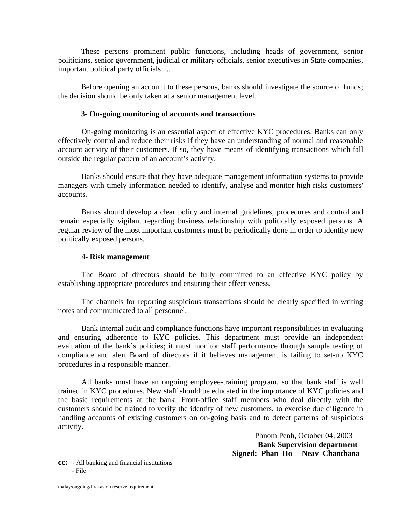These persons prominent public functions, including heads of government, senior politicians, senior government, judicial or military officials, senior executives in State companies, important political party officials….

Before opening an account to these persons, banks should investigate the source of funds; the decision should be only taken at a senior management level.

#### **3- On-going monitoring of accounts and transactions**

 On-going monitoring is an essential aspect of effective KYC procedures. Banks can only effectively control and reduce their risks if they have an understanding of normal and reasonable account activity of their customers. If so, they have means of identifying transactions which fall outside the regular pattern of an account's activity.

 Banks should ensure that they have adequate management information systems to provide managers with timely information needed to identify, analyse and monitor high risks customers' accounts.

 Banks should develop a clear policy and internal guidelines, procedures and control and remain especially vigilant regarding business relationship with politically exposed persons. A regular review of the most important customers must be periodically done in order to identify new politically exposed persons.

#### **4- Risk management**

 The Board of directors should be fully committed to an effective KYC policy by establishing appropriate procedures and ensuring their effectiveness.

 The channels for reporting suspicious transactions should be clearly specified in writing notes and communicated to all personnel.

 Bank internal audit and compliance functions have important responsibilities in evaluating and ensuring adherence to KYC policies. This department must provide an independent evaluation of the bank's policies; it must monitor staff performance through sample testing of compliance and alert Board of directors if it believes management is failing to set-up KYC procedures in a responsible manner.

 All banks must have an ongoing employee-training program, so that bank staff is well trained in KYC procedures. New staff should be educated in the importance of KYC policies and the basic requirements at the bank. Front-office staff members who deal directly with the customers should be trained to verify the identity of new customers, to exercise due diligence in handling accounts of existing customers on on-going basis and to detect patterns of suspicious activity.

> Phnom Penh, October 04, 2003 **Bank Supervision department Signed: Phan Ho Neav Chanthana**

**cc:** - All banking and financial institutions - File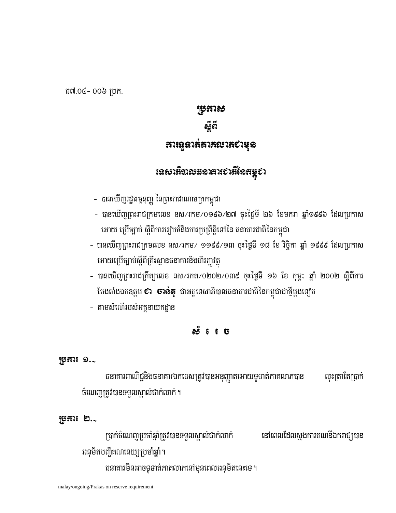ប្រាក់ចំណេញប្រចាំឆ្នាំត្រូវបានទទួលស្គាល់ជាក់លាក់ អនុម័តបញ្ចីគណនេយ្យប្រចាំឆ្នាំ។

ធនាគារមិនអាចទូទាត់ភាគលាភនៅមុនពេលអនុម័តនេះទេ ។

#### ប្រុការ ២. $\scriptstyle\mathtt{.}$

នៅពេលដែលស្នងការគណនីឯករាជ្យបាន

ធនាគារពាណិជ្ជនិងធនាគារឯកទេសត្រូវបានអនុញ្ញាតអោយទូទាត់ភាគលាភបាន លះត្រាតែប្រាក់ ចំណេញត្រូវបានទទួលស្គាល់ជាក់លាក់ ។

### ថ្ងៃភារ ១. $\scriptstyle\mathtt{.}$

### <u>ක් 15 ජ</u>

- តាមសំណើរបស់អគ្គនាយកដ្ឋាន
- បានឃើញព្រះរាជក្រឹត្យលេខ នស/រកត/០២០២/០៣៩ ចុះថ្ងៃទី ១៦ ខែ កុម្ភ: ឆ្នាំ ២០០២ ស្តីពីការ
- អោយ ប្រើច្បាប់ ស្តីពីការរៀបចំនិងការប្រព្រឹត្តិទៅនៃ ធនាគារជាតិនៃកម្ពុជា - បានឃើញព្រះរាជក្រមលេខ នស/រកម/ ១១៩៩/១៣ ចុះថ្ងៃទី ១៨ ខែ វិច្ឆិកា ឆ្នាំ ១៩៩៩ ដែលប្រកាស អោយប្រើច្បាប់ស្តីពីគ្រឹះស្ថានធនាគារនិងហិរញ្ញវត្ថុ
- បានឃើញរដ្ឋធម្មនុញ្ញ នៃព្រះរាជាណាចក្រកម្ពុជា - បានឃើញព្រះរាជក្រមលេខ នស/រកម/09៩៦/២៧ ចុះថ្ងៃទី ២៦ ខែមករា ឆ្នាំ១៩៩៦ ដែលប្រកាស

### *៶*ឧសាតិបាលធលគារឋាតិនៃកម្ពុឋា

### **หาเลลาส์สาสญาส**ะวะจุล

# **ญัติ**

### 155165

ធ៧.០៤- ០០៦ ប្រក.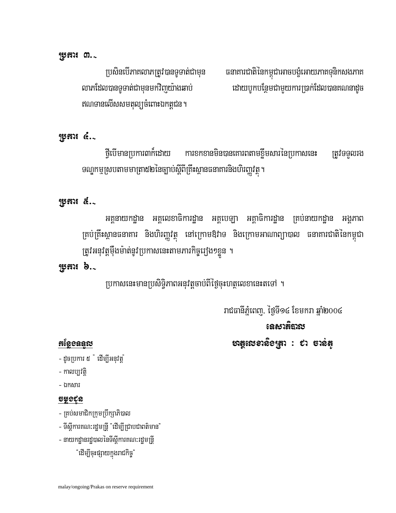#### $5531$  m. $\sim$

ប្រសិនបើភាគលាភត្រូវបានទូទាត់ជាមុន លាភដែលបានទូទាត់ជាមុនមកវិញយ៉ាងឆាប់ ឥណទានលើសសមតុល្យចំពោះឯកត្តជន ។

ធនាគារជាតិនៃកម្ពុជាអាចបង្ខំអោយភាគទុនិកសងភាគ ដោយបូកបន្ថែមជាមួយការប្រាក់ដែលបានគណនាដូច

### $55316...$

ថ្វីបើមានប្រការ៣ក៏ដោយ ការខកខានមិនបានគោរពតាមខ្ទឹមសារនៃប្រកាសនេះ ត្រូវទទួលរង ទណ្ឌកម្មស្របតាមមាត្រា៥២នៃច្បាប់ស្តីពីគ្រឹះស្ថានធនាគារនិងហិរញ្ញវត្ថុ។

### $15311$  &. $\sim$

អគ្គនាយកដាន អគ្គលេខាធិការដាន អគ្គបេទ្យា អគ្គាធិការដាន គ្រប់នាយកដាន អង្គភាព គ្រប់គ្រឹះស្ថានធនាគារ និងហិរញ្ញវត្ថុ នៅក្រោមឱវាទ និងក្រោមអាណាព្យាបាល ធនាគារជាតិនៃកម្ពុជា ត្រូវអនុវត្តម៉ឹងម៉ាត់នូវប្រកាសនេះតាមភារកិច្ចរឿង១ខ្លួន ។

### $15$  and  $9^\circ$

ប្រកាសនេះមានប្រសិទ្ធិភាពអនុវត្តចាប់ពីថ្ងៃចុះហត្ថលេខានេះតទៅ ។

រាជធានីភ្នំពេញ, ថ្ងៃទី១៤ ខែមករា ឆ្នាំ២០០៤

### เฉษาธิการ

### 

- ដូចប្រការ ៥ " ដើម្បីអនុវត្ត"

– កាលប្បវត្តិ

កន្ថែខឧន្ទរប

- ឯកសារ

### uşoçr

- គ្រប់សមាជិកក្រុមប្រឹក្សាភិបាល
- ទីស្តីការគណ:រដ្ឋមន្ត្រី "ដើម្បីជ្រាបជាពតិមាន"
- នាយកដ្ឋានរដ្ឋបាលនៃទីស្តីការគណ:រដ្ឋមន្ត្រី
	- "ដើម្បីចុះផ្សាយក្នុងរាជកិច្ច"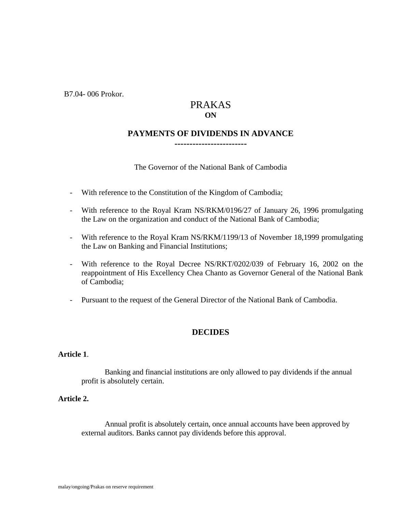B7.04- 006 Prokor.

#### PRAKAS **ON**

#### **PAYMENTS OF DIVIDENDS IN ADVANCE ------------------------**

The Governor of the National Bank of Cambodia

- With reference to the Constitution of the Kingdom of Cambodia;
- With reference to the Royal Kram NS/RKM/0196/27 of January 26, 1996 promulgating the Law on the organization and conduct of the National Bank of Cambodia;
- With reference to the Royal Kram NS/RKM/1199/13 of November 18,1999 promulgating the Law on Banking and Financial Institutions;
- With reference to the Royal Decree NS/RKT/0202/039 of February 16, 2002 on the reappointment of His Excellency Chea Chanto as Governor General of the National Bank of Cambodia;
- Pursuant to the request of the General Director of the National Bank of Cambodia.

#### **DECIDES**

#### **Article 1**.

Banking and financial institutions are only allowed to pay dividends if the annual profit is absolutely certain.

#### **Article 2.**

Annual profit is absolutely certain, once annual accounts have been approved by external auditors. Banks cannot pay dividends before this approval.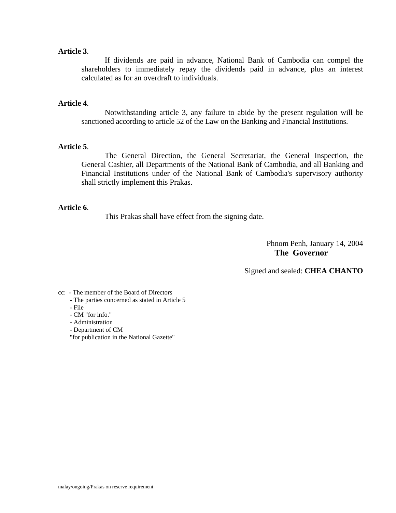#### **Article 3**.

If dividends are paid in advance, National Bank of Cambodia can compel the shareholders to immediately repay the dividends paid in advance, plus an interest calculated as for an overdraft to individuals.

#### **Article 4**.

Notwithstanding article 3, any failure to abide by the present regulation will be sanctioned according to article 52 of the Law on the Banking and Financial Institutions.

#### **Article 5**.

The General Direction, the General Secretariat, the General Inspection, the General Cashier, all Departments of the National Bank of Cambodia, and all Banking and Financial Institutions under of the National Bank of Cambodia's supervisory authority shall strictly implement this Prakas.

#### **Article 6**.

This Prakas shall have effect from the signing date.

Phnom Penh, January 14, 2004 **The Governor** 

Signed and sealed: **CHEA CHANTO**

cc: - The member of the Board of Directors

- The parties concerned as stated in Article 5
- File
- CM "for info."
- Administration
- Department of CM
- "for publication in the National Gazette"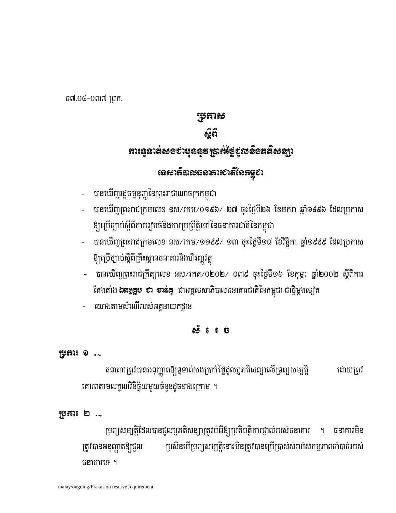ទ្រព្យសម្បត្តិដែលបានជួលឬភតិសន្យាត្រូវបំរើឱ្យប្រតិបត្តិការផ្ទាល់របស់ធនាគារ ។ ធនាគារមិន ប្រសិនបើទ្រព្យសម្បត្តិនោះមិនត្រូវបានប្រើប្រាស់សំរាប់សកម្មភាពចាំបាច់របស់ ត្រូវបានអនុញ្ញាតឱ្យជួល ធនាគារទេ ។

រូបូតារ ២ $\,$  . $\scriptstyle\sim$ 

ប្រភព ១ $\,$  . $\scriptstyle\sim$ 

ធនាគារត្រូវបានអនុញ្ញាតឱ្យទូទាត់សងប្រាក់ថ្លៃជួលឬភតិសន្យាលើទ្រព្យសម្បត្តិ ដោយត្រូវ គោរពតាមលក្ខណវិនិច្ឆ័យមួយចំនួនដូចខាងក្រោម ។

### 63 6 1 5

- យោងតាមសំណើរបស់អគ្គនាយកដ្ឋាន
- បានឃើញព្រះរាជក្រឹត្យលេខ នស⁄រកត⁄០២០២⁄ ០៣៩ ចុះថ្ងៃទី១៦ ខែកុម្ភ: ឆ្នាំ២០០២ ស្តីពីការ តែងតាំង **៦<del>ភ</del>ខ្វត្តុម ៩រ មាន់គ្** ជាអគ្គទេសាភិបាលធនាគារជាតិនៃកម្ពុជា ជាថ្មីម្តងទ្យេត
- បានឃើញព្រះរាជក្រមលេខ នស/រកម/១១៩៩/ ១៣ ចុះថ្ងៃទី១៨ ខែវិច្ឆិកា ឆ្នាំ១៩៩៩ ដែលប្រកាស ឱ្យប្រើច្បាប់ស្តីពីក្រឹះស្ថានធនាគារនិងហិរញ្ញវត្ថុ
- បានឃើញព្រះរាជក្រមលេខ នស/រកម/09៩៦/ ២៧ ចុះថ្ងៃទី២៦ ខែមករា ឆ្នាំ១៩៩៦ ដែលប្រកាស ឱ្យប្រើច្បាប់ស្តីពីការរៀបចំនិងការប្រព្រឹត្តិទៅនៃធនាគារជាតិនៃកម្ពុជា
- បានឃើញរដ្ឋធម្មនុញ្ញនៃព្រះរាជាណាចក្រកម្ពុជា

# **15mes** <u> ស្គ័</u>ពី *หาเฉลาลังออายุฉลุธ* หูกหั่งชู่ช*ูณ*ล์อสส์ชาญา <u>នេសា<del>ន</del>ិបាល</u>ឆលាគារសាតិនៃកម្ពុស

ធ៧.០៤-០៣៧ ប្រក.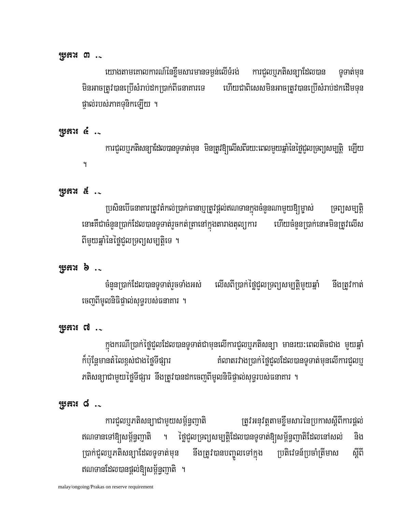$\frac{1}{2}$ ម្ភះអា ៣..

យោងតាមកោលការណ៏នៃខ្លឹមសារមានទម្ងន់លើទំរង់ ការជួលឬភតិសន្យាដែលបាន ទទាត់មន មិនអាចត្រូវបានប្រើសំរាប់ដកប្រាក់ពីធនាគារទេ ហើយជាពិសេសមិនអាចត្រូវបានប្រើសំរាប់ដកដើមទុន ផ្លាល់របស់ភាគទ្មនិកឡើយ ។

ishi ( $\sim$ 

ការជួលឬភតិសន្យាដែលបានទូទាត់មុន មិនត្រូវឱ្យលើសពីរយ:ពេលមួយឆ្នាំនៃថ្លៃជួលទ្រព្យសម្បត្តិ ឡើយ ។

 $19311$  &  $\ldots$ 

ប្រសិនបើធនាគារត្រូវតំកល់ប្រាក់ធានាឬត្រូវផ្តល់ឥណទានក្នុងចំនួនណាមួយឱ្យម្ចាស់ ទ្រព្យសម្បត្តិ នោះគឺជាចំនួនប្រាក់ដែលបានទូទាត់រួចកត់ត្រានៅក្នុងតារាងតុល្យការ ហើយចំនួនប្រាក់នោះមិនត្រូវលើស ពីមួយឆ្នាំនៃថ្លៃជួលទ្រព្យសម្បត្តិទេ ។

whis  $\delta$  ...

លើសពីប្រាក់ថ្លៃជួលទ្រព្យសម្បត្តិមួយឆ្នាំ ចំនួនប្រាក់ដែលបានទូទាត់រួចទាំងអស់ នឹងត្រូវកាត់ ចេញពីមូលនិធិផ្ទាល់សុទ្ធរបស់ធនាគារ ។

 $\mathfrak f$ ប្លូងារ ៧ . $\scriptstyle\sim$ 

ក្នុងករណីប្រាក់ថ្លៃជួលដែលបានទូទាត់ជាមុនលើការជួលឬភតិសន្យា មានរយ:ពេលតិចជាង មួយឆ្នាំ ក៏ប៉ុន្តែមានតំលៃខ្ពស់ជាងថៃទីផ្សារ គំលាតរវាងប្រាក់ថ្លៃជួលដែលបានទូទាត់មុនលើការជួលឬ ភតិសន្យាជាមួយថ្លៃទីផ្សារ នឹងត្រូវបានដកចេញពីមូលនិធិផ្ទាល់សុទ្ធរបស់ធនាគារ ។

មេគារ $\mathbf d$  ..

ការជួលឬភតិសន្យាជាមួយសម្ព័ន្ធញាតិ ត្រូវអនុវត្តតាមខ្លឹមសារ នៃប្រកាសស្តីពីការផ្តល់ ឥណទានទៅឱ្យសម្ព័ន្ធញាតិ ។ ថ្លៃជួលទ្រព្យសម្បត្តិដែលបានទូទាត់ឱ្យសម្ព័ន្ធញាតិដែលនៅសល់ ទិង ប្រតិវេទន៍ប្រចាំត្រីមាស ប្រាក់ជួលឬភតិសន្យាដែលទូទាត់មុន សិពី នឹងត្រូវបានបញ្ចូលទៅក្នុង ឥណទានដែលបានផ្តល់ឱ្យសម្ព័ន្ធញាតិ ។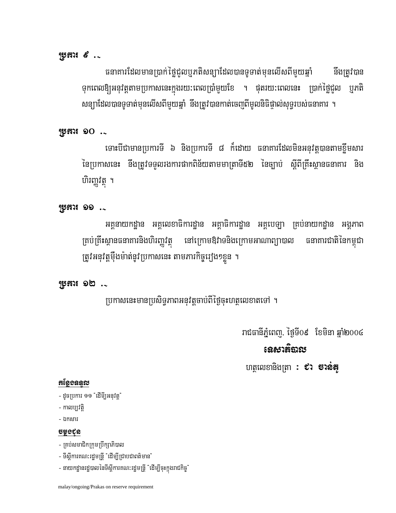### $15$  and  $\sim$

ធនាគារដែលមានប្រាក់ថ្លៃជួលឬភតិសន្យាដែលបានទូទាត់មុនលើសពីមួយឆ្នាំ នឹងត្រូវបាន ទុកពេលឱ្យអនុវត្តតាមប្រកាសនេះក្នុងរយ:ពេលប្រាំមួយខែ ។ ផុតរយ:ពេលនេះ ប្រាក់ថ្លៃជួល ឬភតិ សន្យាដែលបានទូទាត់មុនលើសពីមួយឆ្នាំ នឹងត្រូវបានកាត់ចេញពីមូលនិធិផ្ទាល់សុទ្ធរបស់ធនាគារ ។

### ប្រភារ ១ $0$  . $\scriptstyle\sim$

ទោះបីជាមានប្រការទី ៦ និងប្រការទី ៨ ក៏ដោយ ធនាគារដែលមិនអនុវត្តបានតាមខ្លឹមសារ នៃប្រកាសនេះ នឹងត្រូវទទួលរងការផាកពិន័យតាមមាត្រាទី៥២ នៃច្បាប់ ស្តីពីគ្រឹះស្ថានធនាគារ និង ហិរញ្ញវត្ថុ ។

#### ថ្ងៃការ ១១ . $\scriptstyle\mathtt{\sim}$

អគ្គនាយកដ្ឋាន អគ្គលេខាធិការដ្ឋាន អគ្គាធិការដ្ឋាន អគ្គបេឡា គ្រប់នាយកដ្ឋាន អង្គភាព នៅក្រោមឱវាទនិងក្រោមអាណាព្យាបាល គ្រប់គ្រឹះស្ថានធនាគារនិងហិរញ្ញវត្ថុ ធនាគារជាតិនៃកម្ពុជា ត្រូវអនុវត្តម៉ឹងម៉ាត់នូវប្រកាសនេះ តាមភារកិច្ចរឿង១ខ្លួន ។

### ថ្ងៃការ ១២ $\ldots$

ប្រកាសនេះមានប្រសិទ្ធភាពអនុវត្តចាប់ពីថ្ងៃចុះហត្ថលេខាតទៅ ។

រាជធានីភ្នំពេញ, ថ្ងៃទី០៩ ខែមិនា ឆ្នាំ២០០៤

### នេសាត៌បារា

ហត្ថលេខានិងត្រា **: ៩រ មាន់ត្** 

#### **Mireran**

- ដូចប្រការ ១១ "ដើមី្បអនុវត្ត"
- កាលប្បវត្តិ
- ឯកសារ

#### **BYOL 8**

- គ្រប់សមាជិកក្រុមប្រឹក្សាភិបាល
- ទីស្តីការគណ:រដ្ឋមន្ត្រី "ដើម្បីជ្រាបជាពត៌មាន"
- នាយកដ្ឋានរដ្ឋបាលនៃទីស្តីការគណ:រដ្ឋមន្ត្រី "ដើម្បីចុះក្នុងរាជកិច្ច"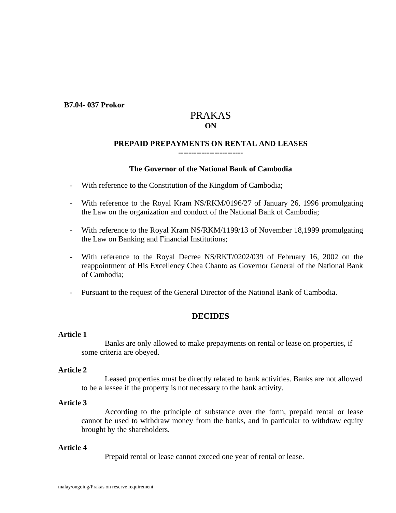#### **B7.04- 037 Prokor**

#### PRAKAS **ON**

#### **PREPAID PREPAYMENTS ON RENTAL AND LEASES -------------------------**

#### **The Governor of the National Bank of Cambodia**

- With reference to the Constitution of the Kingdom of Cambodia;
- With reference to the Royal Kram NS/RKM/0196/27 of January 26, 1996 promulgating the Law on the organization and conduct of the National Bank of Cambodia;
- With reference to the Royal Kram NS/RKM/1199/13 of November 18,1999 promulgating the Law on Banking and Financial Institutions;
- With reference to the Royal Decree NS/RKT/0202/039 of February 16, 2002 on the reappointment of His Excellency Chea Chanto as Governor General of the National Bank of Cambodia;
- Pursuant to the request of the General Director of the National Bank of Cambodia.

#### **DECIDES**

#### **Article 1**

Banks are only allowed to make prepayments on rental or lease on properties, if some criteria are obeyed.

#### **Article 2**

Leased properties must be directly related to bank activities. Banks are not allowed to be a lessee if the property is not necessary to the bank activity.

#### **Article 3**

According to the principle of substance over the form, prepaid rental or lease cannot be used to withdraw money from the banks, and in particular to withdraw equity brought by the shareholders.

#### **Article 4**

Prepaid rental or lease cannot exceed one year of rental or lease.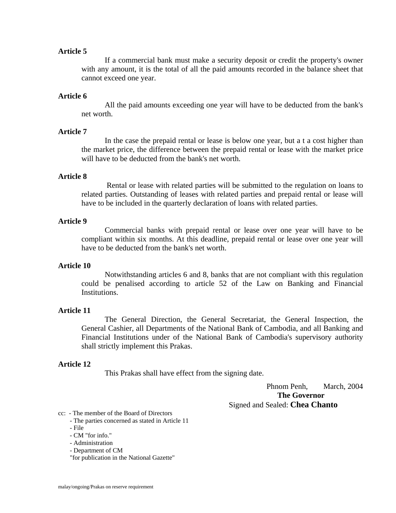#### **Article 5**

If a commercial bank must make a security deposit or credit the property's owner with any amount, it is the total of all the paid amounts recorded in the balance sheet that cannot exceed one year.

#### **Article 6**

All the paid amounts exceeding one year will have to be deducted from the bank's net worth.

#### **Article 7**

In the case the prepaid rental or lease is below one year, but a t a cost higher than the market price, the difference between the prepaid rental or lease with the market price will have to be deducted from the bank's net worth.

#### **Article 8**

 Rental or lease with related parties will be submitted to the regulation on loans to related parties. Outstanding of leases with related parties and prepaid rental or lease will have to be included in the quarterly declaration of loans with related parties.

#### **Article 9**

Commercial banks with prepaid rental or lease over one year will have to be compliant within six months. At this deadline, prepaid rental or lease over one year will have to be deducted from the bank's net worth.

#### **Article 10**

Notwithstanding articles 6 and 8, banks that are not compliant with this regulation could be penalised according to article 52 of the Law on Banking and Financial Institutions.

#### **Article 11**

The General Direction, the General Secretariat, the General Inspection, the General Cashier, all Departments of the National Bank of Cambodia, and all Banking and Financial Institutions under of the National Bank of Cambodia's supervisory authority shall strictly implement this Prakas.

#### **Article 12**

This Prakas shall have effect from the signing date.

Phnom Penh, March, 2004 **The Governor**  Signed and Sealed: **Chea Chanto**

cc: - The member of the Board of Directors

- The parties concerned as stated in Article 11
- File
- CM "for info."
- Administration
- Department of CM
- "for publication in the National Gazette"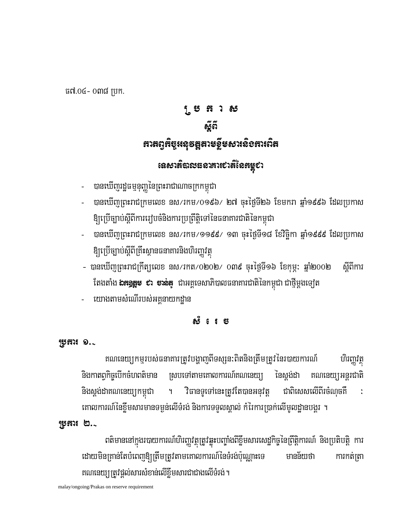ពត៌មាននៅក្នុងរបាយការណ៍ហិរញ្ញវត្ថុត្រូវឆ្លុះបញ្ចាំងពីខ្លឹមសារសេដ្ឋកិច្ចនៃព្រឹត្តិការណ៍ និងប្រតិបត្តិ ការ ដោយមិនគ្រាន់តែបំពេញឱ្យត្រឹមត្រូវតាមគោលការណ៍នៃទំរង់ប៉ុណ្ណោះទេ មានន័យថា ការកត់ត្រា គណនេយ្យត្រូវផ្តល់សារសំខាន់លើខ្លឹមសារជាជាងលើទំរង់ ។

ប្រភារ ២. $\scriptstyle\mathtt{.}$ 

malay/ongoing/Prakas on reserve requirement

 $55319...$ 

គណនេយ្យកម្មរបស់ធនាគារត្រូវបង្ហាញពីទស្សនៈពិតនិងត្រឹមត្រូវនៃរបាយការណ៍ ហ៊រញូវត្ថ និងកាតពុកិច្ចបើកចំហពតិមាន ស្របទៅតាមគោលការណ៍គណនេយ្យ នៃស្ទង់ដា គណនេយ្យអន្ទរជាតិ ិរិធានទូទៅនេះត្រូវតែបានអនុវត្ត ជាពិសេសលើពីរចំណុចគឺ និងស្តង់ដាគណនេយ្យកម្ពុជា ។ គោលការណ៍នៃខ្លឹមសារមានទម្ងន់លើទំរង់ និងការទទួលស្គាល់ កំរៃការប្រាក់លើមូលដ្ឋានបង្ករ ។

## <u>කී 1 ෙ 1</u> ප

- យោងតាមសំណើរបស់អគ្គនាយកដ្ឋាន
- បានឃើញព្រះរាជក្រឹត្យលេខ នស⁄រកត⁄០២០២/ ០៣៩ ចុះថ្ងៃទី១៦ ខែកុម្ភ: ឆ្នាំ២០០២ ស្តីពីការ តែងតាំង **៦<del>ភ</del>ខ្វត្តុម ៩៦ មាន់គ្** ជាអគ្គទេសាភិបាលធនាគារជាតិនៃកម្ពុជា ជាថ្មីម្តងទ្យេត
- ឱ្យប្រើច្បាប់ស្តីពីការរៀបចំនិងការប្រព្រឹត្តិទៅនៃធនាគារជាតិនៃកម្ពុជា បានឃើញព្រះរាជក្រមលេខ នស/រកម/១១៩៩/ ១៣ ចុះថ្ងៃទី១៨ ខែវិច្ឆិកា ឆ្នាំ១៩៩៩ ដែលប្រកាស ឱ្យប្រើច្បាប់ស្តីពីត្រឹះស្ថានធនាគារនិងហិរញ្ញវត្ថ
- បានឃើញព្រះរាជក្រមលេខ នស/រកម/09៩៦/ ២៧ ចុះថ្ងៃទី២៦ ខែមករា ឆ្នាំ១៩៩៦ ដែលប្រកាស  $\omega_{\rm{max}}$
- បានឃើញរដ្ឋធម្មនុញ្ញនៃព្រះរាជាណាចក្រកម្ពុជា  $\omega_{\rm{max}}$

# 1. ម ភ 3 ស ชัติ **หาส**ดุหิซุหลุธสูสายgิ้ยសาเลิอหาเดิส <u> เฉសาส์ฉาชะออกสาเชาสิเดหะชา</u>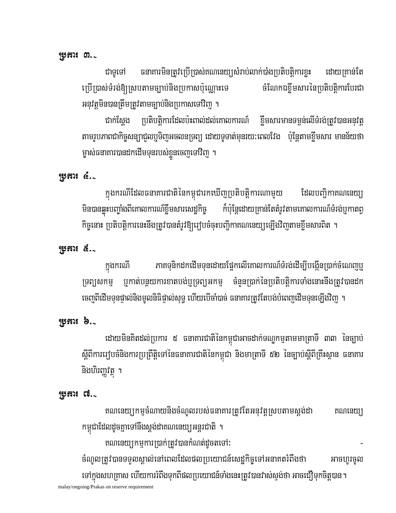ប្រភព  $n_{\sim}$ 

ធនាគារមិនត្រូវប្រើប្រាស់គណនេយ្យសំរាប់លាក់បាំងប្រតិបត្តិការខ្លះ ដោយគ្រាន់តែ ជាទទៅ ប្រើប្រាស់ទំរង់ឱ្យស្របតាមច្បាប់និងប្រកាសប៉ុណ្ណោះទេ ចំណែកឯខ្ទឹមសារ នៃប្រតិបត្តិការបែរជា អនុវត្តមិនបានត្រឹមត្រូវតាមច្បាប់និងប្រកាសទៅវិញ ។

ប្រតិបត្តិការដែលប៉ះពាល់ដល់គោលការណ៍ ខ្លឹមសារមានទម្ងន់លើទំរង់ត្រូវបានអនុវត្ត ជាក់ស្រែង តាមរូបភាពជាកិច្ចសន្យាជួលឬទិញអចលនទ្រព្យ ដោយទូទាត់មុនរយ:ពេលវែង ប៉ុន្តែតាមខ្លឹមសារ មានន័យថា ម្ចាស់ធនាគារបានដកដើមទុនរបស់ខ្លួនចេញទៅវិញ ។

หูสม  $\zeta_{\cdot\sim}$ 

ក្នុងករណីដែលធនាគារជាតិនៃកម្ពុជារកឃើញប្រតិបត្តិការណាមួយ ដែលបញ្ចិកាគណនេយ្យ មិនបានឆ្លូះបញ្ចាំងពីកោលការណ៍ខ្លីមសារសេដ្ឋកិច្ច ក៏ប៉ុន្តែដោយគ្រាន់តែតំរូវតាមកោលការណ៍ទំរង់ឬកាតព្វ កិច្ចនោះ ប្រតិបត្តិការនេះនឹងត្រូវបានតំរូវឱ្យរៀបចំចុះបញ្ចិកាគណនេយ្យឡើងវិញតាមខ្លីមសារពិត ។

ថ្ងៃអារ $\,$  ៥. $\scriptstyle\mathtt{~x}$ 

ភាគទុនិកដកដើមទុនដោយផ្អែកលើគោលការណ៍ទំរង់ដើម្បីបង្កើនប្រាក់ចំណេញឬ កងករណី ឬកាត់បន្ថយការខាតបង់ឬទ្រព្យអកម្ម ចំនួនប្រាក់នៃប្រតិបត្តិការទាំងនោះនឹងត្រូវបានដក ទ្រព្យសកម ចេញពីដើមទុនផ្ទាល់និងមូលនិធិផ្ទាល់សុទ្ធ ហើយបើចាំបាច់ ធនាគារត្រូវតែបង់បំពេញដើមទុនឡើងវិញ ។

### $19531$   $\delta_{\cdot}$

ដោយមិនគិតដល់ប្រការ ៥ ធនាគារជាតិនៃកម្ពុជាអាចដាក់ទណ្ឌកម្មតាមមាត្រាទី ៣៣ នៃច្បាប់ ស្តីពីការរៀបចំនិងការប្រព្រឹត្តិទៅនៃធនាការជាតិនៃកម្ពុជា និងមាត្រាទី ៥២ នៃច្បាប់ស្តីពីគ្រឹះស្ថាន ធនាគារ និងហិរញ្ញវត្ថុ ។

### រុបអារ ៧. $_{\sim}$

គណនេយ្យកម្មចំណាយនិងចំណូលរបស់ធនាគារត្រូវតែអនុវត្តស្របតាមស្តង់ដា គណនេយា កម្ពុជាដែលដូចគ្នាទៅនឹងស្តង់ដាគណនេយ្យអន្តរជាតិ ។

គណនេយ្យកម្មការប្រាក់ត្រូវបានកំណត់ដូចតទៅ:

ចំណូលត្រូវបានទទួលស្គាល់នៅពេលដែលផលប្រយោជន៍សេដ្ឋកិច្ចទៅអនាគតរំពឹងថា អាចហូរចូល ទៅក្នុងសហគ្រាស ហើយការរំពឹងទុកពីផលប្រយោជន៍ទាំងនេះត្រូវបានវាស់ស្ទង់ថា អាចជឿទុកចិត្តបាន។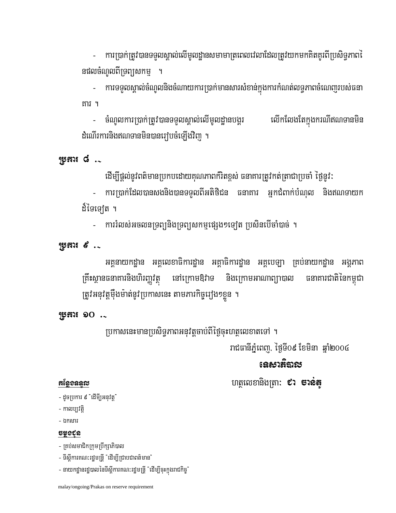ការប្រាក់ត្រូវបានទទួលស្គាល់លើមូលដ្ឋានសមាមាត្រពេលវេលាដែលត្រូវយកមកគិតតូរពីប្រសិទ្ធភាពវៃ នផលចំណូលពីទ្រព្យសកម្ម ។

ការទទួលស្គាល់ចំណូលនិងចំណាយការប្រាក់មានសារសំខាន់ក្នុងការកំណត់លទ្ធភាពចំណេញរបស់ធនា គារ ។

ចំណូលការប្រាក់ត្រូវបានទទួលស្គាល់លើមូលដ្ឋានបង្ករ លើកលែងតែក្នុងករណីឥណទានមិន  $\mathbb{L}$ ដំណើរការនិងឥណទានមិនបានរៀបចំឡើងវិញ ។

 $\mathfrak{psm}$  d  $\mathfrak{g}$ 

ដើម្បីផ្តល់នូវពត៌មានប្រកបដោយគុណភាពក៏វិតខ្ពស់ ធនាគារត្រូវកត់ត្រាជាប្រចាំ ថ្ងៃនូវ:

ការប្រាក់ដែលបានសងនិងបានទទួលពីអតិថិជន ធនាគារ អ្នកជំពាក់បំណុល និងឥណទាយក ដ៏ទៃទៅត ។

ការរំលស់អចលនទ្រព្យនិងទ្រព្យសកម្មផ្សេងៗទ្បេត ប្រសិនបើចាំបាច់ ។

 $\mathfrak f$ ยุราเ 6 . $\scriptstyle\sim$ 

អគ្គនាយកដ្ឋាន អគ្គលេខាធិការដ្ឋាន អគ្គាធិការដ្ឋាន អគ្គបេឡា គ្រប់នាយកដ្ឋាន អង្គភាព ត្រឹះស្ថានធនាគារនិងហិរញ្ញវត្ថុ នៅក្រោមឱ្យវាទ និងក្រោមអាណាព្យាបាល ធនាគារជាតិនៃកម្ពុជា ត្រូវអនុវត្តម៉ឺងម៉ាត់នូវប្រកាសនេះ តាមភារកិច្ចុរ្យេង១ខ្លួន ។

**15#11 90 ...** 

ប្រកាសនេះមានប្រសិទ្ធភាពអនុវត្តចាប់ពីថ្ងៃចុះហត្ថលេខាតទៅ ។

រាជធានីភ្នំពេញ, ថ្ងៃទី០៩ ខែមិនា ឆ្នាំ២០០៤

### នេសរត៌ិបាររ

ហត្ថលេខានិងត្រា: **៩រ មាន់ត្** 

### - ដូចប្រការ ៩ "ដើមី្បអនុវត្ត"

– កាលប្បវត្តិ

หเ้ฉอลลณ

- ឯកសារ

#### uşoçr

- គ្រប់សមាជិកក្រុមប្រឹក្សាភិបាល
- ទីស្តីការគណ:រដ្ឋមន្ត្រី "ដើម្បីជ្រាបជាពតិមាន"
- នាយកដ្ឋានរដ្ឋបាលនៃទីស្តីការគណ:រដ្ឋមន្ត្រី "ដើម្បីចុះក្នុងរាជកិច្ច"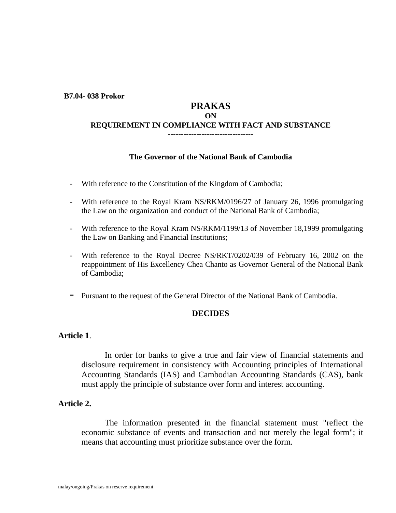**B7.04- 038 Prokor** 

#### **PRAKAS ON REQUIREMENT IN COMPLIANCE WITH FACT AND SUBSTANCE ---------------------------------**

#### **The Governor of the National Bank of Cambodia**

- With reference to the Constitution of the Kingdom of Cambodia;
- With reference to the Royal Kram NS/RKM/0196/27 of January 26, 1996 promulgating the Law on the organization and conduct of the National Bank of Cambodia;
- With reference to the Royal Kram NS/RKM/1199/13 of November 18,1999 promulgating the Law on Banking and Financial Institutions;
- With reference to the Royal Decree NS/RKT/0202/039 of February 16, 2002 on the reappointment of His Excellency Chea Chanto as Governor General of the National Bank of Cambodia;
- Pursuant to the request of the General Director of the National Bank of Cambodia.

#### **DECIDES**

#### **Article 1**.

In order for banks to give a true and fair view of financial statements and disclosure requirement in consistency with Accounting principles of International Accounting Standards (IAS) and Cambodian Accounting Standards (CAS), bank must apply the principle of substance over form and interest accounting.

#### **Article 2.**

The information presented in the financial statement must "reflect the economic substance of events and transaction and not merely the legal form"; it means that accounting must prioritize substance over the form.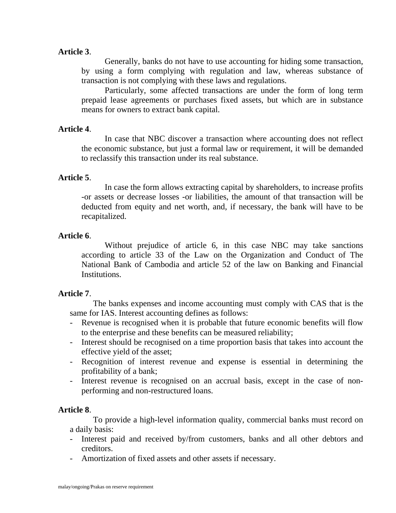#### **Article 3**.

Generally, banks do not have to use accounting for hiding some transaction, by using a form complying with regulation and law, whereas substance of transaction is not complying with these laws and regulations.

Particularly, some affected transactions are under the form of long term prepaid lease agreements or purchases fixed assets, but which are in substance means for owners to extract bank capital.

#### **Article 4**.

In case that NBC discover a transaction where accounting does not reflect the economic substance, but just a formal law or requirement, it will be demanded to reclassify this transaction under its real substance.

#### **Article 5**.

In case the form allows extracting capital by shareholders, to increase profits -or assets or decrease losses -or liabilities, the amount of that transaction will be deducted from equity and net worth, and, if necessary, the bank will have to be recapitalized.

#### **Article 6**.

Without prejudice of article 6, in this case NBC may take sanctions according to article 33 of the Law on the Organization and Conduct of The National Bank of Cambodia and article 52 of the law on Banking and Financial Institutions.

#### **Article 7**.

The banks expenses and income accounting must comply with CAS that is the same for IAS. Interest accounting defines as follows:

- Revenue is recognised when it is probable that future economic benefits will flow to the enterprise and these benefits can be measured reliability;
- Interest should be recognised on a time proportion basis that takes into account the effective yield of the asset;
- Recognition of interest revenue and expense is essential in determining the profitability of a bank;
- Interest revenue is recognised on an accrual basis, except in the case of nonperforming and non-restructured loans.

#### **Article 8**.

To provide a high-level information quality, commercial banks must record on a daily basis:

- Interest paid and received by/from customers, banks and all other debtors and creditors.
- Amortization of fixed assets and other assets if necessary.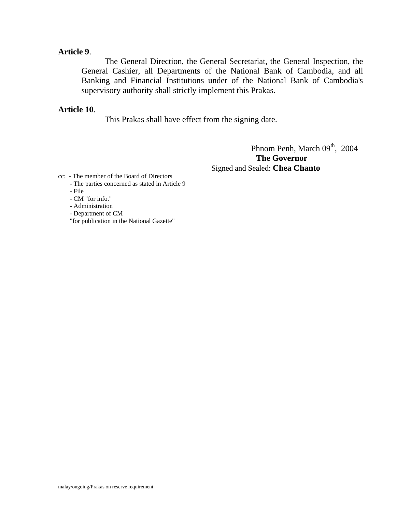#### **Article 9**.

The General Direction, the General Secretariat, the General Inspection, the General Cashier, all Departments of the National Bank of Cambodia, and all Banking and Financial Institutions under of the National Bank of Cambodia's supervisory authority shall strictly implement this Prakas.

#### **Article 10**.

This Prakas shall have effect from the signing date.

Phnom Penh, March 09<sup>th</sup>, 2004 **The Governor**  Signed and Sealed: **Chea Chanto**

cc: - The member of the Board of Directors

- The parties concerned as stated in Article 9
- File
- CM "for info."
- Administration
- Department of CM
- "for publication in the National Gazette"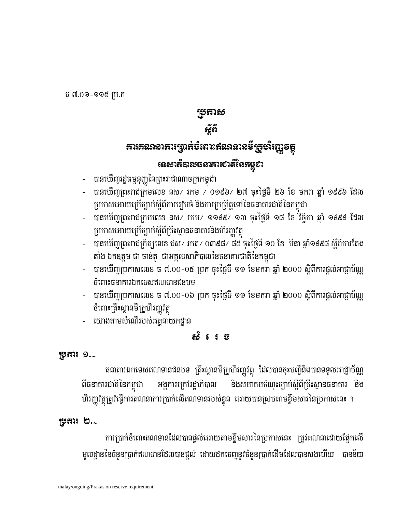ការប្រាក់ចំពោះឥណទានដែលបានផ្តល់អោយតាមខ្លឹមសារ នៃប្រកាសនេះ ត្រូវគណនាដោយផ្អែកលើ មូលដ្ឋាននៃចំនួនប្រាក់ឥណទានដែលបានផ្តល់ ដោយដកចេញនូវចំនួនប្រាក់ដើមដែលបានសងហើយ បានន័យ

#### រុបូតារ ២. $_{\sim}$

ធនាគារឯកទេសឥណទានជនបទ គ្រីះស្ថានមីក្រូហិរញ្ញវត្ថុ ដែលបានចុះបញ្ជីនិងបានទទួលអាជ្ញាប័ណ្ណ ពីធនាគារជាតិនៃកម្ពុជា អង្គការក្រៅរដ្ឋាភិបាល និងសមាគមចំណុះច្បាប់ស្តីពីត្រឹះស្ថានធនាគារ និង ហិរញ្ញវត្ថុត្រូវធ្វើការគណនាការប្រាក់លើឥណទានរបស់ខ្លួន អោយបានស្របតាមខ្លីមសារ នៃប្រកាសនេះ ។

### ชรา  $9.1$

### <u>ක් 15 ජ</u>

- យោងតាមសំណើរបស់អគនាយកដាន
- ចំពោះគ្រឹះស្ថានមីក្រូហិរញ្ញវត្ថ
- ចំពោះធនាគារឯកទេសឥណទានជនបទ – បានឃើញប្រកាសលេខ ធ ៧.០០-០៦ ប្រក ចុះថ្ងៃទី ១១ ខែមករា ឆ្នាំ ២០០០ ស្តីពីការផ្តល់អាជ្ញាប័ណ្ណ
- តាំង ឯកឧត្តម ជា ចាន់តូ ជាអគ្គទេសាភិបាលនៃធនាគារជាតិនៃកម្ពុជា – បានឃើញប្រកាសលេខ ធ ៧.០០-០៥ ប្រក ចុះថ្ងៃទី ១១ ខែមករា ឆ្នាំ ២០០០ ស្តីពីការផ្តល់អាជ្ញាប័ណ្ណ
- ប្រកាសអោយប្រើច្បាប់ស្តីពីគ្រឹះស្ថានធនាគារនិងហិរញ្ញវត្ថុ បានឃើញព្រះរាជក្រិត្យលេខ ជស⁄ាកត⁄ ០៣៩៨⁄ ៨៥ ចុះថ្ងៃទី ១០ ខែ មីនា ឆ្នាំ១៩៩៨ ស្តីពីការតែង  $\frac{1}{2}$
- ប្រកាសអោយប្រើច្បាប់ស្តីពីការរៀបចំ និងការប្រព្រឹត្តទៅនៃធនាគារជាតិនៃកម្ពុជា – បានឃើញព្រះរាជក្រមលេខ នស/ រកម/ ១១៩៩/ ១៣ ចុះថ្ងៃទី ១៨ ខែ វិច្ឆិកា ឆ្នាំ ១៩៩៩ ដែល
- បានឃើញព្រះរាជក្រមលេខ នស/ រកម / ០១៩៦/ ២៧ ចុះថ្ងៃទី ២៦ ខែ មករា ឆ្នាំ ១៩៩៦ ដែល

### – បានឃើញរដ្ឋធម្មនុញ្ញនៃព្រះរាជាណាចក្រកម្ពុជា

# **เฉ**សาส์ฉาชยอาสาเชาส์เอหยูชา

# **ការគេ**ណនាគារច្នោត់ចំពោះឥណនានមីត្រូសិរញ្ញទត្ថ

### ชัติ

<u>รุฐสวลร</u>

ធ ៧.០១-១១៥ ប្រ.ក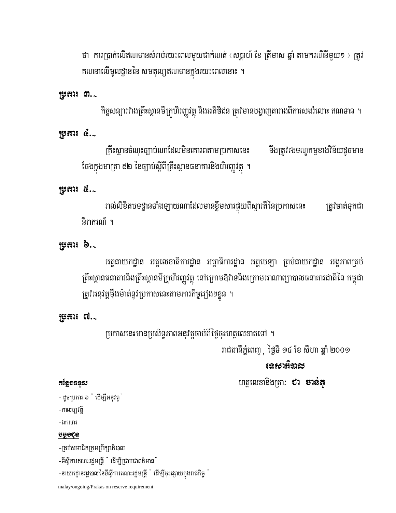ថា ការប្រាក់លើឥណទានសំរាប់រយ:ពេលមួយជាកំណត់ (សប្តាហ៍ ខែ ត្រីមាស ឆ្នាំ តាមករណីនីមួយ១ ) ត្រូវ គណនាលើមូលដ្ឋាននៃ សមតុល្យឥណទានក្នុងរយ:ពេលនោះ ។

#### $5531$   $m_{\sim}$

កិច្ចសន្យារវាងគ្រឹះស្ថានមីក្រហិរញ្ហវត្ថុ និងអតិថិជន ត្រវមានបង្ហាញតារាងពីការសងរំលោះ ឥណទាន ។

ប្រុការ  $\zeta_{\cdot}$ 

គ្រឹះស្ថានចំណុះច្បាប់ណាដែលមិនគោរពតាមប្រកាសនេះ នឹងត្រូវរងទណ្ឌកមុខាងវិន័យដូចមាន ថែងក្នុងមាត្រា ៥២ នៃច្បាប់ស្តីពីគ្រឹះស្ថានធនាគារនិងហិរញ្ញវត្ថុ ។

#### រុបអារ ៥. $\scriptstyle\mathtt{.}$

រាល់លិខិតបទដ្ឋានទាំងឡាយណាដែលមានខ្លឹមសារផ្ទុយពីស្មារតីនៃប្រកាសនេះ ត្រូវចាត់ទុកជា និរាករណ៍ ។

### ថ្ងៃការ  $\mathbf{b}.\mathbf{v}$

អគ្គនាយកដ្ឋាន អគ្គលេខាធិការដ្ឋាន អគ្គាធិការដ្ឋាន អគ្គបេឡា គ្រប់នាយកដ្ឋាន អង្គភាពគ្រប់ ត្រឹះស្ថានធនាគារនិងគ្រឹះស្ថានមីក្រូហិរញ្ញវត្ថុ នៅក្រោមឱ្យវាទនិងក្រោមអាណាព្យាបាលធនាគារជាតិនៃ កម្ពុជា ត្រូវអនុវត្តម៉ឺងម៉ាត់នូវប្រកាសនេះតាមភារកិច្ចរឿង១ខ្លួន ។

### ថ្ងៃអារ ៧. $\scriptstyle\sim$

ប្រកាសនេះមានប្រសិទ្ធភាពអនុវត្តចាប់ពីថ្ងៃចុះហត្ថលេខាតទៅ ។ រាជធានីភ្នំពេញ ថ្ងៃទី ១៤ ខែ សីហា ឆ្នាំ ២០០១

### នេសរត៌បារៈ

ហត្ថលេខានិងត្រា: **៩រ មាន់ត្** 

#### - ដូចប្រការ ៦ " ដើម្បីអនុវត្ត"

-កាលប្បវត្តិ

អន្ថែទទទួល

-ឯកសារ

#### uşoçr

-គ្រប់សមាជិកក្រុមប្រឹក្សាភិបាល

-ទីស្តីការគណ:រដ្ឋមន្ត្រី " ដើម្បីជ្រាបជាពត៌មាន "

-នាយកដ្ឋានរដ្ឋបាលនៃទីស្តីការគណៈរដ្ឋមន្ត្រី " ដើម្បីចុះផ្សាយក្នុងរាជកិច្ច "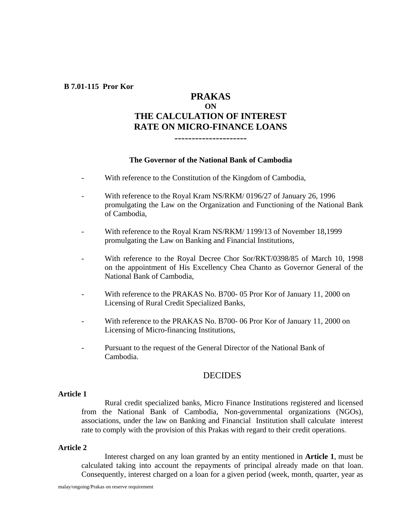#### **B 7.01-115 Pror Kor**

# **PRAKAS**

### **THE CALCULATION OF INTEREST RATE ON MICRO-FINANCE LOANS**

#### **The Governor of the National Bank of Cambodia**

---------------------

- With reference to the Constitution of the Kingdom of Cambodia,
- With reference to the Royal Kram NS/RKM/ 0196/27 of January 26, 1996 promulgating the Law on the Organization and Functioning of the National Bank of Cambodia,
- With reference to the Royal Kram NS/RKM/ 1199/13 of November 18,1999 promulgating the Law on Banking and Financial Institutions,
- With reference to the Royal Decree Chor Sor/RKT/0398/85 of March 10, 1998 on the appointment of His Excellency Chea Chanto as Governor General of the National Bank of Cambodia,
- With reference to the PRAKAS No. B700-05 Pror Kor of January 11, 2000 on Licensing of Rural Credit Specialized Banks,
- With reference to the PRAKAS No. B700-06 Pror Kor of January 11, 2000 on Licensing of Micro-financing Institutions,
- Pursuant to the request of the General Director of the National Bank of Cambodia.

#### **DECIDES**

#### **Article 1**

Rural credit specialized banks, Micro Finance Institutions registered and licensed from the National Bank of Cambodia, Non-governmental organizations (NGOs), associations, under the law on Banking and Financial Institution shall calculate interest rate to comply with the provision of this Prakas with regard to their credit operations.

#### **Article 2**

Interest charged on any loan granted by an entity mentioned in **Article 1**, must be calculated taking into account the repayments of principal already made on that loan. Consequently, interest charged on a loan for a given period (week, month, quarter, year as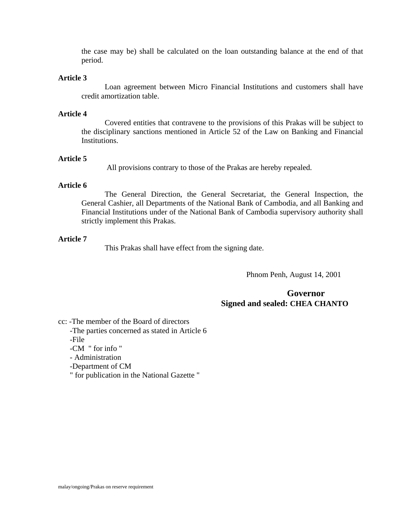the case may be) shall be calculated on the loan outstanding balance at the end of that period.

#### **Article 3**

Loan agreement between Micro Financial Institutions and customers shall have credit amortization table.

#### **Article 4**

Covered entities that contravene to the provisions of this Prakas will be subject to the disciplinary sanctions mentioned in Article 52 of the Law on Banking and Financial Institutions.

#### **Article 5**

All provisions contrary to those of the Prakas are hereby repealed.

#### **Article 6**

The General Direction, the General Secretariat, the General Inspection, the General Cashier, all Departments of the National Bank of Cambodia, and all Banking and Financial Institutions under of the National Bank of Cambodia supervisory authority shall strictly implement this Prakas.

#### **Article 7**

This Prakas shall have effect from the signing date.

Phnom Penh, August 14, 2001

#### **Governor Signed and sealed: CHEA CHANTO**

cc: -The member of the Board of directors

-The parties concerned as stated in Article 6

-File

-CM " for info "

- Administration

-Department of CM

" for publication in the National Gazette "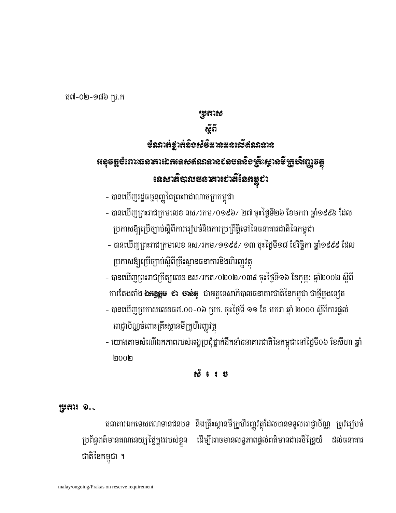ធនាគារឯកទេសឥណទានជនបទ និងត្រឹះស្ថានមីក្រូហិរញ្ញវត្ថុដែលបានទទួលអាជ្ញាប័ណ្ណ ត្រូវរៀបចំ ប្រព័ន្ធពតិមានគណនេយ្យ ផ្ទៃក្នុងរបស់ខ្លួន ដើម្បីអាចមានលទ្ធភាពផ្តល់ពតិមានជាអចិន្ត្រៃយ៍ ដល់ធនាគារ ជាតិនៃកម្ពុជា ។

ប្រភារ ១. $_{\sim}$ 

### <u>කී 6 1</u> ප

- ២ $00$ ២
- អាជ្ញាប័ណ្ណចំពោះគ្រឹះស្ថានមីក្រូហិរញ្ញវត្ថ – យោងតាមសំណើឯកភាពរបស់អង្គប្រជុំថ្នាក់ដឹកនាំធនាគារជាតិនៃកម្ពុជានៅថ្ងៃទី០៦ ខែសីហា ឆ្នាំ
- ការតែងតាំង **៦ភ3្តុឆ្ ខា ខាន់ត្** ជាអគ្គទេសាភិបាលធនាគារជាតិនៃកម្ពុជា ជាថ្មីម្តងទ្យេត – បានឃើញប្រកាសលេខធ៧.០០–០៦ ប្រក. ចុះថ្ងៃទី ១១ ខែ មករា ឆ្នាំ ២០០០ ស្តីពីការផ្តល់
- ប្រកាសឱ្យប្រើច្បាប់ស្តីពីគ្រឹះស្ថានធនាគារនិងហិរញ្ញវត្ថ – បានឃើញព្រះរាជក្រឹត្យលេខ នស/រកត/០២០២/០៣៩ ចុះថ្ងៃទី១៦ ខែកុម្ភ: ឆ្នាំ២០០២ ស្តីពី
- ប្រកាសឱ្យប្រើច្បាប់ស្តីពីការរៀបចំនិងការប្រព្រឹត្តិទៅនៃធនាគារជាតិនៃកម្ពុជា – បានឃើញព្រះរាជក្រមលេខ នស/រកម/១១៩៩/ ១៣ ចុះថ្ងៃទី១៨ ខែវិច្ឆិកា ឆ្នាំ១៩៩៩ ដែល
- បានឃើញរដ្ឋធម្មនុញ្ញនៃព្រះរាជាណាចក្រកម្ពុជា – បានឃើញព្រះរាជក្រមលេខ នស⁄រកម/០១៩៦/ ២៧ ចុះថ្ងៃទី២៦ ខែមករា ឆ្នាំ១៩៩៦ ដែល

# **អ**នុ**ទត្តមំពោះ**ಪនាគារឯកនេសឥណនាន៩នបននិទ*ត្រី*ះស្គានម៏ត្រូសិរញ្ញទត្ត

ប្រកាស ชัติ

ធ៧-០២-១៨៦ ប្រ.ក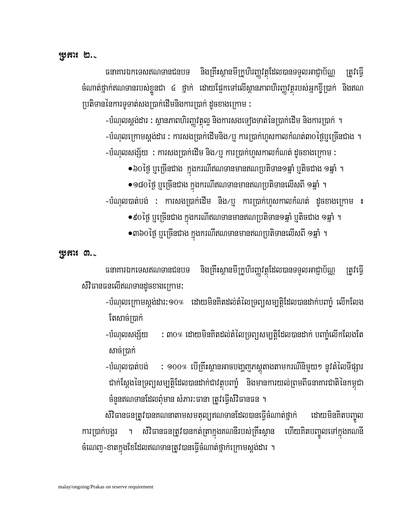$5531$   $\omega_{\sim}$ 

ធនាគារឯកទេសឥណទានជនបទ និងគ្រឹះស្ថានមីក្រូហិរញ្ញវត្ថុដែលបានទទួលអាជ្ញាប័ណ្ណ ត្រូវធ្វើ ចំណាត់ថ្នាក់ឥណទានរបស់ខ្លួនជា ໒ ថ្នាក់ ដោយផ្អែកទៅលើស្ថានភាពហិរញ្ញវត្ថុរបស់អ្នកខ្ចីប្រាក់ និងឥណ  $p$ បតិទាននៃការទូទាត់សងប្រាក់ដើមនិងការប្រាក់ ដូចខាងក្រោម $\,:\,$ 

-បំណុលស្តង់ដារ : ស្ថានភាពហិរញ្ញវត្ថុល្អ និងការសងទ្បេីងទាត់នៃប្រាក់ដើម និងការប្រាក់ ។ -បំណុលក្រោមស្តង់ដារ : ការសងប្រាក់ដើមនិង/ឬ ការប្រាក់ហួសកាលកំណត់៣០ខ្មែឬច្រើនជាង ។

 $-$ បំណុលសង្ស័យ  $\,:\,$ ការសងប្រាក់ដើម និង $\prime$ ឬ ការប្រាក់ហួសកាលកំណត់ ដូចខាងក្រោម $\,:\,$ 

 $\bullet$ ៦ $0$ ថ្ងៃ ឬច្រើនជាង ក្នុងករណីឥណទានមានឥណប្រតិទាន១ឆ្នាំ ឬតិចជាង ១ឆ្នាំ ។

 $\bullet$ ១៨ $0$ ថ្ងៃ ឬច្រើនជាង ក្នុងករណីឥណទានមានឥណប្រតិទានលើសពី ១ឆ្នាំ ។

-បំណុលបាត់បង់ : ការសងប្រាក់ដើម និង/ឬ ការប្រាក់ហួសកាលកំណត់ ដូចខាងក្រោម **៖** 

 $\bullet$ ៩ $0$ ថ្ងៃ ឬច្រើនជាង ក្នុងករណីឥណទានមានឥណប្រតិទាន១ឆ្នាំ ឬតិចជាង ១ឆ្នាំ ។

 $\bullet$ ៣៦ $\rm{o}$ ម្ងៃ ឬច្រើនជាង ក្នុងករណីឥណទានមានឥណប្រតិទានលើសពី ១ឆ្នាំ ។

ប្រភព  $m_{\sim}$ 

ធនាគារឯកទេសឥណទានជនបទ និងគ្រឹះស្ថានមីក្រូហិរញ្ញវត្ថុដែលបានទទួលអាជ្ញាប័ណ្ណ ត្រូវធ្វើ សិវិធានធនលើឥណទានដូចខាងក្រោម:

- $-$ បំណុលក្រោមស្ទង់ដារ:១០ $\%$  ដោយមិនគិតដល់តំលៃទ្រព្យសម្បត្តិដែលបានដាក់បញ្ចាំ លើកលែង ពៃសាច់ប្រាក់
- $-$ បំណុលសង្ស័យ  $\;\; : \;$  m $\mathrm{o}\mathscr{A}$  ដោយមិនគិតដល់តំលៃទ្រព្យសម្បត្តិដែលបានដាក់ បញ្ចាំលើកលែងតែ សាច់ប្រាក់

 $-$ បំណុលបាត់បង់ $\quad$  : ១០០ $\scriptstyle\%$  បើក្រឹះស្ថានអាចបងា្ហញុភស្តុតាងតាមករណីនិមួយ១ នូវតំលៃទីផ្សារ ជាក់ស្តែងនៃទ្រព្យសម្បត្តិដែលបានដាក់ជាវត្ថបញ្ចុំ និងមានការយល់ព្រមពីធនាគារជាតិនៃកម្ពុជា ចំនួនឥណទានដែលពុំមាន សំភារ: ធានា ត្រូវធ្វើសិវិធានធន ។

សិវិធានធនត្រូវបានគណនាតាមសមតុល្យឥណទានដែលបានធ្វើចំណាត់ថ្នាក់ ដោយមិនគិតបញ្ចូល mរប្រាក់បង្គរ ។ សិវិធានធនត្រូវបានកត់ត្រាក្នុងគណនីរបស់គ្រឹះស្ថាន ហើយគិតបញ្ចូលទៅក្នុងគណនី ចំណេញ-ខាតក្នុងខែដែលឥណទានត្រូវបានធ្វើចំណាត់ថ្នាក់ក្រោមស្តង់ដារ ។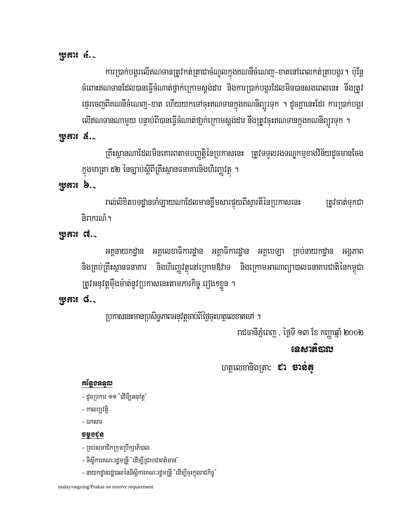### $55316...$

ការប្រាក់បង្គួរលើឥណទានត្រូវកត់ត្រាជាចំណូលក្នុងគណនីចំណេញ-ខាតនៅពេលកត់ត្រាបង្គួរ ។ ប៉ុន្តែ ចំពោះឥណទានដែលបានធ្វើចំណាត់ថ្នាក់ក្រោមស្តង់ដារ និងការប្រាក់បង្គួរដែលមិនបានសងពេលនេះ នឹងត្រូវ ស្ទេរចេញពីគណនីចំណេញ-ខាត ហើយយកទៅចុះឥណទានក្នុងគណនីព្យួរទុក ។ ដូចគ្នានេះដែរ ការប្រាក់បង្គរ លើឥណទានណាមួយ បន្ទាប់ពីបានធ្វើចំណាត់ថា្នក់ក្រោមស្តង់ដារ នឹងត្រូវចុះឥណទានក្នុងគណនីព្យួរទុក ។

### ชูรสม  $\&\ddots$

ត្រឹះស្ថានណាដែលមិនគោរពតាមបញ្ញត្តិនៃប្រកាសនេះ ត្រូវទទួលរងទណ្ឌកម្មខាងវិន័យដូចមានចែង ក្នុងមាត្រា ៥២ នៃច្បាប់ស្តីពីគ្រឹះស្ថានធនាគារនិងហិរញ្ញវត្ថុ ។

### fymi d.

រាល់លិខិតបទដ្ឋានទាំឡាយណាដែលមានខ្លឹមសារផ្ទុយពីស្មារតីនៃប្រកាសនេះ ត្រូវចាត់ទុកជា និរាករណ៍។

### ប្រុការ $\alpha$ .

អគ្គនាយកដ្ឋាន អគ្គលេខាធិការដ្ឋាន អគ្គាធិការដ្ឋាន អគ្គបេទ្យា គ្រប់នាយកដ្ឋាន អងភាព និងគ្រប់គ្រឹះស្ថានធនាគារ និងហិរញ្ញវត្ថុនៅក្រោមឱ្យវាទ និងក្រោមអាណាព្យាបាលធនាគារជាតិនៃកម្ពុជា ត្រូវអនុវត្តថ្មឹងម៉ាត់នូវប្រកាសនេះតាមភារកិច្ច រឿង១ខ្លួន ។

### $5531 G.$

ប្រកាសនេះមានប្រសិទ្ធភាពអនុវត្តចាប់ពីថ្ងៃចុះហត្ថលេខាតទៅ ។

រាជធានីភ្នំពេញ , ថ្ងៃទី ១៣ ខែ កញ្ញាឆ្នាំ ២០០២

### នេសរត៌ិងរប

ហត្ថលេខានិងត្រា**: ៩រ ចរន់ត្** 

#### mīsosau

- ដូចប្រការ ១១ "ដើមី្បអនុវត្ត"
- កាលប្បវត្តិ
- ឯកសារ

#### uşoçr

- គ្រប់សមាជិកក្រុមប្រឹក្សាភិបាល
- ទីស្តីការគណ:រដ្ឋមន្ត្រី "ដើម្បីជ្រាបជាពត៌មាន"
- នាយកដ្ឋានរដ្ឋបាលនៃទីស្តីការគណ:រដ្ឋមន្រ្តី "ដើម្បីចុះក្នុងរាជកិច្ច"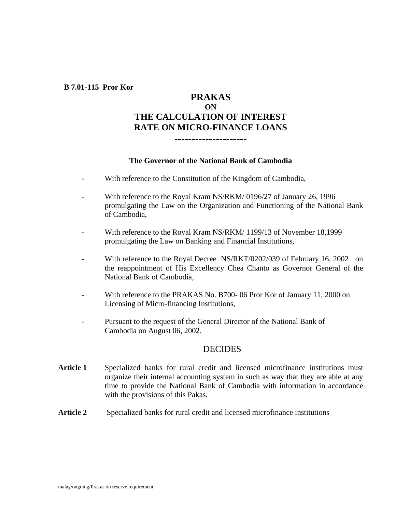#### **B 7.01-115 Pror Kor**

# **PRAKAS ON THE CALCULATION OF INTEREST RATE ON MICRO-FINANCE LOANS**

#### **The Governor of the National Bank of Cambodia**

---------------------

- With reference to the Constitution of the Kingdom of Cambodia,
- With reference to the Royal Kram NS/RKM/ 0196/27 of January 26, 1996 promulgating the Law on the Organization and Functioning of the National Bank of Cambodia,
- With reference to the Royal Kram NS/RKM/ 1199/13 of November 18,1999 promulgating the Law on Banking and Financial Institutions,
- With reference to the Royal Decree NS/RKT/0202/039 of February 16, 2002 on the reappointment of His Excellency Chea Chanto as Governor General of the National Bank of Cambodia,
- With reference to the PRAKAS No. B700- 06 Pror Kor of January 11, 2000 on Licensing of Micro-financing Institutions,
- Pursuant to the request of the General Director of the National Bank of Cambodia on August 06, 2002.

#### DECIDES

- **Article 1** Specialized banks for rural credit and licensed microfinance institutions must organize their internal accounting system in such as way that they are able at any time to provide the National Bank of Cambodia with information in accordance with the provisions of this Pakas.
- **Article 2** Specialized banks for rural credit and licensed microfinance institutions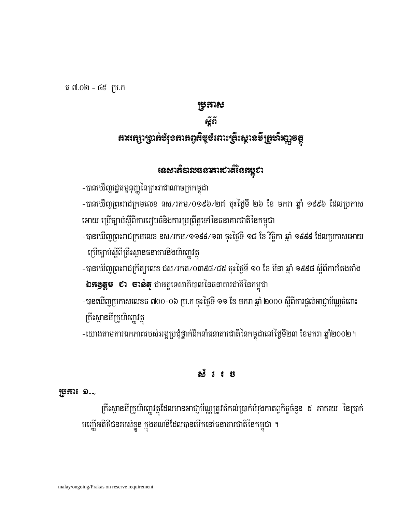គ្រឹះស្ថានមីក្រូហិរញ្ញវត្ថុដែលមានអាជា្ញប័ណ្ណត្រូវតំកល់ប្រាក់បំរុងកាតព្វកិច្ចចំនួន ៥ ភាគរយ នៃប្រាក់ បញ្ញើអតិថិជនរបស់ខ្លួន ក្នុងគណនីដែលបានបើកនៅធនាគារជាតិនៃកម្ពុជា ។

# <u>ක් 15</u>

# $55319...$

–យោងតាមការឯកភាពរបស់អង្គប្រជុំថ្នាក់ដឹកនាំធនាគារជាតិនៃកម្ពុជានៅថ្ងៃទី២៣ ខែមករា ឆ្នាំ២០០២ ។

គ្រឹះស្ថានមីក្រូហិរញ្ញវត្ថ

**៦ភ3្គុម ៩រ ចាន់តុ** ជាអគ្គទេសាភិបាលនៃធនាគារជាតិនៃកម្ពុជា –បានឃើញប្រកាសលេខធ ៧០០–០៦ ប្រ.ក ចុះថ្ងៃទី ១១ ខែ មករា ឆ្នាំ ២០០០ ស្តីពីការផ្តល់អាជ្ញាប័ណ្ណចំពោះ

ប្រើច្បាប់ស្តីពីគ្រឹះស្ថានផនាគារនិងហិរញ្ញវត្ថ -បានឃើញព្រះរាជក្រីត្យលេខ ជស/រកត/០៣៩៨/៨៥ ចុះថ្ងៃទី ១០ ខែ មីនា ឆ្នាំ ១៩៩៨ ស្តីពីការតែងតាំង

អោយ ប្រើច្បាប់ស្តីពីការរៀបចំនិងការប្រព្រឹត្តទៅនៃធនាគារជាតិនៃកម្ពុជា -បានឃើញព្រះរាជក្រមលេខ នស/រកម/១១៩៩/១៣ ចុះថ្ងៃទី ១៨ ខែ វិច្ឆិកា ឆ្នាំ ១៩៩៩ ដែលប្រកាសអោយ

-បានឃើញរដ្ឋធម្មនុញ្ញនៃព្រះរាជាណាចក្រកម្ពុជា –បានឃើញព្រះរាជក្រមលេខ នស/រកម/០១៩៦/២៧ ចុះថ្ងៃទី ២៦ ខែ មករា ឆ្នាំ ១៩៩៦ ដែលប្រកាស

# **เฉ**សาส์ฉาชธอาสาเชาลิเจกซูชา

# ธุ์ดี **គារអេក្សាប្រាគ់បំរុ**ខគាតព្វគិទូបំពោះឝ្រីះស្ថានមីត្រូវតិរញ្ញទត្ថ

1UF165

ធ ៧.០២ - ៤៥ ប្រ.ក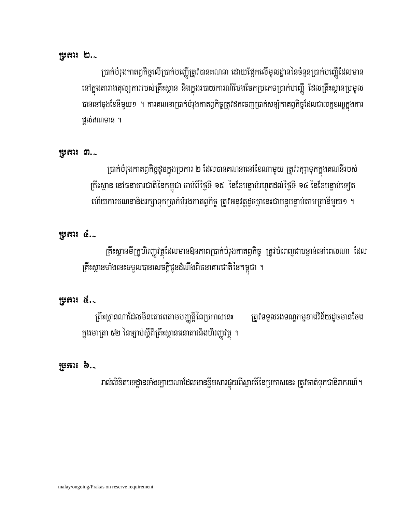# $55515$   $\omega_{\cdot}$

ប្រាក់បំរុងកាតព្វកិច្ចលើប្រាក់បញ្ញើត្រូវបានគណនា ដោយផ្អែកលើមូលដ្ឋាននៃចំនួនប្រាក់បញ្ញើដែលមាន នៅក្នុងតារាងតុល្យការរបស់គ្រឹះស្ថាន និងក្នុងរបាយការណ៍បែងចែកប្រភេទប្រាក់បញ្ហើ ដែលគ្រឹះស្ថានប្រមូល បាននៅចុងខែនីមួយ១ ។ ការគណនាប្រាក់បំរុងកាតព្វកិច្ចត្រូវដកចេញប្រាក់សន្សំកាតព្វកិច្ចដែលជាលក្ខខណ្ឌក្នុងការ ផ្តល់ឥណទាន ។

# $\mathfrak{P}$ ន្តែងារ ៣. $\sim$

ប្រាក់បំរុងកាតព្វកិច្ចដូចក្នុងប្រការ ២ ដែលបានគណនានៅខែណាមួយ ត្រូវរក្សាទុកក្នុងគណនីរបស់ គ្រឹះស្ថាន នៅធនាគារជាតិនៃកម្ពុជា ចាប់ពីថ្ងៃទី ១៥ នៃខែបន្ទាប់រហូតដល់ថ្ងៃទី ១៤ នៃខែបន្ទាប់ទ្យេត ហើយការគណនានិងរក្សាទុកប្រាក់បំរុងកាតព្វកិច្ច ត្រូវអនុវត្តដូចគ្នានេះជាបន្តបន្ទាប់តាមគ្រានីមួយ១ ។

# $19311$   $6.1$

ត្រី៖ស្ថានមីក្រូហិរញ្ហវត្ថុដែលមានឱ្យនភាពប្រាក់បំរុងកាតព្វកិច្ច ត្រូវបំពេញជាបន្ទាន់នៅពេលណា ដែល ត្រឹះស្ថានទាំងនេះទទួលបានសេចក្តីជូនដំណឹងពីធនាគារជាតិនៃកម្ពុជា ។

# $15$ น ซึ $\sim$

គ្រឹះស្ថានណាដែលមិនគោរពតាមបញ្ហត្តិនៃប្រកាសនេះ ត្រូវទទួលរងទណ្ឌកម្មខាងវិន័យដូចមានថែង ក្នុងមាត្រា ៥២ នៃច្បាប់ស្តីពីគ្រឹះស្ថានធនាគារនិងហិរញ្ញវត្ថុ ។

# fymi d.

រាល់លិខិតបទដ្ឋានទាំងឡាយណាដែលមានខ្លីមសារផ្ទុយពីស្មារតីនៃប្រកាសនេះ ត្រូវចាត់ទុកជានិរាករណ៍។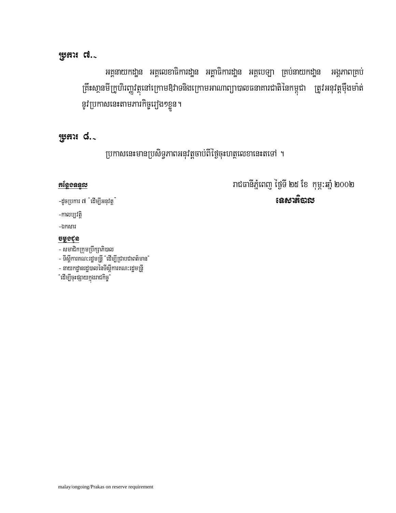# $5531$   $\alpha$ .

អគ្គនាយកដា្ឋន អគ្គលេខាធិការដា្ឋន អគ្គាធិការដា្ឋន អគ្គបេឡា គ្រប់នាយកដា្ឋន អង្គភាពគ្រប់ ត្រឹះសា្ថនមីក្រូហិរញ្ញវត្ថុនៅក្រោមឱ្យវាទនិងក្រោមអាណាព្យាបាលធនាគារជាតិនៃកម្ពុជា ត្រូវអនុវត្តម៉ឹងមាំត់ នូវប្រកាសនេះតាមភារកិច្ចរឿង១ខ្លួន ។

# ថ្ងៃតារ  $\mathbf{d}_{\cdot\mathbf{v}}$

ប្រកាសនេះមានប្រសិទ្ធភាពអនុវត្តចាប់ពីថ្ងៃចុះហត្ថលេខានេះតទៅ ។

# អន្ថែទឧន្ទរប

រាជធានីភ្នំពេញ ថ្ងៃទី ២៥ ខែ កុម្ភៈឆាំ្ន ២០០២ នេសាត៌ិងារប

-ដូចប្រការ ៧ "ដើម្បីអនុវត្ត"

-កាលប្បវត្តិ

-ឯកសារ

# uşoçr

- សមាជិកក្រុមប្រឹក្សាភិបាល

- ទីស្តីការគណ:រដ្ឋមន្ត្រី "ដើម្បីជ្រាបជាពតិមាន"

- នាយកដ្ឋានរដ្ឋបាលនៃទីស្តីការគណៈរដ្ឋមន្ត្រី

"ដើម្បីចុះផ្សាយក្នុងរាជកិច្ច"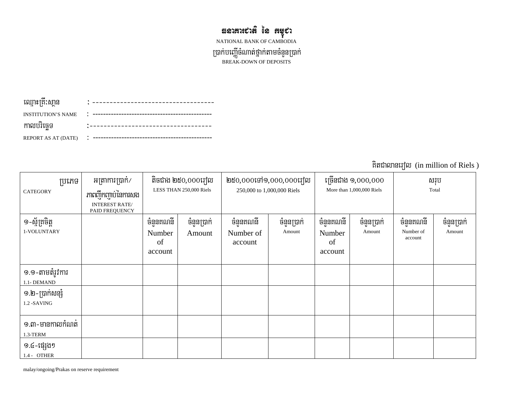# *ซฉา*สม�าส์ ไฉ สยุ�า

NATIONAL BANK OF CAMBODIA

ប្រាក់បញ្ញើចំណាត់ថ្នាក់តាមចំនួនប្រាក់<br>BREAK-DOWN OF DEPOSITS

| ឈ្មោះត្រ:ស្ថាន            |  |
|---------------------------|--|
| <b>INSTITUTION'S NAME</b> |  |
| កាលបរចេទ                  |  |
| REPORT AS AT (DATE)       |  |

គិតជាលានរេ<br/>បំល $\,$  (in million of Riels )

| ប្រភេទ<br>CATEGORY              | អត្រាការប្រាក់/<br>ភាពញឹកញាប់នៃការសង<br><b>INTEREST RATE/</b><br>PAID FREQUENCY | តិចជាង ២៥០,០០០រឿល<br>LESS THAN 250,000 Riels |                       | ២៥០,០០០ទៅ១,០០០,០០០ព្យ៉េល<br>250,000 to 1,000,000 Riels |                       | ព្រឹនជាង ១,០០០,០០០<br>More than 1,000,000 Riels |                       | សរុប<br>Total                     |                       |
|---------------------------------|---------------------------------------------------------------------------------|----------------------------------------------|-----------------------|--------------------------------------------------------|-----------------------|-------------------------------------------------|-----------------------|-----------------------------------|-----------------------|
| ១-ស្ម័គ្រចិត្ត<br>1-VOLUNTARY   |                                                                                 | ចំនួនគណនី<br>Number<br>of<br>account         | ចំនួនប្រាក់<br>Amount | ចំនួនគណនី<br>Number of<br>account                      | ចំនួនប្រាក់<br>Amount | ចំនួនគណនី<br>Number<br>of<br>account            | ចំនួនប្រាក់<br>Amount | ចំនួនគណនី<br>Number of<br>account | ចំនួនប្រាក់<br>Amount |
| ១.១-តាមតំរូវការ<br>1.1-DEMAND   |                                                                                 |                                              |                       |                                                        |                       |                                                 |                       |                                   |                       |
| ១.២-ប្រាក់សន្សំ<br>1.2 - SAVING |                                                                                 |                                              |                       |                                                        |                       |                                                 |                       |                                   |                       |
| ១.៣-មានកាលកំណត់<br>1.3-TERM     |                                                                                 |                                              |                       |                                                        |                       |                                                 |                       |                                   |                       |
| ១.៤-ផ្សេងៗ<br>$1.4 - OTHER$     |                                                                                 |                                              |                       |                                                        |                       |                                                 |                       |                                   |                       |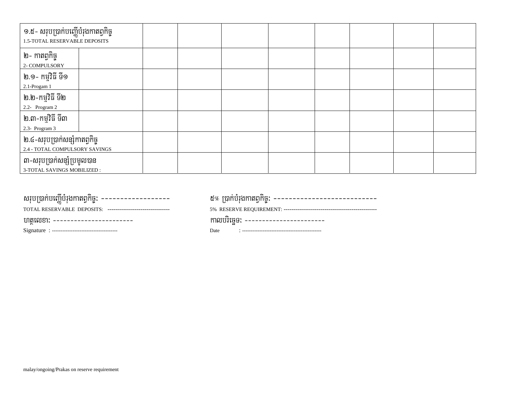| ១.៥– សរុបប្រាក់បញ្ញើបំរុងកាតព្វកិច្ចុ<br>1.5-TOTAL RESERVABLE DEPOSITS |  |  |  |  |  |
|------------------------------------------------------------------------|--|--|--|--|--|
| ២- កាតព្វកិច្ចុ<br>2- COMPULSORY                                       |  |  |  |  |  |
| ២.១- កម្មវិធី ទី១<br>2.1-Progam 1                                      |  |  |  |  |  |
| ២.២-កម្មវិធី ទី២<br>2.2- Program 2                                     |  |  |  |  |  |
| ២.៣-កម្មវិធី ទី៣<br>2.3- Program 3                                     |  |  |  |  |  |
| ២.៤-សរុបប្រាក់សន្សំកាតព្វកិច្ច<br>2.4 - TOTAL COMPULSORY SAVINGS       |  |  |  |  |  |
| ៣-សរុបប្រាក់សន្សំប្រមូលបាន<br>3-TOTAL SAVINGS MOBILIZED :              |  |  |  |  |  |

| សរុបប្រាក់បញ្ហើបំរុងកាតព្វកិច្ច: ------------------          | ៥% ប្រាក់បំរុងកាតព្វកិច្ចុះ --------------------------- |
|--------------------------------------------------------------|---------------------------------------------------------|
| TOTAL RESERVABLE DEPOSITS: --------------------------------- |                                                         |
| បាតលេខា: ------------------------                            | កាលប្រយុទ្ធ: -----------------------                    |
|                                                              | Date                                                    |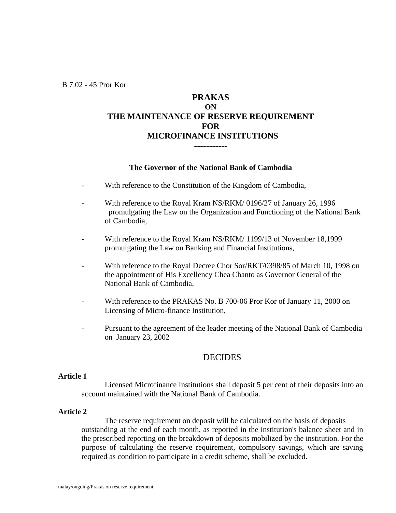B 7.02 - 45 Pror Kor

## **PRAKAS ON THE MAINTENANCE OF RESERVE REQUIREMENT FOR MICROFINANCE INSTITUTIONS**

#### **The Governor of the National Bank of Cambodia**

-----------

- With reference to the Constitution of the Kingdom of Cambodia,
- With reference to the Royal Kram NS/RKM/ 0196/27 of January 26, 1996 promulgating the Law on the Organization and Functioning of the National Bank of Cambodia,
- With reference to the Royal Kram NS/RKM/ 1199/13 of November 18,1999 promulgating the Law on Banking and Financial Institutions,
- With reference to the Royal Decree Chor Sor/RKT/0398/85 of March 10, 1998 on the appointment of His Excellency Chea Chanto as Governor General of the National Bank of Cambodia,
- With reference to the PRAKAS No. B 700-06 Pror Kor of January 11, 2000 on Licensing of Micro-finance Institution,
- Pursuant to the agreement of the leader meeting of the National Bank of Cambodia on January 23, 2002

#### DECIDES

#### **Article 1**

Licensed Microfinance Institutions shall deposit 5 per cent of their deposits into an account maintained with the National Bank of Cambodia.

#### **Article 2**

 The reserve requirement on deposit will be calculated on the basis of deposits outstanding at the end of each month, as reported in the institution's balance sheet and in the prescribed reporting on the breakdown of deposits mobilized by the institution. For the purpose of calculating the reserve requirement, compulsory savings, which are saving required as condition to participate in a credit scheme, shall be excluded.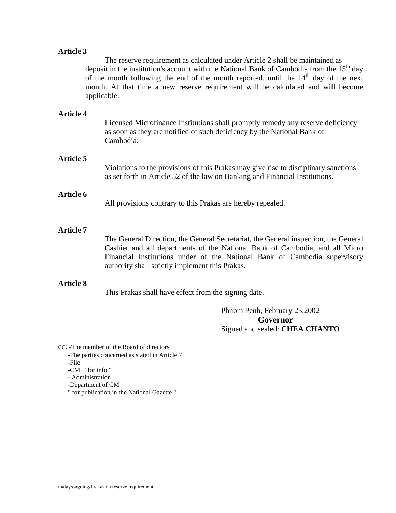#### **Article 3**

The reserve requirement as calculated under Article 2 shall be maintained as deposit in the institution's account with the National Bank of Cambodia from the  $15<sup>th</sup>$  day of the month following the end of the month reported, until the  $14<sup>th</sup>$  day of the next month. At that time a new reserve requirement will be calculated and will become applicable.

#### **Article 4**

Licensed Microfinance Institutions shall promptly remedy any reserve deficiency as soon as they are notified of such deficiency by the National Bank of Cambodia.

#### **Article 5**

 Violations to the provisions of this Prakas may give rise to disciplinary sanctions as set forth in Article 52 of the law on Banking and Financial Institutions.

#### **Article 6**

All provisions contrary to this Prakas are hereby repealed.

#### **Article 7**

 The General Direction, the General Secretariat, the General inspection, the General Cashier and all departments of the National Bank of Cambodia, and all Micro Financial Institutions under of the National Bank of Cambodia supervisory authority shall strictly implement this Prakas.

#### **Article 8**

This Prakas shall have effect from the signing date.

Phnom Penh, February 25,2002 **Governor**  Signed and sealed: **CHEA CHANTO** 

cc: -The member of the Board of directors

- -The parties concerned as stated in Article 7
- -File
- -CM " for info "
- Administration
- -Department of CM
- " for publication in the National Gazette "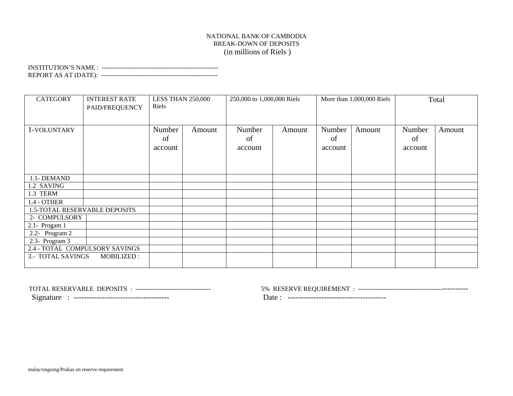#### NATIONAL BANK OF CAMBODIA BREAK-DOWN OF DEPOSITS (in millions of Riels )

INSTITUTION'S NAME : ------------------------------------------------------ REPORT AS AT (DATE): ------------------------------------------------------

| <b>CATEGORY</b>                | <b>INTEREST RATE</b><br>PAID/FREQUENCY | LESS THAN 250,000<br>Riels |        | 250,000 to 1,000,000 Riels |        | More than $1,000,000$ Riels |        | Total                   |        |
|--------------------------------|----------------------------------------|----------------------------|--------|----------------------------|--------|-----------------------------|--------|-------------------------|--------|
| 1-VOLUNTARY                    |                                        | Number<br>of<br>account    | Amount | Number<br>of<br>account    | Amount | Number<br>of<br>account     | Amount | Number<br>of<br>account | Amount |
| 1.1-DEMAND                     |                                        |                            |        |                            |        |                             |        |                         |        |
| 1.2 SAVING                     |                                        |                            |        |                            |        |                             |        |                         |        |
| 1.3 TERM                       |                                        |                            |        |                            |        |                             |        |                         |        |
| 1.4 - OTHER                    |                                        |                            |        |                            |        |                             |        |                         |        |
|                                | <b>1.5-TOTAL RESERVABLE DEPOSITS</b>   |                            |        |                            |        |                             |        |                         |        |
| 2- COMPULSORY                  |                                        |                            |        |                            |        |                             |        |                         |        |
| $2.1 - Program 1$              |                                        |                            |        |                            |        |                             |        |                         |        |
| Program 2<br>$2.2 -$           |                                        |                            |        |                            |        |                             |        |                         |        |
| 2.3- Program 3                 |                                        |                            |        |                            |        |                             |        |                         |        |
| 2.4 - TOTAL COMPULSORY SAVINGS |                                        |                            |        |                            |        |                             |        |                         |        |
| <b>3.- TOTAL SAVINGS</b>       | MOBILIZED:                             |                            |        |                            |        |                             |        |                         |        |

| Signature : ---------------------------------- |  |
|------------------------------------------------|--|

TOTAL RESERVABLE DEPOSITS : ----------------------------------- 5% RESERVE REQUIREMENT : -------------------------------------------------

Signature : ------------------------------------- Date : --------------------------------------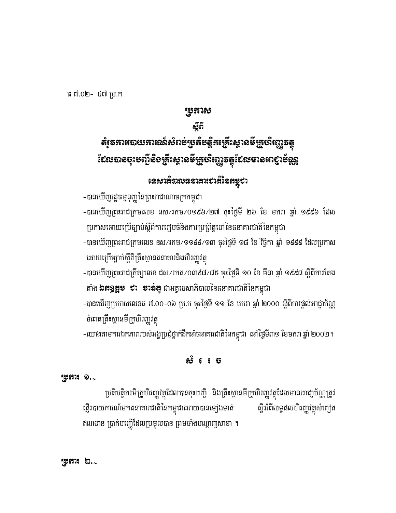# $55310.1$

 $55315$  9. $\sim$ 

ប្រតិបត្តិករមីក្រូហិរញ្ហវត្ថុដែលបានចុះបញ្ជី និងក្រឹះស្ថានមីក្រូហិរញ្ហវត្ថុដែលមានអាជ្ញាប័ណ្ណត្រូវ ផ្ញើរបាយការណ៍មកធនាគារជាតិនៃកម្ពុជាអោយបានទ្យេងទាត់ ស្តីអំពីលទ្ធផលហិរញ្ញវត្ថុសំព្យេត ឥណទាន ប្រាក់បញ្ហើដែលប្រមូលបាន ព្រមទាំងបណ្តាញសាខា ។

# **សំ** ៖ ៖ ម

ចំពោះគ្រឹះស្ថានមីក្រូហិរញ្ញវត្ថ -យោងតាមការឯកភាពរបស់អង្គប្រជុំថ្នាក់ដឹកនាំធនាគារជាតិនៃកម្ពុជា នៅថ្ងៃទី៣១ ខែមករា ឆ្នាំ ២០០២។

- តាំង **៦ភ3្ទត្តូម ៩រ មាន់ត្** ជាអគ្គទេសាភិបាលនៃធនាគារជាតិនៃកម្ពុជា –បានឃើញប្រកាសលេខធ ៧.០០–០៦ ប្រ.ក ចុះថ្ងៃទី ១១ ខែ មករា ឆ្នាំ ២០០០ ស្តីពីការផ្តល់អាជ្ញាប័ណ្ណ
- អោយប្រើច្បាប់ស្តីពីគ្រឹះស្ថានធនាគារនិងហិរញ្ញវត្ថុ -បានឃើញព្រះរាជក្រឹត្យលេខ ជស/រកត/០៣៩៨/៨៥ ចុះថ្ងៃទី ១០ ខែ មីនា ឆ្នាំ ១៩៩៨ ស្តីពីការតែង
- ប្រកាសអោយប្រើច្បាប់ស្តីពីការរៀបចំនិងការប្រព្រឹត្តទៅនៃធនាគារជាតិនៃកម្ពុជា -បានឃើញព្រះរាជក្រមលេខ នស/រកម/១១៩៩/១៣ ចុះថ្ងៃទី ១៨ ខែ វិច្ឆិកា ឆ្នាំ ១៩៩៩ ដែលប្រកាស
- -បានឃើញរដ្ឋធម្មនុញ្ញនៃព្រះរាជាណាចក្រកម្ពុជា -បានឃើញព្រះរាជក្រមលេខ នស/រកម/០១៩៦/២៧ ចុះថ្ងៃទី ២៦ ខែ មករា ឆ្នាំ ១៩៩៦ ដែល

# เฉ<sub>ี</sub>่ยาล็ฉาชธอาสาเชาลิเ๊อสะูชา

# តំរុចគារបោយគារណ៍សំរាប់ប្រតិបត្តិគក្រើះស្ថាលមីច្រូបាំញ្ញេទត្តុ *ដែល*បានចុះមញ្ជីនិ១ឝ្រីះស្ថានមីត្រូវចំរញ្ជូទត្តុដែលមានអាខ្ញាប័ណ្ណ

# ប្រុកាស ธัติ

ធ ៧.០២- ៤៧ ប្រ.ក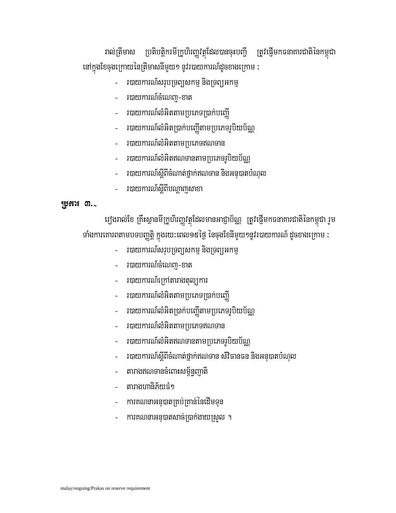រាល់ត្រីមាស ប្រតិបត្តិករមីក្រូហិរញ្ញវត្ថុដែលបានចុះបញ្ជី ត្រូវផ្ញើមកធនាគារជាតិនៃកម្ពុជា នៅក្នុងខែចុងក្រោយនៃត្រីមាសនីមួយ១ នូវរបាយការណ៍ដូចខាងក្រោម :

- របាយការណ៍សរុបទ្រព្យសកម្ម និងទ្រព្យអកម្ម
- របាយការណ៍ចំណេញ-ខាត
- របាយការណ៍លំអិតតាមប្រភេទប្រាក់បញ្ហើ
- របាយការណ៍លំអិតប្រាក់បញ្ញើតាមប្រភេទរូបិយប័ណ្ណ  $\omega_{\rm{eff}}$
- របាយការណ៍លំអិតតាមប្រភេទឥណទាន  $\omega_{\rm{max}}$
- របាយការណ៍លំអិតឥណទានតាមប្រភេទរូបិយប័ណ្ណ  $\omega_{\rm{max}}$
- របាយការណ៍ស្តីពីចំណាត់ថ្នាក់ឥណទាន និងអនុបាតបំណុល  $\omega_{\rm{eff}}$
- របាយការណ៍ស្តីពីបណ្តាញសាខា

# $5531$   $m_{\sim}$

រេវ្រងរាល់ខែ គ្រឹះស្ថានមីក្រូហិរញ្ញវត្ថុដែលមានអាជ្ញាប័ណ្ណ ត្រូវផ្ញើមកធនាគារជាតិនៃកម្ពុជា រួម ទាំងការគោរពតាមបទបញ្ញត្តិ ក្នុងរយ:ពេល១៥ថ្ងៃ នៃចុងខែនីមួយ១នូវរបាយការណ៍ ដូចខាងក្រោម :

- របាយការណ៍សរុបទ្រព្យសកម្ម និងទ្រព្យអកម្ម  $\omega_{\rm{max}}$
- របាយការណ៍ចំណេញ-ខាត
- របាយការណ៍ក្រៅតារាងតុល្យការ
- របាយការណ៍លំអិតតាមប្រភេទប្រាក់បញ្ញើ  $\omega_{\rm{eff}}$
- របាយការណ៍លំអិតប្រាក់បញ្ញើតាមប្រភេទរូបិយប័ណ្ណ  $\omega_{\rm{eff}}$
- របាយការណ៍លំអិតតាមប្រភេទឥណទាន  $\omega$  .
- របាយការណ៍លំអិតឥណទានតាមប្រភេទរូបិយប័ណ្ណ
- របាយការណ៍ស្តីពីចំណាត់ថ្នាក់ឥណទាន សិវិធានធន និងអនុបាតបំណុល  $\omega_{\rm{max}}$
- តារាងឥណទានចំពោះសម្ព័ន្ធញាតិ
- តារាងកោនិភ័យធំ១  $\Delta \sim 10^4$
- ការគណនាអនុបាតគ្រប់គ្រាន់នៃដើមទុន
- ការគណនាអនុបាតសាច់ប្រាក់ងាយស្រួល ។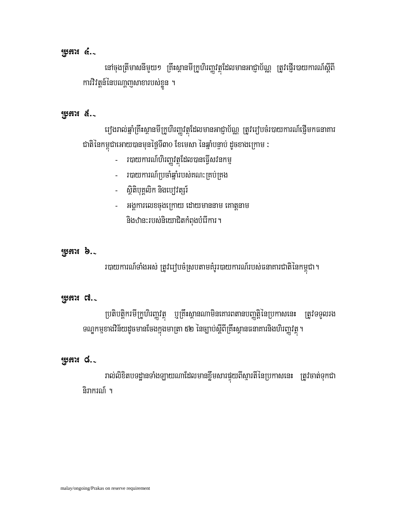$55511$   $\zeta_{\cdot\sim}$ 

នៅចុងត្រីមាសនីមួយ១ គ្រឹះស្ថានមីក្រូហិរញ្ញវត្ថុដែលមានអាជ្ញាប័ណ្ណ ត្រូវផ្ញើរបាយការណ៍ស្តីពី ការវិវត្តន៍នៃបណា្តញសាខារបស់ខ្លួន ។

# $55316$   $8.2$

រៀងរាល់ឆ្នាំគ្រឹះស្ថានមីក្រូហិរញ្ហវត្ថុដែលមានអាជ្ញាប័ណ្ណ ត្រូវរៀបចំរបាយការណ៍ផ្ញើមកធនាគារ ជាតិនៃកម្ពុជាអោយបានមុនថ្ងៃទី៣០ ខែមេសា នៃឆ្នាំបន្ទាប់ ដូចខាងក្រោម :

- របាយការណ៍ហិរញ្ញវត្ថុដែលបានធ្វើសវនកម្ម  $\omega_{\rm{max}}$
- របាយការណ៍ប្រចាំឆ្នាំរបស់គណ: គ្រប់គ្រង
- ស្ថិតិបុគ្គលិក និងប្បេវិត្សរ៍
- អង្គការលេខចុងក្រោយ ដោយមាននាម គោត្តនាម និងឋាន: របស់និយោជិតកំពុងបំរើការ ។

# spens d.

របាយការណ៍ទាំងអស់ ត្រូវរៀបចំស្របតាមគំរូរបាយការណ៍របស់ធនាគារជាតិនៃកម្ពុជា។

# $15$ สม เง.

ប្រតិបត្តិករមីក្រូហិរញ្ញវត្ថុ ឬគ្រឹះស្ថានណាមិនគោរពតានបញ្ញត្តិនៃប្រកាសនេះ ត្រូវទទួលរង ទណ្ឌកម្មខាងវិន័យដូចមានចែងក្នុងមាត្រា ៥២ នៃច្បាប់ស្តីពីគ្រឹះស្ថានធនាគារនិងហិរញ្ហវត្ថុ ។

# $55511$   $G.$

រាល់លិខិតបទដ្ឋានទាំងឡាយណាដែលមានខ្លឹមសារផ្ទុយពីស្មារតីនៃប្រកាសនេះ ត្រូវចាត់ទុកជា និរាករណ៍ ។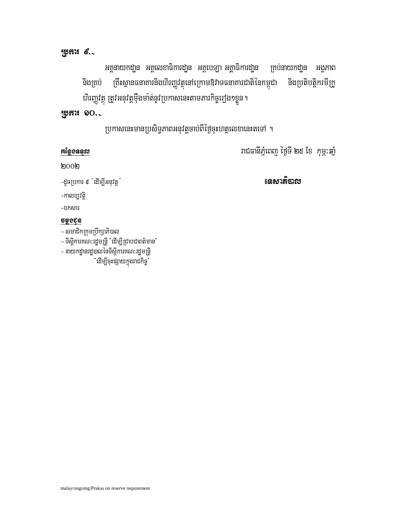## $55716.$

អគ្គនាយកង្ហាន អគ្គលេខាធិការដា្ឋន អគ្គបេឡា អគ្គាធិការដា្ឋន ក្រប់នាយកដា្ឋន អង្គភាព ត្រឹះស្ថានធនាគារនិងហិរញ្ញវត្ថុនៅក្រោមឱ្យវាទធនាគារជាតិនៃកម្ពុជា និងប្រតិបត្តិករមីក្រូ និងគ្រប់ ហិរញ្ញវត្ថុ ត្រូវអនុវត្តម៉ឺងមាំត់នូវប្រកាសនេះតាមភារកិច្ចុរ្យេង១ខ្លួន។

## **ซูสม** 90...

ប្រកាសនេះមានប្រសិទ្ធភាពអនុវត្តចាប់ពីថ្ងៃចុះហត្ថលេខានេះតទៅ ។

## អន្ថែទឧន្ទរប

រាជធានីភ្នំពេញ ថ្ងៃទី ២៥ ខែ កុម្ភ:ឆ្នាំ

នេសាត៌បារប

# ២ $00$ ២

-ដូចប្រការ ៩ ៉ដើម្បីអនុវត្ត៉

-កាលប្បវត្តិ

-ឯកសារ

## uşoçr

- សមាជិកក្រុមប្រឹក្សាភិបាល

- ទីស្តីការគណ:រដ្ឋមន្ត្រី "ដើម្បីជ្រាបជាពត៌មាន"

- នាយកដ្ឋានរដ្ឋបាលនៃទីស្តីការគណ:រដ្ឋមន្ត្រី

"ដើម្បីចុះផ្សាយក្នុងរាជកិច្ច"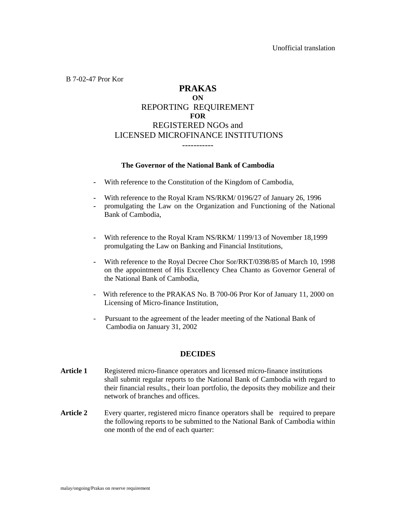B 7-02-47 Pror Kor

#### **PRAKAS ON**  REPORTING REQUIREMENT **FOR**  REGISTERED NGOs and LICENSED MICROFINANCE INSTITUTIONS -----------

#### **The Governor of the National Bank of Cambodia**

- **-** With reference to the Constitution of the Kingdom of Cambodia,
- **-** With reference to the Royal Kram NS/RKM/ 0196/27 of January 26, 1996
- **-** promulgating the Law on the Organization and Functioning of the National Bank of Cambodia,
- **-** With reference to the Royal Kram NS/RKM/ 1199/13 of November 18,1999 promulgating the Law on Banking and Financial Institutions,
- **-** With reference to the Royal Decree Chor Sor/RKT/0398/85 of March 10, 1998 on the appointment of His Excellency Chea Chanto as Governor General of the National Bank of Cambodia,
- With reference to the PRAKAS No. B 700-06 Pror Kor of January 11, 2000 on Licensing of Micro-finance Institution,
- Pursuant to the agreement of the leader meeting of the National Bank of Cambodia on January 31, 2002

#### **DECIDES**

- **Article 1** Registered micro-finance operators and licensed micro-finance institutions shall submit regular reports to the National Bank of Cambodia with regard to their financial results., their loan portfolio, the deposits they mobilize and their network of branches and offices.
- Article 2 Every quarter, registered micro finance operators shall be required to prepare the following reports to be submitted to the National Bank of Cambodia within one month of the end of each quarter: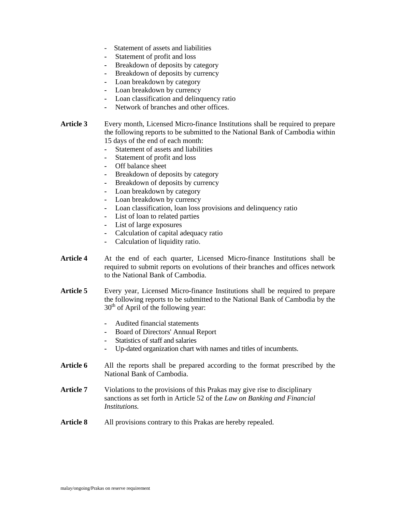- Statement of assets and liabilities
- **-** Statement of profit and loss
- **-** Breakdown of deposits by category
- **-** Breakdown of deposits by currency
- **-** Loan breakdown by category
- **-** Loan breakdown by currency
- **-** Loan classification and delinquency ratio
- **-** Network of branches and other offices.
- **Article 3** Every month, Licensed Micro-finance Institutions shall be required to prepare the following reports to be submitted to the National Bank of Cambodia within 15 days of the end of each month:
	- **-** Statement of assets and liabilities
	- **-** Statement of profit and loss
	- **-** Off balance sheet
	- **-** Breakdown of deposits by category
	- **-** Breakdown of deposits by currency
	- **-** Loan breakdown by category
	- **-** Loan breakdown by currency
	- **-** Loan classification, loan loss provisions and delinquency ratio
	- **-** List of loan to related parties
	- **-** List of large exposures
	- **-** Calculation of capital adequacy ratio
	- **-** Calculation of liquidity ratio.
- **Article 4** At the end of each quarter, Licensed Micro-finance Institutions shall be required to submit reports on evolutions of their branches and offices network to the National Bank of Cambodia.
- **Article 5** Every year, Licensed Micro-finance Institutions shall be required to prepare the following reports to be submitted to the National Bank of Cambodia by the  $30<sup>th</sup>$  of April of the following year:
	- **-** Audited financial statements
	- **-** Board of Directors' Annual Report
	- **-** Statistics of staff and salaries
	- **-** Up-dated organization chart with names and titles of incumbents.
- **Article 6** All the reports shall be prepared according to the format prescribed by the National Bank of Cambodia.
- **Article 7** Violations to the provisions of this Prakas may give rise to disciplinary sanctions as set forth in Article 52 of the *Law on Banking and Financial Institutions.*
- Article 8 All provisions contrary to this Prakas are hereby repealed.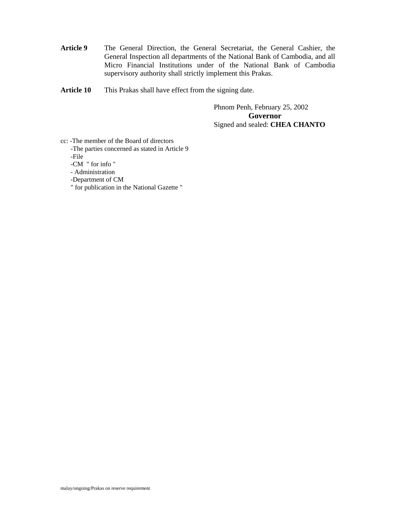- **Article 9** The General Direction, the General Secretariat, the General Cashier, the General Inspection all departments of the National Bank of Cambodia, and all Micro Financial Institutions under of the National Bank of Cambodia supervisory authority shall strictly implement this Prakas.
- **Article 10** This Prakas shall have effect from the signing date.

Phnom Penh, February 25, 2002 **Governor**  Signed and sealed: **CHEA CHANTO**

cc: -The member of the Board of directors

-The parties concerned as stated in Article 9

-File

-CM " for info "

- Administration

-Department of CM

" for publication in the National Gazette "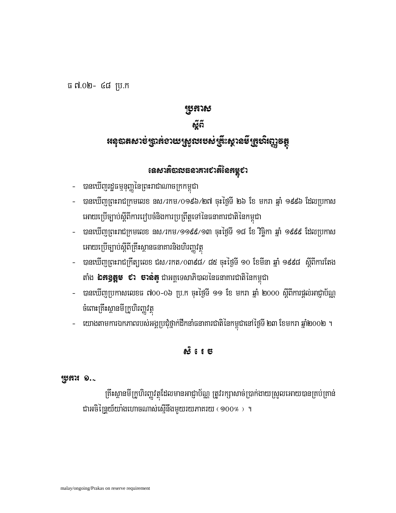ត្រឹះស្ថានមីក្រូហិរញ្ញវត្ថុដែលមានអាជ្ញាប័ណ្ណ ត្រូវរក្សាសាច់ប្រាក់ងាយស្រួលអោយបានគ្រប់គ្រាន់ ជាអចិន្ត្រៃយ៍យ៉ាំងហោចណាស់ស្មើនឹងមួយរយភាគរយ ( 900% ) ។

### $55319...$

# សំរេទ

- ចំពោះត្រឹះស្ថានមីក្រូហិរញ្ញវត្ថ យោងតាមការឯកភាពរបស់អង្គប្រជុំថ្នាក់ដឹកនាំធនាគារជាតិនៃកម្ពុជានៅថ្ងៃទី ២៣ ខែមករា ឆ្នាំ២០០២ ។  $\frac{1}{2}$
- តាំង **៦ភ3្ទន្ទម ៩រ ចាន់ត្** ជាអគ្គទេសាភិបាលនៃធនាគារជាតិនៃកម្ពុជា – បានឃើញប្រកាសលេខធ ៧០០-០៦ ប្រ.ក ចុះថ្ងៃទី ១១ ខែ មករា ឆ្នាំ ២០០០ ស្តីពីការផ្តល់អាជ្ញាប័ណ្ណ
- អោយប្រើច្បាប់ស្តីពីត្រឹះស្ថានធនាគារនិងហិរញ្ញវត្ថុ – បានឃើញព្រះរាជក្រឹត្យលេខ ជស/រកត/០៣៩៨/ ៨៥ ចុះថ្ងៃទី ១០ ខែមីនា ឆ្នាំ ១៩៩៨ ស្តីពីការតែង
- អោយប្រើច្បាប់ស្តីពីការរៀបចំនិងការប្រព្រឹត្តទៅនៃធនាគារជាតិនៃកម្ពុជា – បានឃើញព្រះរាជក្រមលេខ នស/រកម/១១៩៩/១៣ ចុះថ្ងៃទី ១៨ ខែ វិច្ឆិកា ឆ្នាំ ១៩៩៩ ដែលប្រកាស
- បានឃើញព្រះរាជក្រមលេខ នស/រកម/09៩៦/២៧ ចុះថ្ងៃទី ២៦ ខែ មករា ឆ្នាំ ១៩៩៦ ដែលប្រកាស  $\frac{1}{2}$
- បានឃើញរដ្ឋធម្មនុញ្ញនៃព្រះរាជាណាចក្រកម្ពុជា  $\frac{1}{2}$

# เฉ<sub>ี</sub>่ยาส็ฉาชธลาสาเชาส์เ็ลหะูชา

# ธุ์ถึ **អនុ**បាតសាច់ប្រាក់ទាយស្រួលរបស់គ្រឹះស្ថានមីក្រូហិរញ្ញទត្ថ

ប្រុកាស

ធ ៧.០២- ៤៨ ប្រ.ក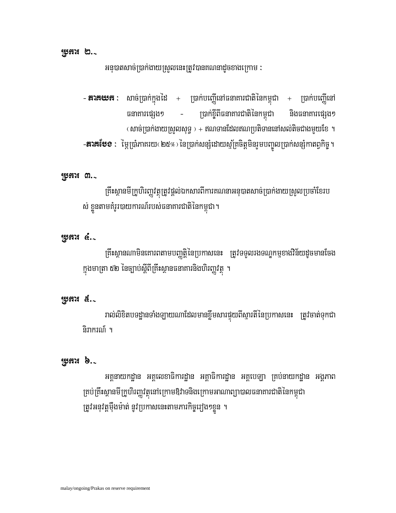#### $55535$   $\omega_{\sim}$

## អនុបាតសាច់ប្រាក់ងាយស្រួលនេះត្រូវបានគណនាដូចខាងក្រោម :

**- នារគយភ :** សាច់ប្រាក់ក្នុងដៃ + ប្រាក់បញ្ញើនៅធនាគារជាតិនៃកម្ពុជា + ប្រាក់បញ្ហើនៅ ប្រាក់ខ្ចីពីធនាគារជាតិនៃកម្ពុជា និងធនាគារផ្សេង១ ធនាគារផ្សេងៗ  $\mathcal{L}^{\text{max}}_{\text{max}}$  and  $\mathcal{L}^{\text{max}}_{\text{max}}$ (សាច់ប្រាក់ងាយស្រួលសុទ្ធ ) + ឥណទានដែលឥណប្រតិទាននៅសល់តិចជាងមួយខែ ។ **-នារឝទ័ឞ១** : ៎ម្ភៃប្រាំភាគរយ<២៥%) នៃប្រាក់សន្សំដោយស្ម័គ្រចិត្តមិនរួមបញ្ចូលប្រាក់សន្សំកាតព្វកិច្ច ។

#### $5531$   $m_{\sim}$

ត្រឹះស្ថានមីក្រូហិរញ្ញវត្ថុត្រូវផ្តល់ឯកសារពីការគណនាអនុបាតសាច់ប្រាក់ងាយស្រួលប្រចាំខែរប ស់ ខ្លួនតាមគំរូរបាយការណ៍របស់ធនាគារជាតិនៃកម្ពុជា។

# fynn &.

គ្រឹះស្ថានណាមិនកោរពតាមបញ្ហត្តិនៃប្រកាសនេះ ត្រូវទទួលរងទណ្ឌកម្មខាងវិន័យដូចមានថែង ក្នុងមាត្រា ៥២ នៃច្បាប់ស្តីពីគ្រឹះស្ថានធនាគារនិងហិរញ្ញវត្ថុ ។

## $55511$   $8.1$

រាល់លិខិតបទដ្ឋានទាំងឡាយណាដែលមានខ្លឹមសារផ្ទុយពីស្មារតីនៃប្រកាសនេះ ត្រូវចាត់ទុកជា និរាករណ៍ ។

# ប្រគារ  $\delta$ . $\sim$

អគ្គនាយកដ្ឋាន អគ្គលេខាធិការដ្ឋាន អគ្គាធិការដ្ឋាន អគ្គបេឡា គ្រប់នាយកដ្ឋាន អង្គភាព គ្រប់គ្រឹះស្ថានមីក្រូហិរញ្ញវត្ថុនៅក្រោមឱ្យវាទនិងក្រោមអាណាព្យាបាលធនាគារជាតិនៃកម្ពុជា ត្រូវអនុវត្តម៉ឺងម៉ាត់ នូវប្រកាសនេះតាមភារកិច្ចរឿង១ខ្លួន ។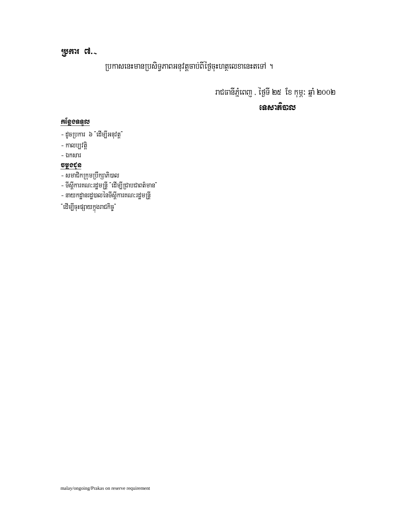# ថ្ងៃការ $d_{\infty}$

ប្រកាសនេះមានប្រសិទ្ធភាពអនុវត្តចាប់ពីថ្ងៃចុះហត្ថលេខានេះតទៅ ។

រាជធានីភ្នំពេញ , ថ្ងៃទី ២៥ ខែ កុម្ភ: ឆ្នាំ ២០០២ នេសាត៌បារប

### អន្ថែទឧន្ទរប

- ដូចប្រការ ៦ "ដើម្បីអនុវត្ត"
- កាលប្បវត្តិ
- ឯកសារ

### uşoçr

- សមាជិកក្រុមប្រឹក្សាភិបាល
- ទីស្តីការគណ:រដ្ឋមន្ត្រី "ដើម្បីជ្រាបជាពត៌មាន"
- នាយកដ្ឋានរដ្ឋបាលនៃទីស្តីការគណ:រដ្ឋមន្ត្រី

ឺដើម្បីចុះផ្សាយក្នុងរាជកិច្ច<sup>"</sup>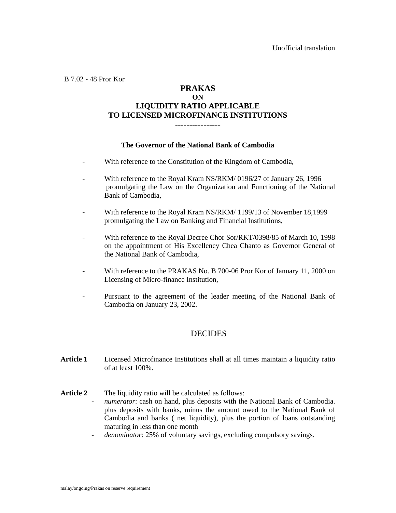B 7.02 - 48 Pror Kor

#### **PRAKAS ON**

# **LIQUIDITY RATIO APPLICABLE TO LICENSED MICROFINANCE INSTITUTIONS**

----------------

#### **The Governor of the National Bank of Cambodia**

- With reference to the Constitution of the Kingdom of Cambodia,
- With reference to the Royal Kram NS/RKM/ 0196/27 of January 26, 1996 promulgating the Law on the Organization and Functioning of the National Bank of Cambodia,
- With reference to the Royal Kram NS/RKM/ 1199/13 of November 18,1999 promulgating the Law on Banking and Financial Institutions,
- With reference to the Royal Decree Chor Sor/RKT/0398/85 of March 10, 1998 on the appointment of His Excellency Chea Chanto as Governor General of the National Bank of Cambodia,
- With reference to the PRAKAS No. B 700-06 Pror Kor of January 11, 2000 on Licensing of Micro-finance Institution,
- Pursuant to the agreement of the leader meeting of the National Bank of Cambodia on January 23, 2002.

#### **DECIDES**

- **Article 1** Licensed Microfinance Institutions shall at all times maintain a liquidity ratio of at least 100%.
- Article 2 The liquidity ratio will be calculated as follows: *numerator*: cash on hand, plus deposits with the National Bank of Cambodia. plus deposits with banks, minus the amount owed to the National Bank of Cambodia and banks ( net liquidity), plus the portion of loans outstanding maturing in less than one month
	- *denominator*: 25% of voluntary savings, excluding compulsory savings.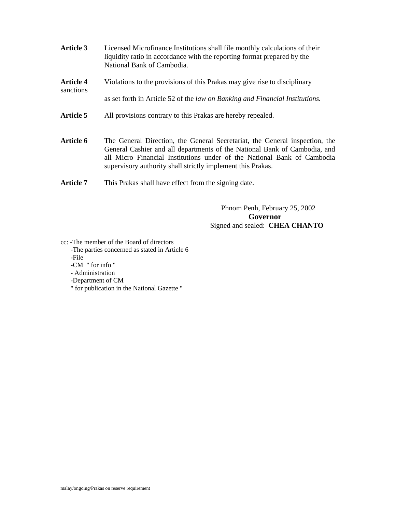- **Article 3** Licensed Microfinance Institutions shall file monthly calculations of their liquidity ratio in accordance with the reporting format prepared by the National Bank of Cambodia.
- **Article 4** Violations to the provisions of this Prakas may give rise to disciplinary sanctions as set forth in Article 52 of the *law on Banking and Financial Institutions.*
- **Article 5** All provisions contrary to this Prakas are hereby repealed.
- **Article 6** The General Direction, the General Secretariat, the General inspection, the General Cashier and all departments of the National Bank of Cambodia, and all Micro Financial Institutions under of the National Bank of Cambodia supervisory authority shall strictly implement this Prakas.
- **Article 7** This Prakas shall have effect from the signing date.

#### Phnom Penh, February 25, 2002 **Governor**  Signed and sealed: **CHEA CHANTO**

cc: -The member of the Board of directors

 -The parties concerned as stated in Article 6 -File

- -CM " for info "
- Administration
- -Department of CM
- " for publication in the National Gazette "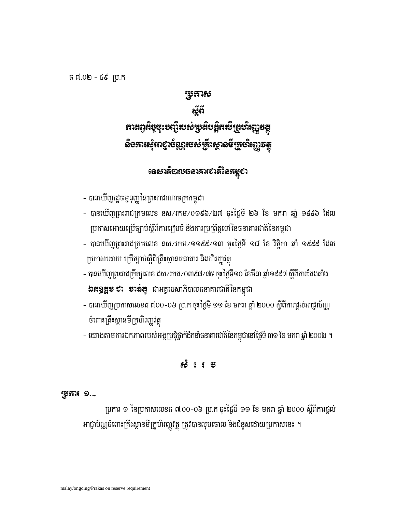pm េ១ នៃប្រកាសលេខធ ៧.០០-០៦ ប្រ.ក ចុះថ្ងៃទី ១១ ខែ មករា ឆ្នាំ ២០០០ ស្តីពីការផ្តល់ អាជ្ញាប័ណ្ណចំពោះគ្រឹះស្ថានមីក្រូហិរញ្ញវត្ថុ ត្រូវបានលុបចោល និងជំនួសដោយប្រកាសនេះ ។

### $J$

# as 6 a s

- ចំពោះគ្រឹះស្ថានមីក្រូហិរញ្ញវត្ថ - យោងតាមការឯកភាពរបស់អង្គប្រជុំថ្នាក់ដឹកនាំធនាគារជាតិនៃកម្ពុជានៅថ្ងៃទី ៣១ ខែ មករា ឆ្នាំ ២០០២ ។
- **៦ភ3្គូម ៩រ មាន់ត្** ជាអគ្គទេសាភិបាលធនាគារជាតិនៃកម្ពុជា - បានឃើញប្រកាសលេខធ ៧០០-០៦ ប្រ.ក ចុះថ្ងៃទី ១១ ខែ មករា ឆ្នាំ ២០០០ ស្តីពីការផ្តល់អាជ្ញាប័ណ្ណ
- ប្រកាសអោយ ប្រើច្បាប់ស្តីពីគ្រឹះស្ថានធនាគារ និងហិរញ្ញវត្ថុ - បានឃើញព្រះរាជក្រឹត្យលេខ ជស/រកត/0៣៩៨/៨៥ ចុះថ្ងៃទី១០ ខែមីនា ឆ្នាំ១៩៩៨ ស្តីពីការតែងតាំង
- ប្រកាសអោយប្រើច្បាប់ស្តីពីការរៀបចំ និងការប្រព្រឹត្តទៅនៃធនាគារជាតិនៃកម្ពុជា - បានឃើញព្រះរាជក្រមលេខ នស⁄រកម/១១៩៩/១៣ ចុះថ្ងៃទី ១៨ ខែ វិច្ឆិកា ឆ្នាំ ១៩៩៩ ដែល
- បានឃើញរដ្ឋធម្មនុញ្ញនៃព្រះរាជាណាចក្រកម្ពុជា - បានឃើញព្រះរាជក្រមលេខ នស⁄រកម/0១៩៦/២៧ ចុះថ្ងៃទី ២៦ ខែ មករា ឆាំ្ន ១៩៩៦ ដែល

# เฉ<sub>ี</sub>่ยวก็ฉายของสาเขาสิเ๊อหะูชา

# อัติ អារុធបូអិប្បុបុរស្របាលដូចធ្លើអូរស្រីឡេខេត្ត និទតារស្ម័រពន្ធាប័នស្គានម័ន្ទ ស្ថានធ្វើក្រុមនិង្គ

**JUFIN65**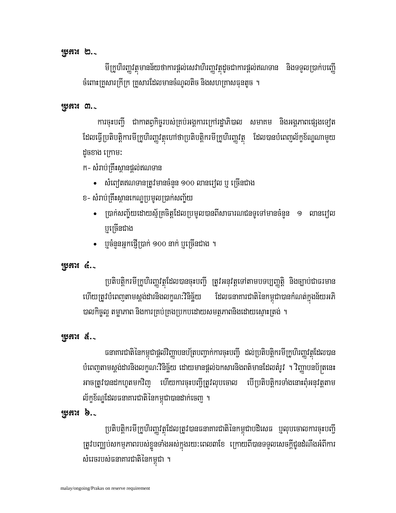$55515$   $\omega_{\cdot}$ 

មីក្រូហិរញ្ញវត្ថុមានន័យថាការផ្តល់សេវាហិរញ្ញវត្ថុដូចជាការផ្តល់ឥណទាន និងទទួលប្រាក់បញ្ញើ ចំពោះក្រួសារក្រីក្រ ក្រួសារដែលមានចំណូលតិច និងសហគ្រាសធុនតូច ។

# $5531$   $m_{\sim}$

ការចុះបញ្ជី ជាកាតព្វកិច្ចរបស់គ្រប់អង្គការក្រៅរដ្ឋាភិបាល សមាគម និងអង្គភាពផ្សេងទ្បេត ដែលធ្វើប្រតិបត្តិការមីក្រូហិរញ្ញវត្ថុហៅថាប្រតិបត្តិករមីក្រូហិរញ្ញវត្ថុ ដែលបានបំពេញល័ក្ខខ័ណ្ឌណាមួយ ដូចខាង ក្រោម:

ក- សំរាប់គ្រឹះស្ថានផ្តល់ឥណទាន

- សំពៅតតណទានត្រូវមានចំនួន ១០០ លានរេវុល ឬ ច្រើនជាង  $\bullet$
- ខ- សំរាប់គ្រឹះស្ថានកេណ្ឌប្រមូលប្រាក់សញ្ច័យ
	- ប្រាក់សញ្ច័យដោយស្ម័គ្រចិត្តដែលប្រមូលបានពីសាធារណជនទូទៅមានចំនួន ១ លានរៀល ប្តូរច្រឹនជាង
	- ប្ញចំនួនអ្នកផ្ញើប្រាក់ ១០០ នាក់ ប្តូច្រើនជាង ។

# ថ្ងៃការ  $\zeta_{\cdot}$

ប្រតិបត្តិករមីក្រូហិរញ្ញវត្ថុដែលបានចុះបញ្ជី ត្រូវអនុវត្តទៅតាមបទប្បញ្ហត្តិ និងច្បាប់ជាធរមាន ំដលធនាគារជាតិនៃកម្ពុជាបានកំណត់ក្នុងន័យអភិ ហើយត្រូវបំពេញតាមស្តង់ដារនិងលក្ខណៈវិនិច្ឆ័យ បាលកិច្ចល តមាភាព និងការគ្រប់គ្រងប្រកបដោយសមត្ថភាពនិងដោយសោះត្រង់ ។

# $15$ หม  $8.1$

ធនាគារជាតិនៃកម្ពុជាផ្តល់វិញ្ញាបនប័ត្របញ្ជាក់ការចុះបញ្ជី ដល់ប្រតិបត្តិករមីក្រូហិរញ្ញវត្ថុដែលបាន បំពេញតាមស្តង់ដារនិងលក្ខណៈវិនិច្ឆ័យ ដោយមានផ្តល់ឯកសារនិងពត៌មានដែលតំរូវ ។ វិញ្ញាបនប័ត្រនេះ អាចត្រូវបានដកហូតមកវិញ ហើយការចុះបញ្ជីត្រូវលុបចោល បើប្រតិបត្តិករទាំងនោះពុំអនុវត្តតាម ល័ក្ខខ័ណ្ឌដែលធនាគារជាតិនៃកម្ពុជាបានដាក់ចេញ ។

# $55$   $\mu$   $\mu$

ប្រតិបត្តិករមីក្រួហិរញ្ញវត្ថុដែលត្រូវបានធនាគារជាតិនៃកម្ពុជាបដិសេធ ឬលុបចោលការចុះបញ្ជី ត្រូវបញ្ឈប់សកម្មភាពរបស់ខ្លួនទាំងអស់ក្នុងរយ:ពេល៣ខែ ក្រោយពីបានទទួលសេចក្តីជូនដំណឹងអំពីការ សំរេចរបស់ធនាគារជាតិនៃកម្ពុជា ។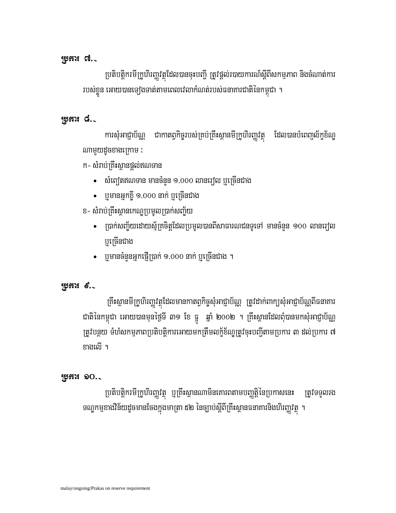$1.5$ ង្កែងរោង

ប្រតិបត្តិករមីក្រូហិរញ្ញវត្ថុដែលបានចុះបញ្ជី ត្រូវផ្តល់របាយការណ៍ស្តីពីសកម្មភាព និងចំណាត់ការ របស់ខ្លួន អោយបានឡើងទាត់តាមពេលវេលាកំណត់របស់ធនាគារជាតិនៃកម្ពុជា ។

# ថ្ងៃគារ  $\mathbf{d}_{\cdot\mathbf{v}}$

ការសុំអាជ្ញាប័ណ្ណ ជាកាតព្វកិច្ចរបស់គ្រប់គ្រឹះស្ថានមីក្រូហិរញ្ញវត្ថុ ដែលបានបំពេញល័ក្ខខ័ណ្ឌ ណាមយដូចខាងក្រោម :

ក- សំរាប់ត្រឹះស្ថានផ្តល់ឥណទាន

- សំពៅតតណទាន មានចំនួន ១,០០០ លានរៀល ឬច្រើនជាង
- បូមានអ្នកខ្ចី ១.០០០ នាក់ បុច្រើនជាង
- ខ– សំរាប់ត្រឹះស្ថានកេណ្ឌប្រមូលប្រាក់សញ្ច័យ
	- ប្រាក់សញ្ច័យដោយស្ម័គ្រចិត្តដែលប្រមូលបានពីសាធារណជនទូទៅ មានចំនួន ១០០ លានរៀល ឬច្រើនជាង
	- បូមានចំននអ្នកផ្ញើប្រាក់ ១,០០០ នាក់ បូច្រើនជាង ។

# $55316.$

គ្រឹះស្ថានមីក្រូហិរញ្ញវត្ថុដែលមានកាតព្វកិច្ចសុំអាជ្ញាប័ណ្ណ ត្រូវដាក់ពាក្យសុំអាជ្ញាប័ណ្ណពីធនាគារ ជាតិនៃកម្ពុជា អោយបានមុនថ្ងៃទី ៣១ ខែ ធ្នូ ឆ្នាំ ២០០២ ។ ក្រឹះស្ថានដែលពុំបានមកសុំអាជ្ញាប័ណ្ណ ត្រូវបន្ថយ ទំហំសកម្មភាពប្រតិបត្តិការអោយមកត្រឹមលក្ខ័ខ័ណ្ឌត្រូវចុះបញ្ជីតាមប្រការ ៣ ដល់ប្រការ ៧ ខាងណើ ។

# $\frac{1}{2}$ ชีสีส 90. $\sim$

ប្រតិបត្តិករមីក្រូហិរញ្ញវត្ថុ ឬគ្រឹះស្ថានណាមិនកោរពតាមបញ្ញត្តិនៃប្រកាសនេះ ត្រូវទទួលរង ទណ្ឌកម្មខាងវិន័យដូចមានចែងក្នុងមាត្រា ៥២ នៃច្បាប់ស្តីពីគ្រឹះស្ថានធនាគារនិងហិរញ្ញវត្ថុ ។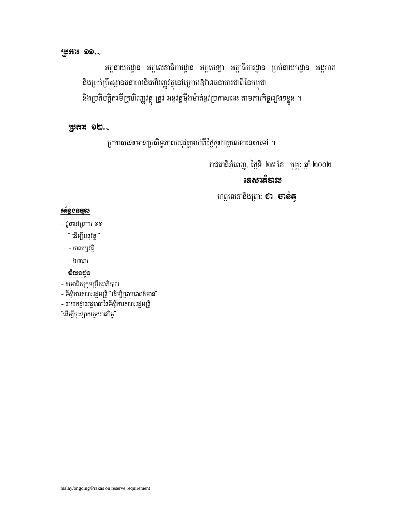## 1ุชุราเ 99.

អគ្គនាយកដ្ឋាន អគ្គលេខាធិការដ្ឋាន អគ្គបេឡា អគ្គាធិការដ្ឋាន គ្រប់នាយកដ្ឋាន អង្គភាព និងគ្រប់គ្រឹះស្ថានធនាគារនិងហិរញ្ញវត្ថុនៅក្រោមឱវាទធនាគារជាតិនៃកម្ពុជា និងប្រតិបត្តិករមីក្រូហិរញ្ញវត្ថុ ត្រូវ អនុវត្តម៉ឺងម៉ាត់នូវប្រកាសនេះ តាមភារកិច្ចរឿង១ខ្លួន ។

### $15$ สม 90. $\sim$

ប្រកាសនេះមានប្រសិទ្ធភាពអនុវត្តចាប់ពីថ្ងៃចុះហត្ថលេខានេះតទៅ ។

រាជធានីភ្នំពេញ, ថ្ងៃទី ២៥ ខែ កុម្ភ: ឆ្នាំ ២០០២

# នេសាត៌ិងារប

ហត្ថលេខានិងត្រា**: ៩រ ចាន់ត្** 

### អន្ថែទឧន្ទរប

- ដូចនៅប្រការ ១១

- " ដើម្បីអនុវត្ត "
- កាលប្បវត្តិ
- ឯកសារ

### ೮ೆಣ೮ಳೂ

- សមាជិកក្រុមប្រឹក្សាភិបាល
- ទីស្តីការគណ:រដ្ឋមន្ត្រី "ដើម្បីជ្រាបជាពត៌មាន"
- នាយកដ្ឋានរដ្ឋបាលនៃទីស្តីការគណៈរដ្ឋមន្ត្រី
- "ដើម្បីចុះផ្សាយក្នុងរាជកិច្ច"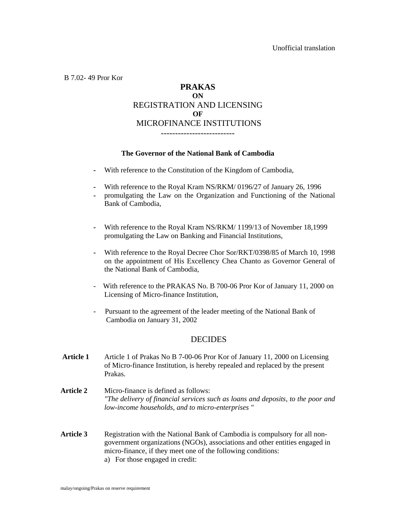B 7.02- 49 Pror Kor

#### **PRAKAS ON**  REGISTRATION AND LICENSING **OF**  MICROFINANCE INSTITUTIONS --------------------------

#### **The Governor of the National Bank of Cambodia**

- **-** With reference to the Constitution of the Kingdom of Cambodia,
- **-** With reference to the Royal Kram NS/RKM/ 0196/27 of January 26, 1996
- **-** promulgating the Law on the Organization and Functioning of the National Bank of Cambodia,
- **-** With reference to the Royal Kram NS/RKM/ 1199/13 of November 18,1999 promulgating the Law on Banking and Financial Institutions,
- **-** With reference to the Royal Decree Chor Sor/RKT/0398/85 of March 10, 1998 on the appointment of His Excellency Chea Chanto as Governor General of the National Bank of Cambodia,
- With reference to the PRAKAS No. B 700-06 Pror Kor of January 11, 2000 on Licensing of Micro-finance Institution,
- Pursuant to the agreement of the leader meeting of the National Bank of Cambodia on January 31, 2002

#### DECIDES

- **Article 1** Article 1 of Prakas No B 7-00-06 Pror Kor of January 11, 2000 on Licensing of Micro-finance Institution, is hereby repealed and replaced by the present Prakas.
- **Article 2** Micro-finance is defined as follows: *"The delivery of financial services such as loans and deposits, to the poor and low-income households, and to micro-enterprises "*
- Article 3 Registration with the National Bank of Cambodia is compulsory for all nongovernment organizations (NGOs), associations and other entities engaged in micro-finance, if they meet one of the following conditions: a) For those engaged in credit: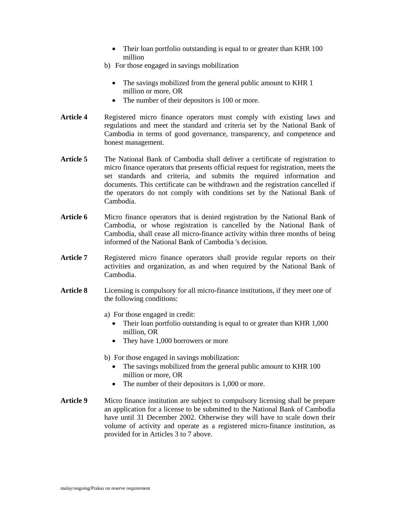- Their loan portfolio outstanding is equal to or greater than KHR 100 million
- b) For those engaged in savings mobilization
	- The savings mobilized from the general public amount to KHR 1 million or more, OR
	- The number of their depositors is 100 or more.
- **Article 4** Registered micro finance operators must comply with existing laws and regulations and meet the standard and criteria set by the National Bank of Cambodia in terms of good governance, transparency, and competence and honest management.
- **Article 5** The National Bank of Cambodia shall deliver a certificate of registration to micro finance operators that presents official request for registration, meets the set standards and criteria, and submits the required information and documents. This certificate can be withdrawn and the registration cancelled if the operators do not comply with conditions set by the National Bank of Cambodia.
- **Article 6** Micro finance operators that is denied registration by the National Bank of Cambodia, or whose registration is cancelled by the National Bank of Cambodia, shall cease all micro-finance activity within three months of being informed of the National Bank of Cambodia 's decision.
- **Article 7** Registered micro finance operators shall provide regular reports on their activities and organization, as and when required by the National Bank of Cambodia.
- **Article 8** Licensing is compulsory for all micro-finance institutions, if they meet one of the following conditions:
	- a)For those engaged in credit:
		- Their loan portfolio outstanding is equal to or greater than KHR 1,000 million, OR
		- They have 1,000 borrowers or more
	- b) For those engaged in savings mobilization:
		- The savings mobilized from the general public amount to KHR 100 million or more, OR
		- The number of their depositors is 1,000 or more.
- **Article 9** Micro finance institution are subject to compulsory licensing shall be prepare an application for a license to be submitted to the National Bank of Cambodia have until 31 December 2002. Otherwise they will have to scale down their volume of activity and operate as a registered micro-finance institution, as provided for in Articles 3 to 7 above.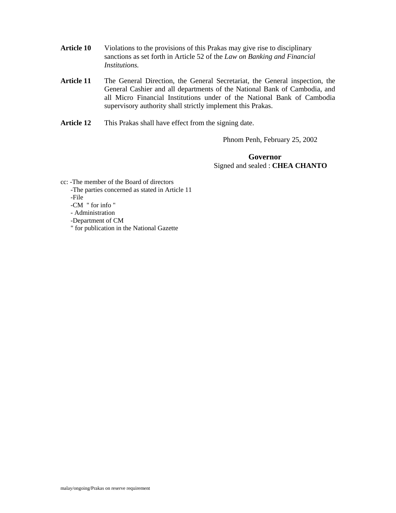- **Article 10** Violations to the provisions of this Prakas may give rise to disciplinary sanctions as set forth in Article 52 of the *Law on Banking and Financial Institutions.*
- **Article 11** The General Direction, the General Secretariat, the General inspection, the General Cashier and all departments of the National Bank of Cambodia, and all Micro Financial Institutions under of the National Bank of Cambodia supervisory authority shall strictly implement this Prakas.
- **Article 12** This Prakas shall have effect from the signing date.

Phnom Penh, February 25, 2002

#### **Governor**  Signed and sealed : **CHEA CHANTO**

- cc: -The member of the Board of directors
	- -The parties concerned as stated in Article 11
	- -File
	- -CM " for info "
	- Administration
	- -Department of CM
	- " for publication in the National Gazette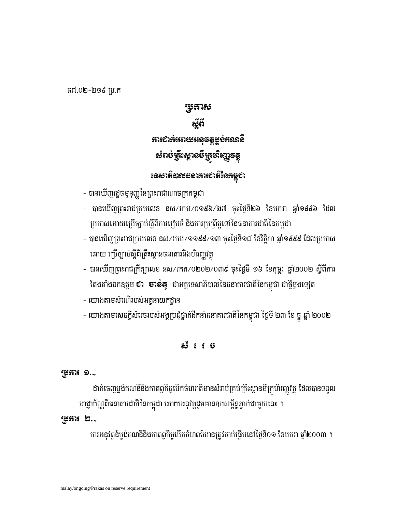ធ៧.០២-២១៩ ប្រ.ក

# **บุรุราธร** କୁ୍ଧୁ *หาเ*นาห์เหาแหละธัฐซูอัสฌล็ សំរាប់ឝ្រឹះស្ថានម៏ត្រូវសិរញ្ញូតគ្ត

# เฉ<sub>ี</sub>่ยวส์ฉาชธลาสาเชาส์เ็ลห**ะ**ชา

- បានឃើញរដ្ឋធម្មនុញ្ញនៃព្រះរាជាណាចក្រកម្ពុជា
- បានឃើញព្រះរាជក្រមលេខ នស/រកម/០១៩៦/២៧ ចុះថ្ងៃទី២៦ ខែមករា ឆ្នាំ១៩៩៦ ដែល ប្រកាសអោយប្រើច្បាប់ស្តីពីការរៀបចំ និងការប្រព្រឹត្តទៅនៃធនាគារជាតិនៃកម្ពុជា
- បានឃើញព្រះរាជក្រមលេខ នស/រកម/១១៩៩/១៣ ចុះថ្ងៃទី១៨ ខែវិច្ឆិកា ឆ្នាំ១៩៩៩ ដែលប្រកាស អោយ ប្រើច្បាប់ស្តីពីគ្រឹះស្ថានធនាគារនិងហិរញ្ញវត្ថុ
- បានឃើញព្រះរាជក្រឹត្យលេខ នស/រកត/0២0២/0៣៩ ចុះថ្ងៃទី ១៦ ខែកុម្ភ: ឆ្នាំ២00២ ស្តីពីការ តែងតាំងឯកឧត្តម **៩រ មាន់ឝ្** ជាអគ្គទេសាភិបាលនៃធនាគារជាតិនៃកម្ពុជា ជាថ្មីម្តងទ្យេត
- យោងតាមសំណើរបស់អគ្គនាយកដ្ឋាន
- យោងតាមសេចក្តីសំរេចរបស់អង្គប្រជុំថ្នាក់ដឹកនាំធនាគារជាតិនៃកម្ពុជា ថ្ងៃទី ២៣ ខែ ធ្នូ ឆ្នាំ ២០០២

# <u>රාර් 6 1 පි</u>

## $\mathfrak{P}$ ราง 9. $\scriptstyle\sim$

ដាក់ចេញប្លង់គណនីនិងកាតព្វកិច្ចបើកចំហពត៌មានសំរាប់គ្រប់គ្រឹះស្ថានមីក្រហិរញ្ញវត្ថុ ដែលបានទទួល អាជ្ញាប័ណ្ណពីធនាគារជាតិនៃកម្ពុជា អោយអនុវត្តដូចមានឧបសម្ព័ន្ធភ្ជាប់ជាមួយនេះ ។

## ប្រុការ ២. $\sim$

ការអនុវត្តន៍ឬង់គណនីនិងកាតពុកិច្ចបើកចំហពត៌មានត្រូវចាប់ផ្តើមនៅថ្ងៃទី០១ ខែមករា ឆ្នាំ២០០៣ ។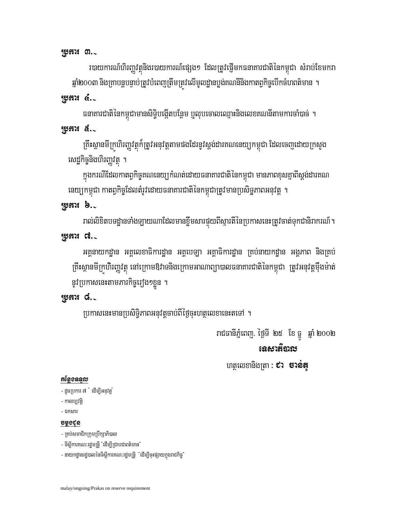malay/ongoing/Prakas on reserve requirement

#### - គ្រប់សមាជិកក្រុមប្រឹក្សាភិបាល

- ទីស្តីការគណ:រដ្ឋមន្ត្រី "ដើម្បីជ្រាបជាពតិមាន"
- នាយកដ្ឋានរដ្ឋបាលនៃទីស្តីការគណៈរដ្ឋមន្ត្រី "ដើម្បីចុះផ្សាយក្នុងរាជកិច្ច"

អន្ថែទឧន្ទរប - ដូចប្រការ ៧ " ដើម្បីអនុវត្ត

- កាលប្បវត្តិ - ឯកសារ uşoçr

ហត្ថលេខានិងត្រា **: ៩រ ខាន់ត្** 

រាជធានីភ្នំពេញ, ថ្ងៃទី ២៥ ខែ ធ្នូ ឆ្នាំ ២០០២

នេសរត៌បារះ

# នូវប្រកាសនេះតាមភារកិច្ចរឿង១ខ្លួន ។

 $5531 G.$ 

# ត្រឹះស្ថានមីក្រហិរញ្ញវត្ថុ នៅក្រោមឱ្យវាទនិងក្រោមអាណាព្យាបាលធនាគារជាតិនៃកម្ពុជា ត្រូវអនុវត្តថ្មឹងម៉ាត់

ប្រកាសនេះមានប្រសិទ្ធិភាពអនុវត្តចាប់ពីថ្ងៃចុះហត្ថលេខានេះតទៅ ។

# រាល់លិខិតបទដ្ឋានទាំងឡាយណាដែលមានខ្លឹមសារផ្ទុយពីស្មារតីនៃប្រកាសនេះត្រូវចាត់ទុកជានិរាករណ៍។  $55511$   $\alpha$ . អគ្គនាយកដ្ឋាន អគ្គលេខាធិការដ្ឋាន អគ្គបេឡា អគ្គាធិការដ្ឋាន គ្រប់នាយកដ្ឋាន អង្គភាព និងគ្រប់

ក្នុងករណីដែលកាតព្វកិច្ចគណនេយ្យកំណត់ដោយធនាគារជាតិនៃកម្ពុជា មានភាពខុសគ្នាពីស្តង់ដារគណ នេយ្យកម្ពុជា កាតព្វកិច្ចដែលតំរូវដោយធនាគារជាតិនៃកម្ពុជាត្រូវមានប្រសិទ្ធភាពអនុវត្ត ។  $55$  and  $9.1$ 

ត្រឹះស្ថានមីក្រហិរញ្ញវត្ថុក៏ត្រូវអនុវត្តតាមផងដែរនូវស្តង់ដារគណនេយ្យកម្ពុជា ដែលចេញដោយក្រសួង សេដ្ឋកិច្ចនិងហិរញ្ញវត្ថុ ។

foun &.

foni é.. ធនាគារជាតិនៃកម្ពុជាមានសិទ្ធិបង្កើតបន្ថែម ឬលុបចោលឈ្មោះនិងលេខគណនីតាមការចាំបាច់ ។

# របាយការណ៍ហិរញ្ញវត្ថុនិងរបាយការណ៍ផ្សេង១ ដែលត្រូវផ្ញើមកធនាគារជាតិនៃកម្ពុជា សំរាប់ខែមករា ឆ្នាំ២០០៣ និងគ្រាបន្តបន្ទាប់ត្រូវបំពេញត្រឹមត្រវលើមូលដ្ឋានប្លង់គណនីនិងកាតព្វកិច្ចបើកចំហពត៌មាន ។

 $5531$   $m_{\sim}$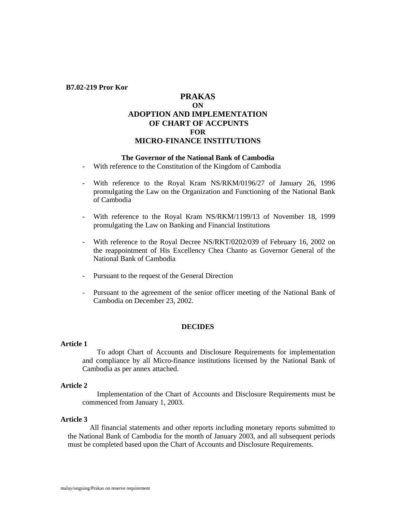**B7.02-219 Pror Kor** 

#### **PRAKAS ON ADOPTION AND IMPLEMENTATION OF CHART OF ACCPUNTS FOR MICRO-FINANCE INSTITUTIONS**

#### **The Governor of the National Bank of Cambodia**

- With reference to the Constitution of the Kingdom of Cambodia
- With reference to the Royal Kram NS/RKM/0196/27 of January 26, 1996 promulgating the Law on the Organization and Functioning of the National Bank of Cambodia
- With reference to the Royal Kram NS/RKM/1199/13 of November 18, 1999 promulgating the Law on Banking and Financial Institutions
- With reference to the Royal Decree NS/RKT/0202/039 of February 16, 2002 on the reappointment of His Excellency Chea Chanto as Governor General of the National Bank of Cambodia
- Pursuant to the request of the General Direction
- Pursuant to the agreement of the senior officer meeting of the National Bank of Cambodia on December 23, 2002.

#### **DECIDES**

#### **Article 1**

To adopt Chart of Accounts and Disclosure Requirements for implementation and compliance by all Micro-finance institutions licensed by the National Bank of Cambodia as per annex attached.

#### **Article 2**

Implementation of the Chart of Accounts and Disclosure Requirements must be commenced from January 1, 2003.

#### **Article 3**

All financial statements and other reports including monetary reports submitted to the National Bank of Cambodia for the month of January 2003, and all subsequent periods must be completed based upon the Chart of Accounts and Disclosure Requirements.